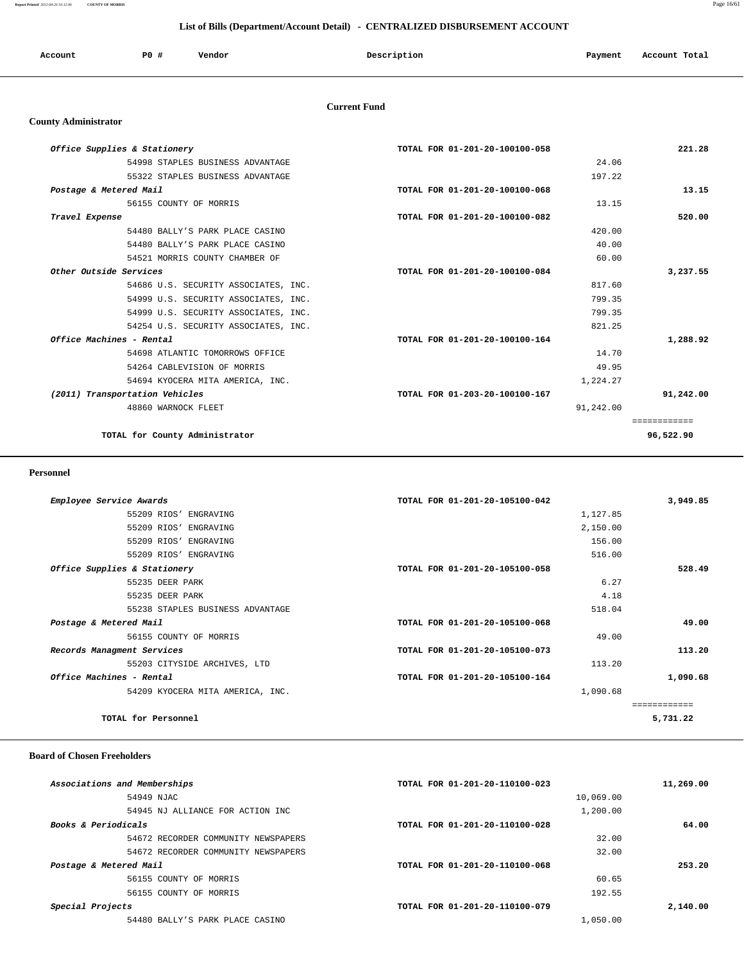**Report Printed** *2012-04-20 16:12:06* **COUNTY OF MORRIS** Page 16/61

#### **List of Bills (Department/Account Detail) - CENTRALIZED DISBURSEMENT ACCOUNT**

| Account | PO# | Vendor | Description | Payment | Account Total |
|---------|-----|--------|-------------|---------|---------------|
|         |     |        |             |         |               |

#### **Current Fund**

#### **County Administrator**

| Office Supplies & Stationery         | TOTAL FOR 01-201-20-100100-058 | 221.28       |
|--------------------------------------|--------------------------------|--------------|
| 54998 STAPLES BUSINESS ADVANTAGE     | 24.06                          |              |
| 55322 STAPLES BUSINESS ADVANTAGE     | 197.22                         |              |
| Postage & Metered Mail               | TOTAL FOR 01-201-20-100100-068 | 13.15        |
| 56155 COUNTY OF MORRIS               | 13.15                          |              |
| Travel Expense                       | TOTAL FOR 01-201-20-100100-082 | 520.00       |
| 54480 BALLY'S PARK PLACE CASINO      | 420.00                         |              |
| 54480 BALLY'S PARK PLACE CASINO      | 40.00                          |              |
| 54521 MORRIS COUNTY CHAMBER OF       | 60.00                          |              |
| Other Outside Services               | TOTAL FOR 01-201-20-100100-084 | 3,237.55     |
| 54686 U.S. SECURITY ASSOCIATES, INC. | 817.60                         |              |
| 54999 U.S. SECURITY ASSOCIATES, INC. | 799.35                         |              |
| 54999 U.S. SECURITY ASSOCIATES, INC. | 799.35                         |              |
| 54254 U.S. SECURITY ASSOCIATES, INC. | 821.25                         |              |
| Office Machines - Rental             | TOTAL FOR 01-201-20-100100-164 | 1,288.92     |
| 54698 ATLANTIC TOMORROWS OFFICE      | 14.70                          |              |
| 54264 CABLEVISION OF MORRIS          | 49.95                          |              |
| 54694 KYOCERA MITA AMERICA, INC.     | 1,224.27                       |              |
| (2011) Transportation Vehicles       | TOTAL FOR 01-203-20-100100-167 | 91,242.00    |
| 48860 WARNOCK FLEET                  | 91,242.00                      |              |
|                                      |                                | ============ |
| TOTAL for County Administrator       |                                | 96,522.90    |

#### **Personnel**

| Employee Service Awards          | TOTAL FOR 01-201-20-105100-042 | 3,949.85    |
|----------------------------------|--------------------------------|-------------|
| 55209 RIOS' ENGRAVING            | 1,127.85                       |             |
| 55209 RIOS' ENGRAVING            | 2,150.00                       |             |
| 55209 RIOS' ENGRAVING            | 156.00                         |             |
| 55209 RIOS' ENGRAVING            | 516.00                         |             |
| Office Supplies & Stationery     | TOTAL FOR 01-201-20-105100-058 | 528.49      |
| 55235 DEER PARK                  | 6.27                           |             |
| 55235 DEER PARK                  | 4.18                           |             |
| 55238 STAPLES BUSINESS ADVANTAGE | 518.04                         |             |
| Postage & Metered Mail           | TOTAL FOR 01-201-20-105100-068 | 49.00       |
| 56155 COUNTY OF MORRIS           | 49.00                          |             |
| Records Managment Services       | TOTAL FOR 01-201-20-105100-073 | 113.20      |
| 55203 CITYSIDE ARCHIVES, LTD     | 113.20                         |             |
| Office Machines - Rental         | TOTAL FOR 01-201-20-105100-164 | 1,090.68    |
| 54209 KYOCERA MITA AMERICA, INC. | 1,090.68                       |             |
|                                  |                                | =========== |
| TOTAL for Personnel              |                                | 5,731.22    |

#### **Board of Chosen Freeholders**

| Associations and Memberships        | TOTAL FOR 01-201-20-110100-023 | 11,269.00 |
|-------------------------------------|--------------------------------|-----------|
| 54949 NJAC                          | 10,069.00                      |           |
| 54945 NJ ALLIANCE FOR ACTION INC    | 1,200.00                       |           |
| <b>Books &amp; Periodicals</b>      | TOTAL FOR 01-201-20-110100-028 | 64.00     |
| 54672 RECORDER COMMUNITY NEWSPAPERS | 32.00                          |           |
| 54672 RECORDER COMMUNITY NEWSPAPERS | 32.00                          |           |
| Postage & Metered Mail              | TOTAL FOR 01-201-20-110100-068 | 253.20    |
| 56155 COUNTY OF MORRIS              | 60.65                          |           |
| 56155 COUNTY OF MORRIS              | 192.55                         |           |
| Special Projects                    | TOTAL FOR 01-201-20-110100-079 | 2,140.00  |
| 54480 BALLY'S PARK PLACE CASINO     | 1,050.00                       |           |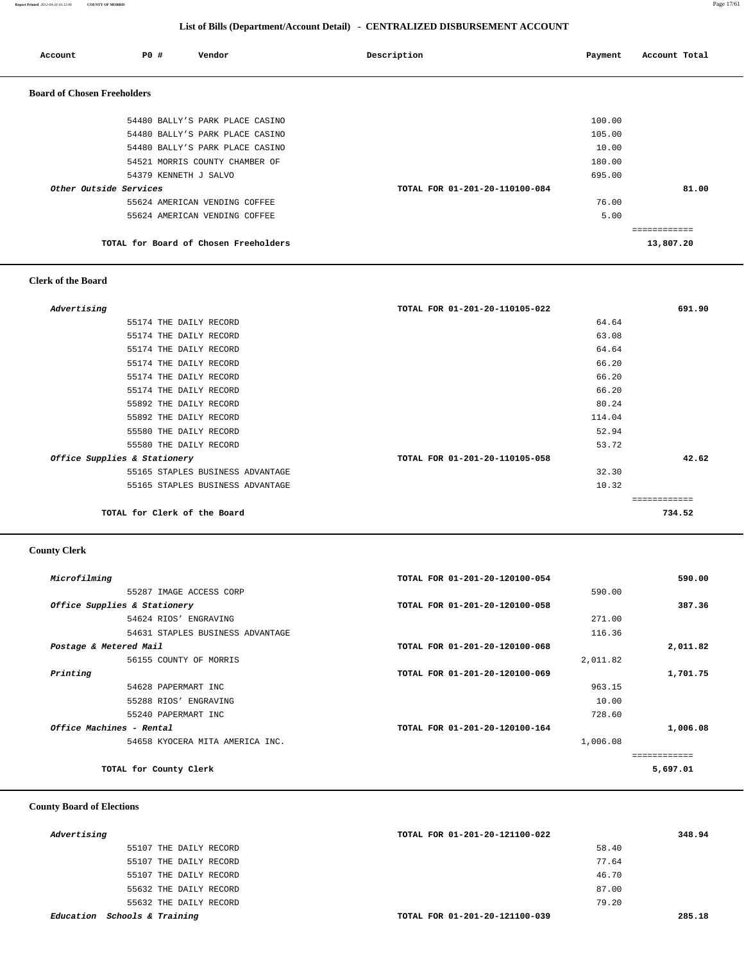**Report Printed** *2012-04-20 16:12:06* **COUNTY OF MORRIS** Page 17/61

#### **List of Bills (Department/Account Detail) - CENTRALIZED DISBURSEMENT ACCOUNT**

| Account                            | PO#                   | Vendor                                | Description                    | Payment | Account Total |
|------------------------------------|-----------------------|---------------------------------------|--------------------------------|---------|---------------|
| <b>Board of Chosen Freeholders</b> |                       |                                       |                                |         |               |
|                                    |                       | 54480 BALLY'S PARK PLACE CASINO       |                                | 100.00  |               |
|                                    |                       | 54480 BALLY'S PARK PLACE CASINO       |                                | 105.00  |               |
|                                    |                       | 54480 BALLY'S PARK PLACE CASINO       |                                | 10.00   |               |
|                                    |                       | 54521 MORRIS COUNTY CHAMBER OF        |                                | 180.00  |               |
|                                    | 54379 KENNETH J SALVO |                                       |                                | 695.00  |               |
| Other Outside Services             |                       |                                       | TOTAL FOR 01-201-20-110100-084 |         | 81.00         |
|                                    |                       | 55624 AMERICAN VENDING COFFEE         |                                | 76.00   |               |
|                                    |                       | 55624 AMERICAN VENDING COFFEE         |                                | 5.00    |               |
|                                    |                       |                                       |                                |         | ------------  |
|                                    |                       | TOTAL for Board of Chosen Freeholders |                                |         | 13,807.20     |

# **Clerk of the Board**

| Advertising                      | TOTAL FOR 01-201-20-110105-022 | 691.90 |
|----------------------------------|--------------------------------|--------|
| 55174 THE DAILY RECORD           | 64.64                          |        |
| 55174 THE DAILY RECORD           | 63.08                          |        |
| 55174 THE DAILY RECORD           | 64.64                          |        |
| 55174 THE DAILY RECORD           | 66.20                          |        |
| 55174 THE DAILY RECORD           | 66.20                          |        |
| 55174 THE DAILY RECORD           | 66.20                          |        |
| 55892 THE DAILY RECORD           | 80.24                          |        |
| 55892 THE DAILY RECORD           | 114.04                         |        |
| 55580 THE DAILY RECORD           | 52.94                          |        |
| 55580 THE DAILY RECORD           | 53.72                          |        |
| Office Supplies & Stationery     | TOTAL FOR 01-201-20-110105-058 | 42.62  |
| 55165 STAPLES BUSINESS ADVANTAGE | 32.30                          |        |
| 55165 STAPLES BUSINESS ADVANTAGE | 10.32                          |        |
|                                  |                                |        |
| TOTAL for Clerk of the Board     |                                | 734.52 |

#### **County Clerk**

| Microfilming                     | TOTAL FOR 01-201-20-120100-054 | 590.00   |
|----------------------------------|--------------------------------|----------|
| 55287 IMAGE ACCESS CORP          | 590.00                         |          |
| Office Supplies & Stationery     | TOTAL FOR 01-201-20-120100-058 | 387.36   |
| 54624 RIOS' ENGRAVING            | 271.00                         |          |
| 54631 STAPLES BUSINESS ADVANTAGE | 116.36                         |          |
| Postage & Metered Mail           | TOTAL FOR 01-201-20-120100-068 | 2,011.82 |
| 56155 COUNTY OF MORRIS           | 2,011.82                       |          |
| Printing                         | TOTAL FOR 01-201-20-120100-069 | 1,701.75 |
| 54628 PAPERMART INC              | 963.15                         |          |
| 55288 RIOS' ENGRAVING            | 10.00                          |          |
| 55240 PAPERMART INC              | 728.60                         |          |
| Office Machines - Rental         | TOTAL FOR 01-201-20-120100-164 | 1,006.08 |
| 54658 KYOCERA MITA AMERICA INC.  | 1,006.08                       |          |
|                                  |                                | .        |
| TOTAL for County Clerk           |                                | 5,697.01 |

## **County Board of Elections**

| Advertising                  | TOTAL FOR 01-201-20-121100-022 | 348.94 |
|------------------------------|--------------------------------|--------|
| 55107 THE DAILY RECORD       | 58.40                          |        |
| 55107 THE DAILY RECORD       | 77.64                          |        |
| 55107 THE DAILY RECORD       | 46.70                          |        |
| 55632 THE DAILY RECORD       | 87.00                          |        |
| 55632 THE DAILY RECORD       | 79.20                          |        |
| Education Schools & Training | TOTAL FOR 01-201-20-121100-039 | 285.18 |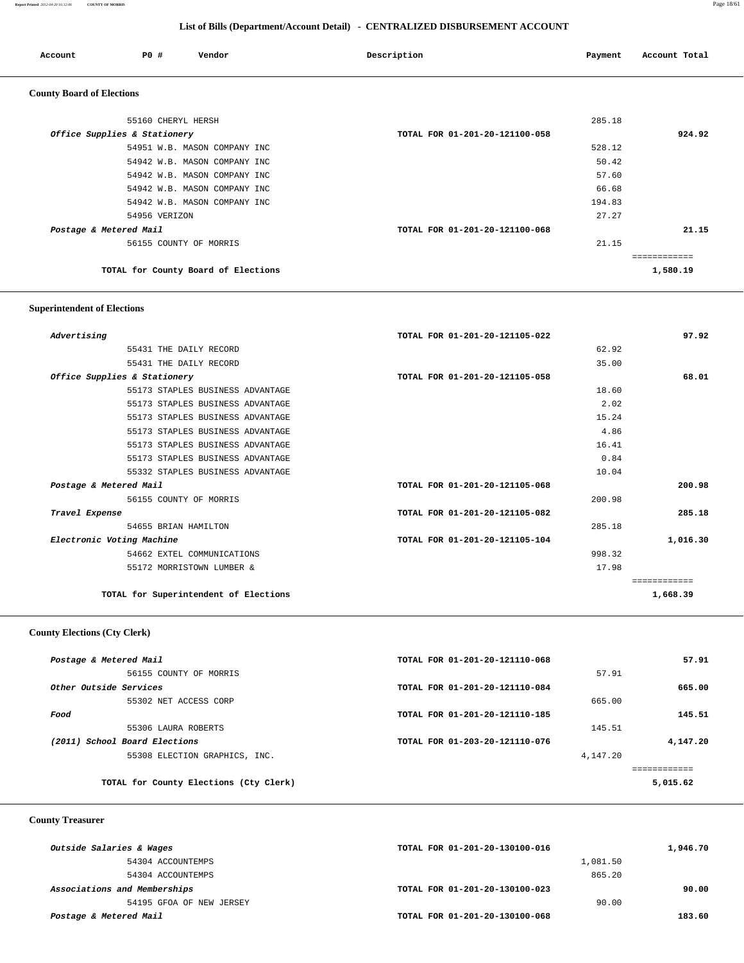#### **Report Printed** *2012-04-20 16:12:06* **COUNTY OF MORRIS** Page 18/61

 **List of Bills (Department/Account Detail) - CENTRALIZED DISBURSEMENT ACCOUNT**

| Account                          | PO#<br>Vendor                       | Description                    | Payment | Account Total |
|----------------------------------|-------------------------------------|--------------------------------|---------|---------------|
| <b>County Board of Elections</b> |                                     |                                |         |               |
|                                  | 55160 CHERYL HERSH                  |                                | 285.18  |               |
|                                  | Office Supplies & Stationery        | TOTAL FOR 01-201-20-121100-058 |         | 924.92        |
|                                  | 54951 W.B. MASON COMPANY INC        |                                | 528.12  |               |
|                                  | 54942 W.B. MASON COMPANY INC        |                                | 50.42   |               |
|                                  | 54942 W.B. MASON COMPANY INC        |                                | 57.60   |               |
|                                  | 54942 W.B. MASON COMPANY INC        |                                | 66.68   |               |
|                                  | 54942 W.B. MASON COMPANY INC        |                                | 194.83  |               |
|                                  | 54956 VERIZON                       |                                | 27.27   |               |
| Postage & Metered Mail           |                                     | TOTAL FOR 01-201-20-121100-068 |         | 21.15         |
|                                  | 56155 COUNTY OF MORRIS              |                                | 21.15   |               |
|                                  |                                     |                                |         | ------------  |
|                                  | TOTAL for County Board of Elections |                                |         | 1,580.19      |

#### **Superintendent of Elections**

| Advertising            |                                       | TOTAL FOR 01-201-20-121105-022 |        | 97.92    |
|------------------------|---------------------------------------|--------------------------------|--------|----------|
|                        | 55431 THE DAILY RECORD                |                                | 62.92  |          |
|                        | 55431 THE DAILY RECORD                |                                | 35.00  |          |
|                        | Office Supplies & Stationery          | TOTAL FOR 01-201-20-121105-058 |        | 68.01    |
|                        | 55173 STAPLES BUSINESS ADVANTAGE      |                                | 18.60  |          |
|                        | 55173 STAPLES BUSINESS ADVANTAGE      |                                | 2.02   |          |
|                        | 55173 STAPLES BUSINESS ADVANTAGE      |                                | 15.24  |          |
|                        | 55173 STAPLES BUSINESS ADVANTAGE      |                                | 4.86   |          |
|                        | 55173 STAPLES BUSINESS ADVANTAGE      |                                | 16.41  |          |
|                        | 55173 STAPLES BUSINESS ADVANTAGE      |                                | 0.84   |          |
|                        | 55332 STAPLES BUSINESS ADVANTAGE      |                                | 10.04  |          |
| Postage & Metered Mail |                                       | TOTAL FOR 01-201-20-121105-068 |        | 200.98   |
|                        | 56155 COUNTY OF MORRIS                |                                | 200.98 |          |
| Travel Expense         |                                       | TOTAL FOR 01-201-20-121105-082 |        | 285.18   |
|                        | 54655 BRIAN HAMILTON                  |                                | 285.18 |          |
|                        | Electronic Voting Machine             | TOTAL FOR 01-201-20-121105-104 |        | 1,016.30 |
|                        | 54662 EXTEL COMMUNICATIONS            |                                | 998.32 |          |
|                        | 55172 MORRISTOWN LUMBER &             |                                | 17.98  |          |
|                        |                                       |                                |        |          |
|                        | TOTAL for Superintendent of Elections |                                |        | 1,668.39 |

#### **County Elections (Cty Clerk)**

| Postage & Metered Mail                 | TOTAL FOR 01-201-20-121110-068 |          | 57.91    |
|----------------------------------------|--------------------------------|----------|----------|
| 56155 COUNTY OF MORRIS                 |                                | 57.91    |          |
| Other Outside Services                 | TOTAL FOR 01-201-20-121110-084 |          | 665.00   |
| 55302 NET ACCESS CORP                  |                                | 665.00   |          |
| Food                                   | TOTAL FOR 01-201-20-121110-185 |          | 145.51   |
| 55306 LAURA ROBERTS                    |                                | 145.51   |          |
| (2011) School Board Elections          | TOTAL FOR 01-203-20-121110-076 |          | 4,147.20 |
| 55308 ELECTION GRAPHICS, INC.          |                                | 4,147.20 |          |
|                                        |                                |          |          |
| TOTAL for County Elections (Cty Clerk) |                                |          | 5,015.62 |
|                                        |                                |          |          |

#### **County Treasurer**

| Outside Salaries & Wages     | TOTAL FOR 01-201-20-130100-016 | 1,946.70 |
|------------------------------|--------------------------------|----------|
| 54304 ACCOUNTEMPS            | 1,081.50                       |          |
| 54304 ACCOUNTEMPS            | 865.20                         |          |
| Associations and Memberships | TOTAL FOR 01-201-20-130100-023 | 90.00    |
| 54195 GFOA OF NEW JERSEY     | 90.00                          |          |
| Postage & Metered Mail       | TOTAL FOR 01-201-20-130100-068 | 183.60   |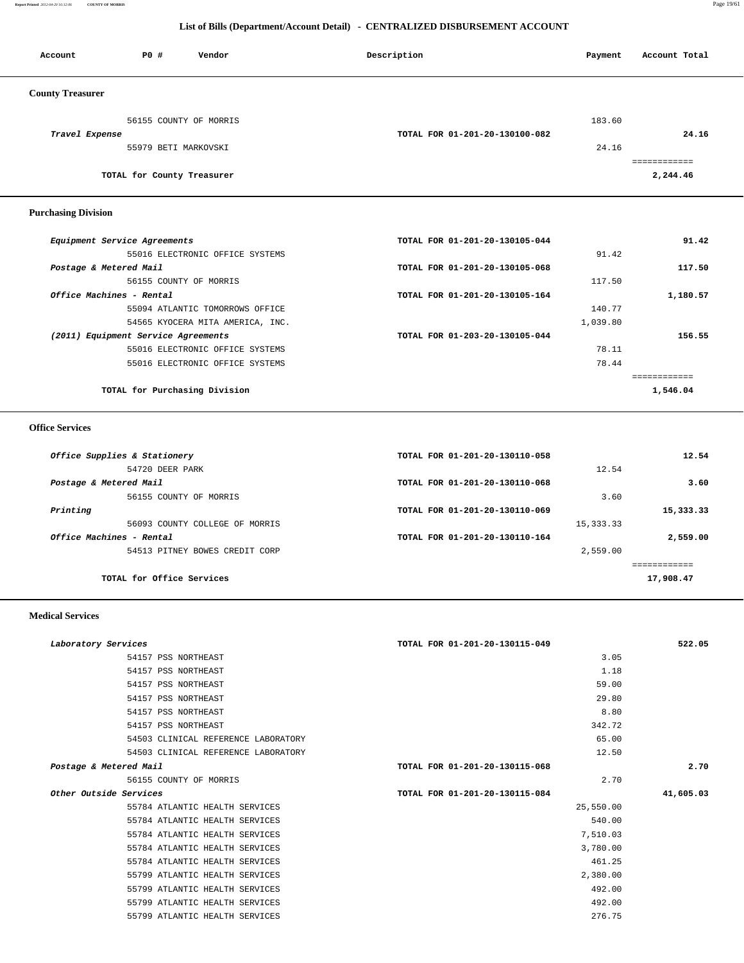**Report Printed** *2012-04-20 16:12:06* **COUNTY OF MORRIS** Page 19/61

#### **List of Bills (Department/Account Detail) - CENTRALIZED DISBURSEMENT ACCOUNT**

| Account                 | P0 #                       | Vendor                 | Description                    | Payment | Account Total |
|-------------------------|----------------------------|------------------------|--------------------------------|---------|---------------|
| <b>County Treasurer</b> |                            |                        |                                |         |               |
| Travel Expense          |                            | 56155 COUNTY OF MORRIS | TOTAL FOR 01-201-20-130100-082 | 183.60  | 24.16         |
|                         | 55979 BETI MARKOVSKI       |                        |                                | 24.16   |               |
|                         | TOTAL for County Treasurer |                        |                                |         | 2,244.46      |

## **Purchasing Division**

| TOTAL FOR 01-201-20-130105-044 | 91.42    |
|--------------------------------|----------|
|                                | 91.42    |
| TOTAL FOR 01-201-20-130105-068 | 117.50   |
|                                | 117.50   |
| TOTAL FOR 01-201-20-130105-164 | 1,180.57 |
|                                | 140.77   |
|                                | 1,039.80 |
| TOTAL FOR 01-203-20-130105-044 | 156.55   |
|                                | 78.11    |
|                                | 78.44    |
|                                |          |
|                                | 1,546.04 |
|                                |          |

#### **Office Services**

| TOTAL FOR 01-201-20-130110-058 |            | 12.54     |
|--------------------------------|------------|-----------|
|                                | 12.54      |           |
| TOTAL FOR 01-201-20-130110-068 |            | 3.60      |
|                                | 3.60       |           |
| TOTAL FOR 01-201-20-130110-069 |            | 15,333.33 |
|                                | 15, 333.33 |           |
| TOTAL FOR 01-201-20-130110-164 |            | 2,559.00  |
|                                | 2,559.00   |           |
|                                |            |           |
|                                |            | 17,908.47 |
|                                |            |           |

#### **Medical Services**

| Laboratory Services                 | TOTAL FOR 01-201-20-130115-049 | 522.05    |
|-------------------------------------|--------------------------------|-----------|
| 54157 PSS NORTHEAST                 | 3.05                           |           |
| 54157 PSS NORTHEAST                 | 1.18                           |           |
| 54157 PSS NORTHEAST                 | 59.00                          |           |
| 54157 PSS NORTHEAST                 | 29.80                          |           |
| 54157 PSS NORTHEAST                 | 8.80                           |           |
| 54157 PSS NORTHEAST                 | 342.72                         |           |
| 54503 CLINICAL REFERENCE LABORATORY | 65.00                          |           |
| 54503 CLINICAL REFERENCE LABORATORY | 12.50                          |           |
| Postage & Metered Mail              | TOTAL FOR 01-201-20-130115-068 | 2.70      |
| 56155 COUNTY OF MORRIS              | 2.70                           |           |
| Other Outside Services              | TOTAL FOR 01-201-20-130115-084 | 41,605.03 |
| 55784 ATLANTIC HEALTH SERVICES      | 25,550.00                      |           |
| 55784 ATLANTIC HEALTH SERVICES      | 540.00                         |           |
| 55784 ATLANTIC HEALTH SERVICES      | 7,510.03                       |           |
| 55784 ATLANTIC HEALTH SERVICES      | 3,780.00                       |           |
| 55784 ATLANTIC HEALTH SERVICES      | 461.25                         |           |
| 55799 ATLANTIC HEALTH SERVICES      | 2,380.00                       |           |
| 55799 ATLANTIC HEALTH SERVICES      | 492.00                         |           |
| 55799 ATLANTIC HEALTH SERVICES      | 492.00                         |           |
| 55799 ATLANTIC HEALTH SERVICES      | 276.75                         |           |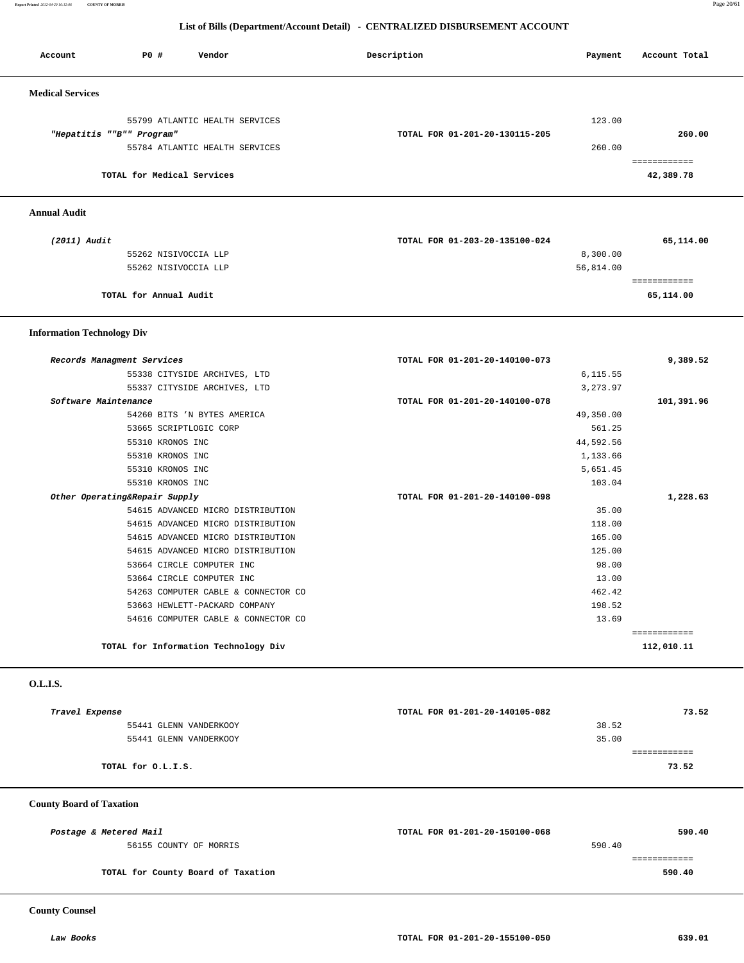**Report Printed** *2012-04-20 16:12:06* **COUNTY OF MORRIS** Page 20/61

#### **List of Bills (Department/Account Detail) - CENTRALIZED DISBURSEMENT ACCOUNT**

| Account                 | P0 #                       | Vendor                         | Description                    | Payment  | Account Total |
|-------------------------|----------------------------|--------------------------------|--------------------------------|----------|---------------|
| <b>Medical Services</b> |                            |                                |                                |          |               |
|                         |                            | 55799 ATLANTIC HEALTH SERVICES |                                | 123.00   |               |
|                         | "Hepatitis ""B"" Program"  |                                | TOTAL FOR 01-201-20-130115-205 |          | 260.00        |
|                         |                            | 55784 ATLANTIC HEALTH SERVICES |                                | 260.00   |               |
|                         |                            |                                |                                |          |               |
|                         | TOTAL for Medical Services |                                |                                |          | 42,389.78     |
|                         |                            |                                |                                |          |               |
| <b>Annual Audit</b>     |                            |                                |                                |          |               |
| (2011) Audit            |                            |                                | TOTAL FOR 01-203-20-135100-024 |          | 65,114.00     |
|                         | 55262 NISIVOCCIA LLP       |                                |                                | 8,300.00 |               |

| 55262 NISIVOCCIA LLP   | 56,814.00    |
|------------------------|--------------|
|                        | ------------ |
| TOTAL for Annual Audit | 65,114.00    |

#### **Information Technology Div**

| Records Managment Services           | TOTAL FOR 01-201-20-140100-073 | 9,389.52     |
|--------------------------------------|--------------------------------|--------------|
| 55338 CITYSIDE ARCHIVES, LTD         | 6,115.55                       |              |
| 55337 CITYSIDE ARCHIVES, LTD         | 3,273.97                       |              |
| Software Maintenance                 | TOTAL FOR 01-201-20-140100-078 | 101,391.96   |
| 54260 BITS 'N BYTES AMERICA          | 49,350.00                      |              |
| 53665 SCRIPTLOGIC CORP               | 561.25                         |              |
| 55310 KRONOS INC                     | 44,592.56                      |              |
| 55310 KRONOS INC                     | 1,133.66                       |              |
| 55310 KRONOS INC                     | 5,651.45                       |              |
| 55310 KRONOS INC                     | 103.04                         |              |
| Other Operating&Repair Supply        | TOTAL FOR 01-201-20-140100-098 | 1,228.63     |
| 54615 ADVANCED MICRO DISTRIBUTION    | 35.00                          |              |
| 54615 ADVANCED MICRO DISTRIBUTION    | 118.00                         |              |
| 54615 ADVANCED MICRO DISTRIBUTION    | 165.00                         |              |
| 54615 ADVANCED MICRO DISTRIBUTION    | 125.00                         |              |
| 53664 CIRCLE COMPUTER INC            | 98.00                          |              |
| 53664 CIRCLE COMPUTER INC            | 13.00                          |              |
| 54263 COMPUTER CABLE & CONNECTOR CO  | 462.42                         |              |
| 53663 HEWLETT-PACKARD COMPANY        | 198.52                         |              |
| 54616 COMPUTER CABLE & CONNECTOR CO  | 13.69                          |              |
|                                      |                                | ============ |
| TOTAL for Information Technology Div |                                | 112,010.11   |

 **O.L.I.S.** 

| Travel Expense         | TOTAL FOR 01-201-20-140105-082 | 73.52 |
|------------------------|--------------------------------|-------|
| 55441 GLENN VANDERKOOY | 38.52                          |       |
| 55441 GLENN VANDERKOOY | 35.00                          |       |
|                        |                                |       |
| TOTAL for O.L.I.S.     |                                | 73.52 |
|                        |                                |       |

#### **County Board of Taxation**

| Postage & Metered Mail             | TOTAL FOR 01-201-20-150100-068 | 590.40 |
|------------------------------------|--------------------------------|--------|
| 56155 COUNTY OF MORRIS             |                                | 590.40 |
|                                    |                                |        |
| TOTAL for County Board of Taxation |                                | 590.40 |

 **County Counsel**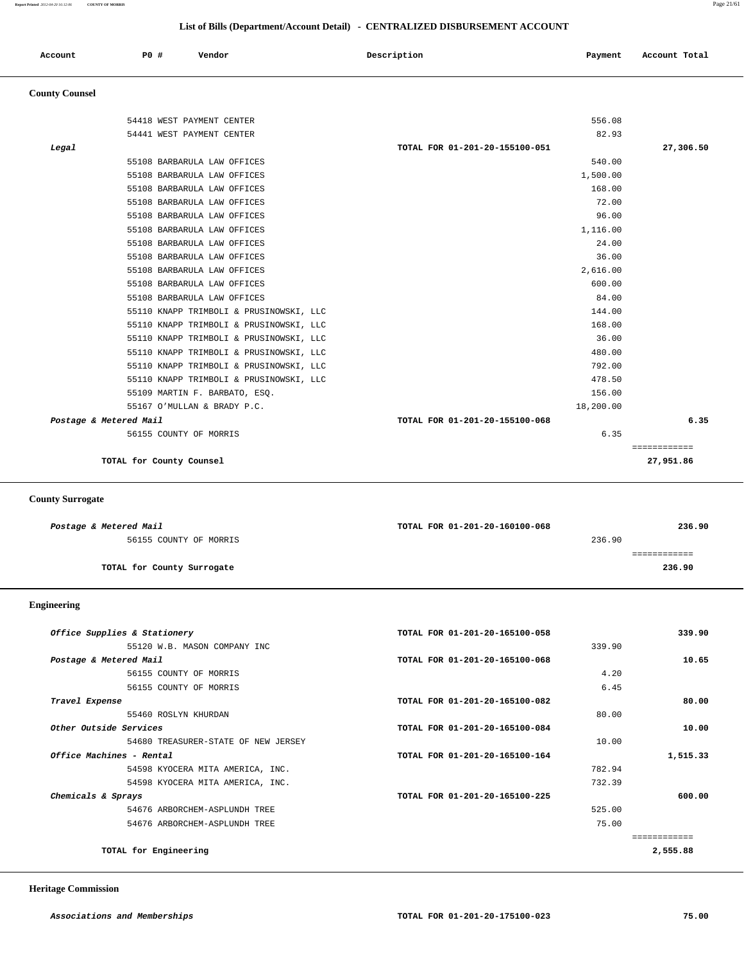#### **List of Bills (Department/Account Detail) - CENTRALIZED DISBURSEMENT ACCOUNT**

| Account | <b>PO #</b> | Vendor | Description | Payment | Account Total |
|---------|-------------|--------|-------------|---------|---------------|
|         |             |        |             |         |               |

## **County Counsel**

|       | 54418 WEST PAYMENT CENTER               | 556.08                         |              |
|-------|-----------------------------------------|--------------------------------|--------------|
|       | 54441 WEST PAYMENT CENTER               | 82.93                          |              |
| Legal |                                         | TOTAL FOR 01-201-20-155100-051 | 27,306.50    |
|       | 55108 BARBARULA LAW OFFICES             | 540.00                         |              |
|       | 55108 BARBARULA LAW OFFICES             | 1,500.00                       |              |
|       | 55108 BARBARULA LAW OFFICES             | 168.00                         |              |
|       | 55108 BARBARULA LAW OFFICES             | 72.00                          |              |
|       | 55108 BARBARULA LAW OFFICES             | 96.00                          |              |
|       | 55108 BARBARULA LAW OFFICES             | 1,116.00                       |              |
|       | 55108 BARBARULA LAW OFFICES             | 24.00                          |              |
|       | 55108 BARBARULA LAW OFFICES             | 36.00                          |              |
|       | 55108 BARBARULA LAW OFFICES             | 2,616.00                       |              |
|       | 55108 BARBARULA LAW OFFICES             | 600.00                         |              |
|       | 55108 BARBARULA LAW OFFICES             | 84.00                          |              |
|       | 55110 KNAPP TRIMBOLI & PRUSINOWSKI, LLC | 144.00                         |              |
|       | 55110 KNAPP TRIMBOLI & PRUSINOWSKI, LLC | 168.00                         |              |
|       | 55110 KNAPP TRIMBOLI & PRUSINOWSKI, LLC | 36.00                          |              |
|       | 55110 KNAPP TRIMBOLI & PRUSINOWSKI, LLC | 480.00                         |              |
|       | 55110 KNAPP TRIMBOLI & PRUSINOWSKI, LLC | 792.00                         |              |
|       | 55110 KNAPP TRIMBOLI & PRUSINOWSKI, LLC | 478.50                         |              |
|       | 55109 MARTIN F. BARBATO, ESQ.           | 156.00                         |              |
|       | 55167 O'MULLAN & BRADY P.C.             | 18,200.00                      |              |
|       | Postage & Metered Mail                  | TOTAL FOR 01-201-20-155100-068 | 6.35         |
|       | 56155 COUNTY OF MORRIS                  | 6.35                           |              |
|       |                                         |                                | ============ |
|       | TOTAL for County Counsel                |                                | 27,951.86    |
|       |                                         |                                |              |

#### **County Surrogate**

| Postage & Metered Mail     | TOTAL FOR 01-201-20-160100-068 | 236.90 |
|----------------------------|--------------------------------|--------|
| 56155 COUNTY OF MORRIS     | 236.90                         |        |
|                            |                                |        |
| TOTAL for County Surrogate |                                | 236.90 |
|                            |                                |        |

#### **Engineering**

| Office Supplies & Stationery        | TOTAL FOR 01-201-20-165100-058 |        | 339.90   |
|-------------------------------------|--------------------------------|--------|----------|
| 55120 W.B. MASON COMPANY INC        |                                | 339.90 |          |
| Postage & Metered Mail              | TOTAL FOR 01-201-20-165100-068 |        | 10.65    |
| 56155 COUNTY OF MORRIS              |                                | 4.20   |          |
| 56155 COUNTY OF MORRIS              |                                | 6.45   |          |
| Travel Expense                      | TOTAL FOR 01-201-20-165100-082 |        | 80.00    |
| 55460 ROSLYN KHURDAN                |                                | 80.00  |          |
| Other Outside Services              | TOTAL FOR 01-201-20-165100-084 |        | 10.00    |
| 54680 TREASURER-STATE OF NEW JERSEY |                                | 10.00  |          |
| Office Machines - Rental            | TOTAL FOR 01-201-20-165100-164 |        | 1,515.33 |
| 54598 KYOCERA MITA AMERICA, INC.    |                                | 782.94 |          |
| 54598 KYOCERA MITA AMERICA, INC.    |                                | 732.39 |          |
| Chemicals & Sprays                  | TOTAL FOR 01-201-20-165100-225 |        | 600.00   |
| 54676 ARBORCHEM-ASPLUNDH TREE       |                                | 525.00 |          |
| 54676 ARBORCHEM-ASPLUNDH TREE       |                                | 75.00  |          |
|                                     |                                |        |          |
| TOTAL for Engineering               |                                |        | 2,555.88 |

 **Heritage Commission**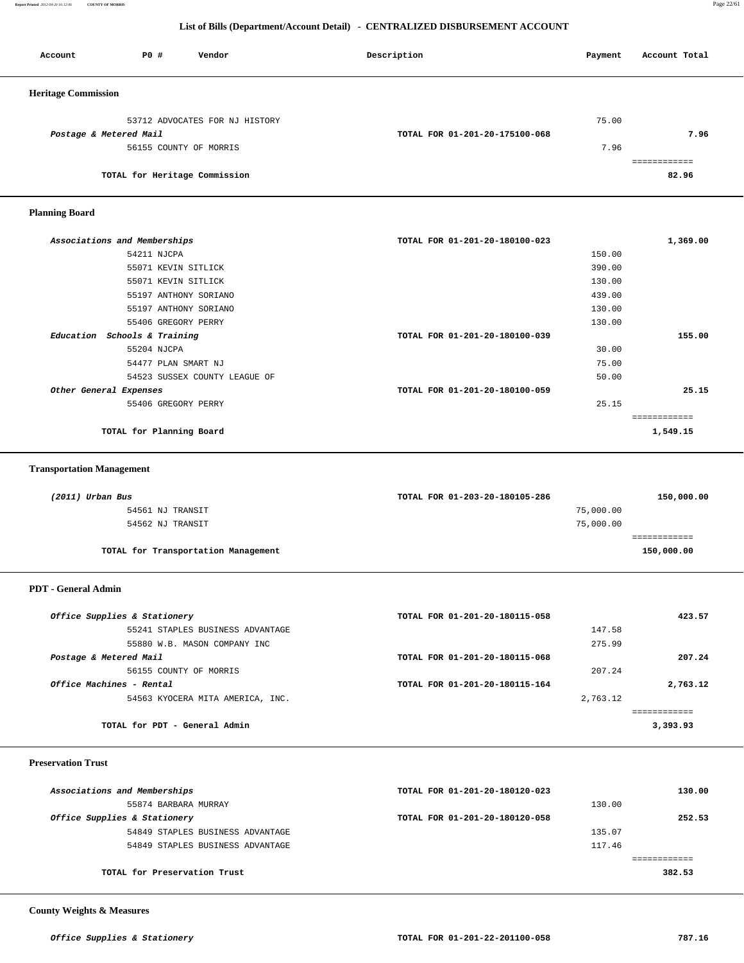**Report Printed** *2012-04-20 16:12:06* **COUNTY OF MORRIS** Page 22/61

#### **List of Bills (Department/Account Detail) - CENTRALIZED DISBURSEMENT ACCOUNT**

| Account                    | PO#                           | Vendor                         | Description                    | Payment | Account Total |
|----------------------------|-------------------------------|--------------------------------|--------------------------------|---------|---------------|
| <b>Heritage Commission</b> |                               |                                |                                |         |               |
|                            |                               | 53712 ADVOCATES FOR NJ HISTORY |                                | 75.00   |               |
| Postage & Metered Mail     |                               |                                | TOTAL FOR 01-201-20-175100-068 |         | 7.96          |
|                            | 56155 COUNTY OF MORRIS        |                                |                                | 7.96    |               |
|                            | TOTAL for Heritage Commission |                                |                                |         | 82.96         |

#### **Planning Board**

| Associations and Memberships  | TOTAL FOR 01-201-20-180100-023 | 1,369.00 |
|-------------------------------|--------------------------------|----------|
| 54211 NJCPA                   | 150.00                         |          |
| 55071 KEVIN SITLICK           | 390.00                         |          |
| 55071 KEVIN SITLICK           | 130.00                         |          |
| 55197 ANTHONY SORIANO         | 439.00                         |          |
| 55197 ANTHONY SORIANO         | 130.00                         |          |
| 55406 GREGORY PERRY           | 130.00                         |          |
| Education Schools & Training  | TOTAL FOR 01-201-20-180100-039 | 155.00   |
| 55204 NJCPA                   | 30.00                          |          |
| 54477 PLAN SMART NJ           | 75.00                          |          |
| 54523 SUSSEX COUNTY LEAGUE OF | 50.00                          |          |
| Other General Expenses        | TOTAL FOR 01-201-20-180100-059 | 25.15    |
| 55406 GREGORY PERRY           | 25.15                          |          |
|                               |                                |          |
| TOTAL for Planning Board      |                                | 1,549.15 |
|                               |                                |          |

#### **Transportation Management**

| (2011) Urban Bus                    | TOTAL FOR 01-203-20-180105-286 | 150,000.00 |
|-------------------------------------|--------------------------------|------------|
| 54561 NJ TRANSIT                    | 75,000.00                      |            |
| 54562 NJ TRANSIT                    | 75,000.00                      |            |
|                                     |                                |            |
| TOTAL for Transportation Management |                                | 150,000.00 |

#### **PDT - General Admin**

| Office Supplies & Stationery     | TOTAL FOR 01-201-20-180115-058 |          | 423.57   |
|----------------------------------|--------------------------------|----------|----------|
| 55241 STAPLES BUSINESS ADVANTAGE |                                | 147.58   |          |
| 55880 W.B. MASON COMPANY INC     |                                | 275.99   |          |
| Postage & Metered Mail           | TOTAL FOR 01-201-20-180115-068 |          | 207.24   |
| 56155 COUNTY OF MORRIS           |                                | 207.24   |          |
| Office Machines - Rental         | TOTAL FOR 01-201-20-180115-164 |          | 2,763.12 |
| 54563 KYOCERA MITA AMERICA, INC. |                                | 2,763.12 |          |
|                                  |                                |          |          |
| TOTAL for PDT - General Admin    |                                |          | 3,393.93 |
|                                  |                                |          |          |

 **Preservation Trust** 

| Associations and Memberships     | TOTAL FOR 01-201-20-180120-023 |        | 130.00 |
|----------------------------------|--------------------------------|--------|--------|
| 55874 BARBARA MURRAY             |                                | 130.00 |        |
| Office Supplies & Stationery     | TOTAL FOR 01-201-20-180120-058 |        | 252.53 |
| 54849 STAPLES BUSINESS ADVANTAGE |                                | 135.07 |        |
| 54849 STAPLES BUSINESS ADVANTAGE |                                | 117.46 |        |
|                                  |                                |        |        |
| TOTAL for Preservation Trust     |                                |        | 382.53 |
|                                  |                                |        |        |

#### **County Weights & Measures**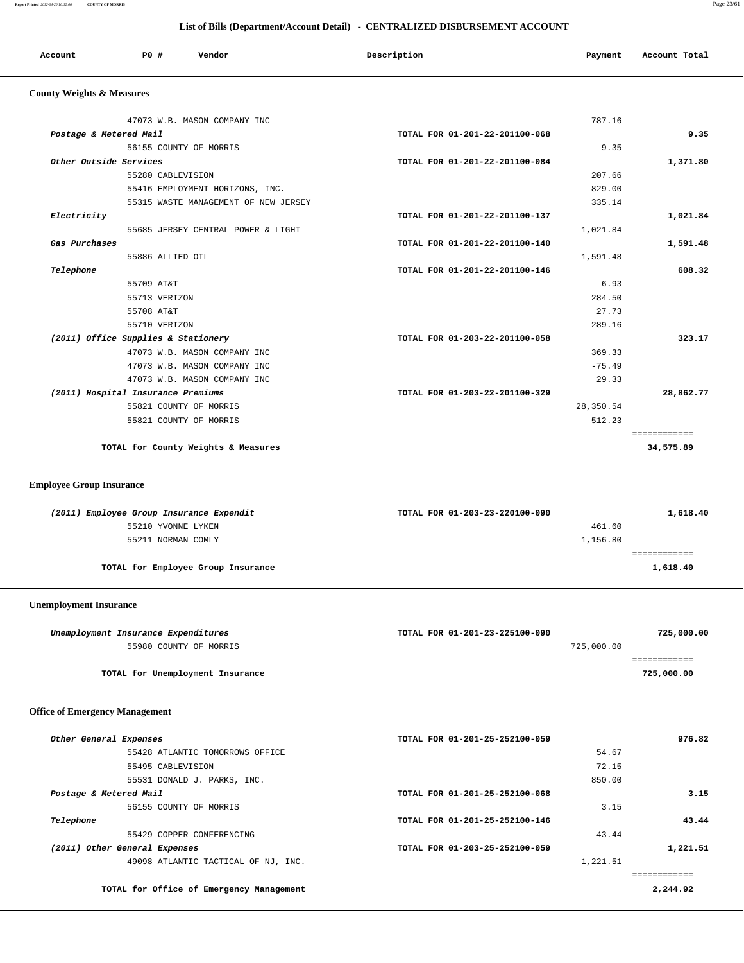| Report Printed 2012-04-20 16:12:06   | <b>COUNTY OF MORRIS</b>              |                                                                              |          | Page 23/61    |
|--------------------------------------|--------------------------------------|------------------------------------------------------------------------------|----------|---------------|
|                                      |                                      | List of Bills (Department/Account Detail) - CENTRALIZED DISBURSEMENT ACCOUNT |          |               |
| Account                              | P0 #<br>Vendor                       | Description                                                                  | Payment  | Account Total |
| <b>County Weights &amp; Measures</b> |                                      |                                                                              |          |               |
|                                      | 47073 W.B. MASON COMPANY INC         |                                                                              | 787.16   |               |
|                                      | Postage & Metered Mail               | TOTAL FOR 01-201-22-201100-068                                               |          | 9.35          |
|                                      | 56155 COUNTY OF MORRIS               |                                                                              | 9.35     |               |
|                                      | Other Outside Services               | TOTAL FOR 01-201-22-201100-084                                               |          | 1,371.80      |
|                                      | 55280 CABLEVISION                    |                                                                              | 207.66   |               |
|                                      | 55416 EMPLOYMENT HORIZONS, INC.      |                                                                              | 829.00   |               |
|                                      | 55315 WASTE MANAGEMENT OF NEW JERSEY |                                                                              | 335.14   |               |
| Electricity                          |                                      | TOTAL FOR 01-201-22-201100-137                                               |          | 1,021.84      |
|                                      | 55685 JERSEY CENTRAL POWER & LIGHT   |                                                                              | 1,021.84 |               |
| Gas Purchases                        |                                      | TOTAL FOR 01-201-22-201100-140                                               |          | 1,591.48      |
|                                      | 55886 ALLIED OIL                     |                                                                              | 1,591.48 |               |
| Telephone                            |                                      | TOTAL FOR 01-201-22-201100-146                                               |          | 608.32        |
|                                      | 55709 AT&T                           |                                                                              | 6.93     |               |
|                                      | 55713 VERIZON                        |                                                                              | 284.50   |               |
|                                      | 55708 AT&T                           |                                                                              | 27.73    |               |
|                                      | 55710 VERIZON                        |                                                                              | 289.16   |               |
|                                      | (2011) Office Supplies & Stationery  | TOTAL FOR 01-203-22-201100-058                                               |          | 323.17        |
|                                      | 47073 W.B. MASON COMPANY INC         |                                                                              | 369.33   |               |
|                                      | 47073 W.B. MASON COMPANY INC         |                                                                              | $-75.49$ |               |

| 47073 W.B. MASON COMPANY INC       | 29.33                          |        |
|------------------------------------|--------------------------------|--------|
| (2011) Hospital Insurance Premiums | TOTAL FOR 01-203-22-201100-329 | 28,862 |
| 55821 COUNTY OF MORRIS             | 28,350.54                      |        |
| 55821 COUNTY OF MORRIS             | 512.23                         |        |
|                                    |                                |        |
|                                    |                                |        |

**TOTAL for County Weights & Measures 34,575.89**

## **Employee Group Insurance**

| (2011) Employee Group Insurance Expendit | TOTAL FOR 01-203-23-220100-090 | 1,618.40 |
|------------------------------------------|--------------------------------|----------|
| 55210 YVONNE LYKEN                       | 461.60                         |          |
| 55211 NORMAN COMLY                       | 1,156.80                       |          |
|                                          |                                |          |
| TOTAL for Employee Group Insurance       |                                | 1,618.40 |
|                                          |                                |          |

 **(2011) Hospital Insurance Premiums TOTAL FOR 01-203-22-201100-329 28,862.77**

#### **Unemployment Insurance**

| Unemployment Insurance Expenditures | TOTAL FOR 01-201-23-225100-090 | 725,000.00 |
|-------------------------------------|--------------------------------|------------|
| 55980 COUNTY OF MORRIS              | 725,000.00                     |            |
|                                     |                                |            |
| TOTAL for Unemployment Insurance    |                                | 725,000.00 |
|                                     |                                |            |

#### **Office of Emergency Management**

| 976.82   | TOTAL FOR 01-201-25-252100-059 |                                          | Other General Expenses        |
|----------|--------------------------------|------------------------------------------|-------------------------------|
|          | 54.67                          | 55428 ATLANTIC TOMORROWS OFFICE          |                               |
|          | 72.15                          | 55495 CABLEVISION                        |                               |
|          | 850.00                         | 55531 DONALD J. PARKS, INC.              |                               |
| 3.15     | TOTAL FOR 01-201-25-252100-068 |                                          | Postage & Metered Mail        |
|          | 3.15                           | 56155 COUNTY OF MORRIS                   |                               |
| 43.44    | TOTAL FOR 01-201-25-252100-146 |                                          | Telephone                     |
|          | 43.44                          | 55429 COPPER CONFERENCING                |                               |
| 1,221.51 | TOTAL FOR 01-203-25-252100-059 |                                          | (2011) Other General Expenses |
|          | 1,221.51                       | 49098 ATLANTIC TACTICAL OF NJ, INC.      |                               |
|          |                                |                                          |                               |
| 2,244.92 |                                | TOTAL for Office of Emergency Management |                               |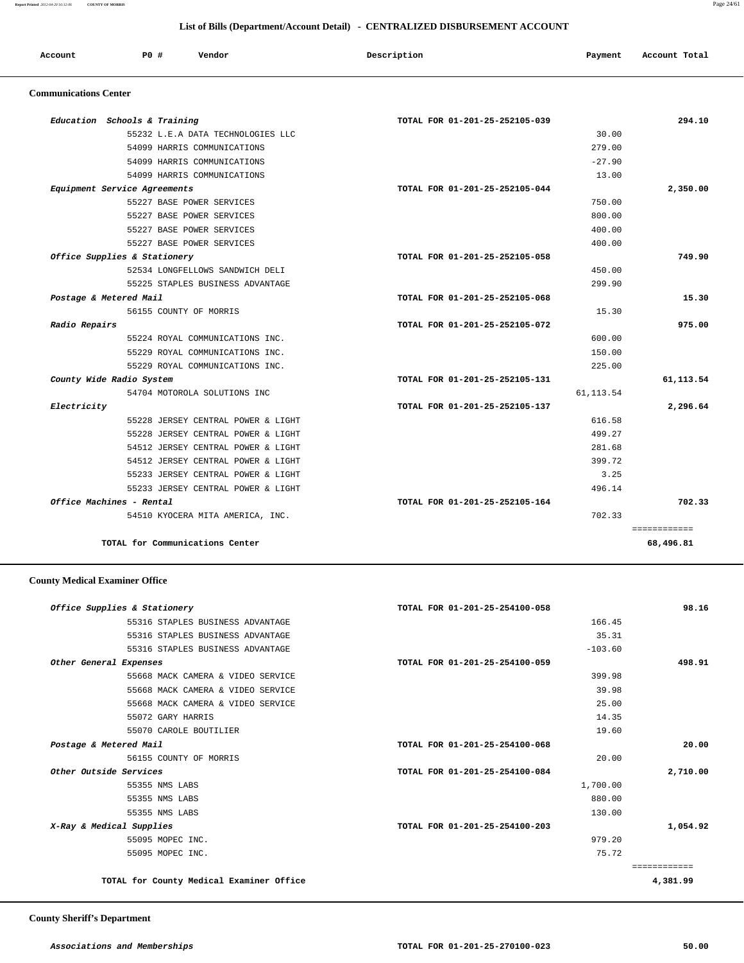|                              |                              |                                    | List of Bills (Department/Account Detail) - CENTRALIZED DISBURSEMENT ACCOUNT |            |               |
|------------------------------|------------------------------|------------------------------------|------------------------------------------------------------------------------|------------|---------------|
| Account                      | PO#                          | Vendor                             | Description                                                                  | Payment    | Account Total |
| <b>Communications Center</b> |                              |                                    |                                                                              |            |               |
|                              | Education Schools & Training |                                    | TOTAL FOR 01-201-25-252105-039                                               |            | 294.10        |
|                              |                              | 55232 L.E.A DATA TECHNOLOGIES LLC  |                                                                              | 30.00      |               |
|                              |                              | 54099 HARRIS COMMUNICATIONS        |                                                                              | 279.00     |               |
|                              |                              | 54099 HARRIS COMMUNICATIONS        |                                                                              | $-27.90$   |               |
|                              |                              | 54099 HARRIS COMMUNICATIONS        |                                                                              | 13.00      |               |
|                              | Equipment Service Agreements |                                    | TOTAL FOR 01-201-25-252105-044                                               |            | 2,350.00      |
|                              |                              | 55227 BASE POWER SERVICES          |                                                                              | 750.00     |               |
|                              |                              | 55227 BASE POWER SERVICES          |                                                                              | 800.00     |               |
|                              |                              | 55227 BASE POWER SERVICES          |                                                                              | 400.00     |               |
|                              |                              | 55227 BASE POWER SERVICES          |                                                                              | 400.00     |               |
|                              | Office Supplies & Stationery |                                    | TOTAL FOR 01-201-25-252105-058                                               |            | 749.90        |
|                              |                              | 52534 LONGFELLOWS SANDWICH DELI    |                                                                              | 450.00     |               |
|                              |                              | 55225 STAPLES BUSINESS ADVANTAGE   |                                                                              | 299.90     |               |
| Postage & Metered Mail       |                              |                                    | TOTAL FOR 01-201-25-252105-068                                               |            | 15.30         |
|                              | 56155 COUNTY OF MORRIS       |                                    |                                                                              | 15.30      |               |
| Radio Repairs                |                              |                                    | TOTAL FOR 01-201-25-252105-072                                               |            | 975.00        |
|                              |                              | 55224 ROYAL COMMUNICATIONS INC.    |                                                                              | 600.00     |               |
|                              |                              | 55229 ROYAL COMMUNICATIONS INC.    |                                                                              | 150.00     |               |
|                              |                              | 55229 ROYAL COMMUNICATIONS INC.    |                                                                              | 225.00     |               |
|                              | County Wide Radio System     |                                    | TOTAL FOR 01-201-25-252105-131                                               |            | 61, 113.54    |
|                              |                              | 54704 MOTOROLA SOLUTIONS INC       |                                                                              | 61, 113.54 |               |
| Electricity                  |                              |                                    | TOTAL FOR 01-201-25-252105-137                                               |            | 2,296.64      |
|                              |                              | 55228 JERSEY CENTRAL POWER & LIGHT |                                                                              | 616.58     |               |
|                              |                              | 55228 JERSEY CENTRAL POWER & LIGHT |                                                                              | 499.27     |               |
|                              |                              | 54512 JERSEY CENTRAL POWER & LIGHT |                                                                              | 281.68     |               |
|                              |                              | 54512 JERSEY CENTRAL POWER & LIGHT |                                                                              | 399.72     |               |
|                              |                              | 55233 JERSEY CENTRAL POWER & LIGHT |                                                                              | 3.25       |               |
|                              |                              | 55233 JERSEY CENTRAL POWER & LIGHT |                                                                              | 496.14     |               |
|                              | Office Machines - Rental     |                                    | TOTAL FOR 01-201-25-252105-164                                               |            | 702.33        |
|                              |                              | 54510 KYOCERA MITA AMERICA, INC.   |                                                                              | 702.33     |               |

**TOTAL for Communications Center 68,496.81**

#### **County Medical Examiner Office**

| Office Supplies & Stationery             | TOTAL FOR 01-201-25-254100-058 | 98.16    |
|------------------------------------------|--------------------------------|----------|
| 55316 STAPLES BUSINESS ADVANTAGE         | 166.45                         |          |
| 55316 STAPLES BUSINESS ADVANTAGE         | 35.31                          |          |
| 55316 STAPLES BUSINESS ADVANTAGE         | $-103.60$                      |          |
| Other General Expenses                   | TOTAL FOR 01-201-25-254100-059 | 498.91   |
| 55668 MACK CAMERA & VIDEO SERVICE        | 399.98                         |          |
| 55668 MACK CAMERA & VIDEO SERVICE        | 39.98                          |          |
| 55668 MACK CAMERA & VIDEO SERVICE        | 25.00                          |          |
| 55072 GARY HARRIS                        | 14.35                          |          |
| 55070 CAROLE BOUTILIER                   | 19.60                          |          |
| Postage & Metered Mail                   | TOTAL FOR 01-201-25-254100-068 | 20.00    |
| 56155 COUNTY OF MORRIS                   | 20.00                          |          |
| Other Outside Services                   | TOTAL FOR 01-201-25-254100-084 | 2,710.00 |
| 55355 NMS LABS                           | 1,700.00                       |          |
| 55355 NMS LABS                           | 880.00                         |          |
| 55355 NMS LABS                           | 130.00                         |          |
| X-Ray & Medical Supplies                 | TOTAL FOR 01-201-25-254100-203 | 1,054.92 |
| 55095 MOPEC INC.                         | 979.20                         |          |
| 55095 MOPEC INC.                         | 75.72                          |          |
|                                          |                                |          |
| TOTAL for County Medical Examiner Office |                                | 4,381.99 |
|                                          |                                |          |

============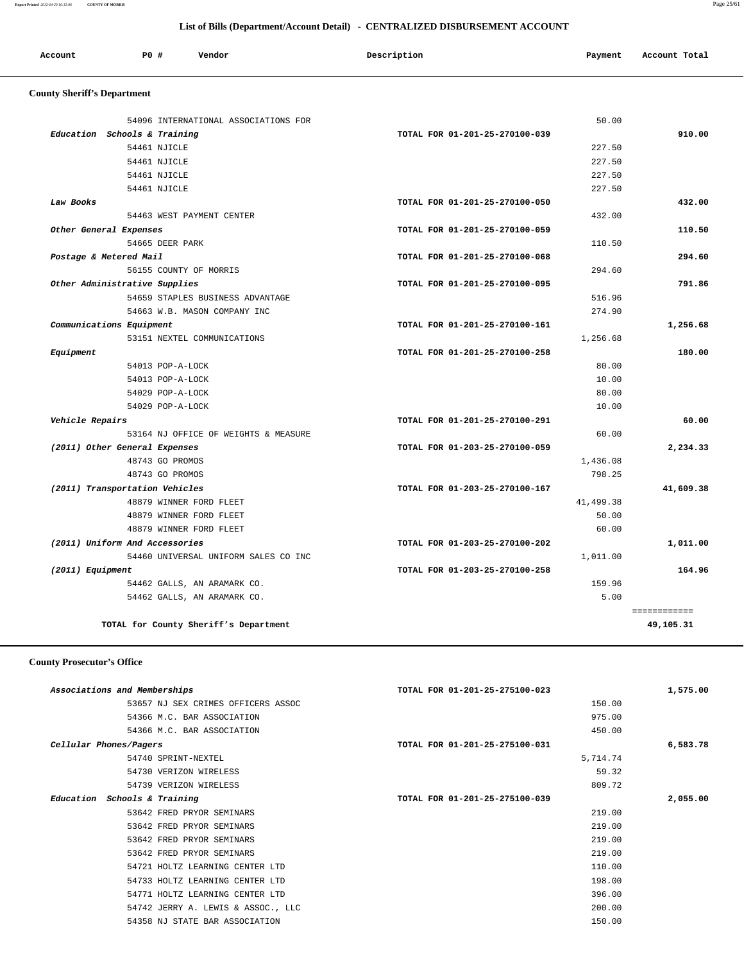**Report Printed** *2012-04-20 16:12:06* **COUNTY OF MORRIS** Page 25/61

# **List of Bills (Department/Account Detail) - CENTRALIZED DISBURSEMENT ACCOUNT**

| Account | PO# | Vendor | Description | Payment | Account Total |
|---------|-----|--------|-------------|---------|---------------|
|         |     |        |             |         |               |

## **County Sheriff's Department**

|                    | 54096 INTERNATIONAL ASSOCIATIONS FOR | 50.00                          |           |
|--------------------|--------------------------------------|--------------------------------|-----------|
|                    | Education Schools & Training         | TOTAL FOR 01-201-25-270100-039 | 910.00    |
|                    | 54461 NJICLE                         | 227.50                         |           |
|                    | 54461 NJICLE                         | 227.50                         |           |
|                    | 54461 NJICLE                         | 227.50                         |           |
|                    | 54461 NJICLE                         | 227.50                         |           |
| Law Books          |                                      | TOTAL FOR 01-201-25-270100-050 | 432.00    |
|                    | 54463 WEST PAYMENT CENTER            | 432.00                         |           |
|                    | Other General Expenses               | TOTAL FOR 01-201-25-270100-059 | 110.50    |
|                    | 54665 DEER PARK                      | 110.50                         |           |
|                    | Postage & Metered Mail               | TOTAL FOR 01-201-25-270100-068 | 294.60    |
|                    | 56155 COUNTY OF MORRIS               | 294.60                         |           |
|                    | Other Administrative Supplies        | TOTAL FOR 01-201-25-270100-095 | 791.86    |
|                    | 54659 STAPLES BUSINESS ADVANTAGE     | 516.96                         |           |
|                    | 54663 W.B. MASON COMPANY INC         | 274.90                         |           |
|                    | Communications Equipment             | TOTAL FOR 01-201-25-270100-161 | 1,256.68  |
|                    | 53151 NEXTEL COMMUNICATIONS          | 1,256.68                       |           |
| Equipment          |                                      | TOTAL FOR 01-201-25-270100-258 | 180.00    |
|                    | 54013 POP-A-LOCK                     | 80.00                          |           |
|                    | 54013 POP-A-LOCK                     | 10.00                          |           |
|                    | 54029 POP-A-LOCK                     | 80.00                          |           |
|                    | 54029 POP-A-LOCK                     | 10.00                          |           |
| Vehicle Repairs    |                                      | TOTAL FOR 01-201-25-270100-291 | 60.00     |
|                    | 53164 NJ OFFICE OF WEIGHTS & MEASURE | 60.00                          |           |
|                    | (2011) Other General Expenses        | TOTAL FOR 01-203-25-270100-059 | 2,234.33  |
|                    | 48743 GO PROMOS                      | 1,436.08                       |           |
|                    | 48743 GO PROMOS                      | 798.25                         |           |
|                    | (2011) Transportation Vehicles       | TOTAL FOR 01-203-25-270100-167 | 41,609.38 |
|                    | 48879 WINNER FORD FLEET              | 41,499.38                      |           |
|                    | 48879 WINNER FORD FLEET              | 50.00                          |           |
|                    | 48879 WINNER FORD FLEET              | 60.00                          |           |
|                    | (2011) Uniform And Accessories       | TOTAL FOR 01-203-25-270100-202 | 1,011.00  |
|                    | 54460 UNIVERSAL UNIFORM SALES CO INC | 1,011.00                       |           |
| $(2011)$ Equipment |                                      | TOTAL FOR 01-203-25-270100-258 | 164.96    |
|                    | 54462 GALLS, AN ARAMARK CO.          | 159.96                         |           |
|                    | 54462 GALLS, AN ARAMARK CO.          | 5.00                           |           |

## **County Prosecutor's Office**

| Associations and Memberships       | TOTAL FOR 01-201-25-275100-023 | 1,575.00 |
|------------------------------------|--------------------------------|----------|
| 53657 NJ SEX CRIMES OFFICERS ASSOC | 150.00                         |          |
| 54366 M.C. BAR ASSOCIATION         | 975.00                         |          |
| 54366 M.C. BAR ASSOCIATION         | 450.00                         |          |
| Cellular Phones/Pagers             | TOTAL FOR 01-201-25-275100-031 | 6,583.78 |
| 54740 SPRINT-NEXTEL                | 5,714.74                       |          |
| 54730 VERIZON WIRELESS             | 59.32                          |          |
| 54739 VERIZON WIRELESS             | 809.72                         |          |
| Education Schools & Training       | TOTAL FOR 01-201-25-275100-039 | 2,055.00 |
| 53642 FRED PRYOR SEMINARS          | 219.00                         |          |
| 53642 FRED PRYOR SEMINARS          | 219.00                         |          |
| 53642 FRED PRYOR SEMINARS          | 219.00                         |          |
| 53642 FRED PRYOR SEMINARS          | 219.00                         |          |
| 54721 HOLTZ LEARNING CENTER LTD    | 110.00                         |          |
| 54733 HOLTZ LEARNING CENTER LTD    | 198.00                         |          |
| 54771 HOLTZ LEARNING CENTER LTD    | 396.00                         |          |
| 54742 JERRY A. LEWIS & ASSOC., LLC | 200.00                         |          |
| 54358 NJ STATE BAR ASSOCIATION     | 150.00                         |          |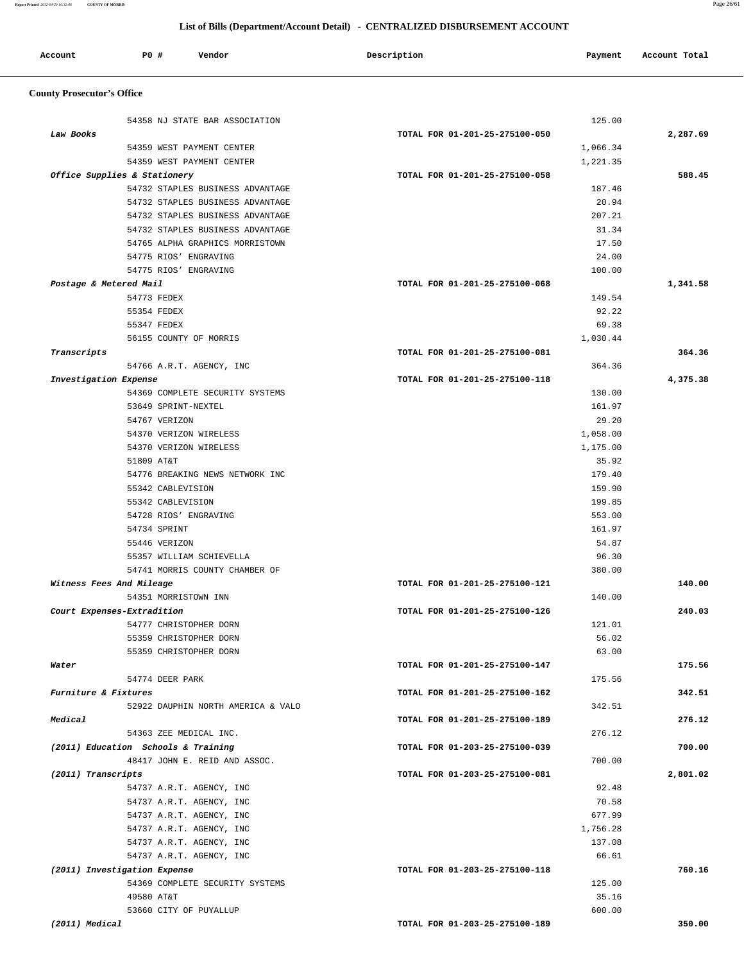#### **List of Bills (Department/Account Detail) - CENTRALIZED DISBURSEMENT ACCOUNT**

| Account | <b>PO #</b> | Vendor<br>. | Description | Payment | Account Total |
|---------|-------------|-------------|-------------|---------|---------------|
|         |             |             |             |         |               |

## **County Prosecutor's Office**

|                              | 54358 NJ STATE BAR ASSOCIATION                   |                                | 125.00          |                                                            |
|------------------------------|--------------------------------------------------|--------------------------------|-----------------|------------------------------------------------------------|
| Law Books                    |                                                  | TOTAL FOR 01-201-25-275100-050 |                 | 2,287.69                                                   |
|                              | 54359 WEST PAYMENT CENTER                        |                                | 1,066.34        |                                                            |
|                              | 54359 WEST PAYMENT CENTER                        |                                | 1,221.35        |                                                            |
| Office Supplies & Stationery |                                                  | TOTAL FOR 01-201-25-275100-058 |                 | 588.45                                                     |
|                              | 54732 STAPLES BUSINESS ADVANTAGE                 |                                | 187.46          |                                                            |
|                              | 54732 STAPLES BUSINESS ADVANTAGE                 |                                | 20.94           |                                                            |
|                              | 54732 STAPLES BUSINESS ADVANTAGE                 |                                | 207.21          |                                                            |
|                              | 54732 STAPLES BUSINESS ADVANTAGE                 |                                | 31.34           |                                                            |
|                              | 54765 ALPHA GRAPHICS MORRISTOWN                  |                                | 17.50           |                                                            |
|                              | 54775 RIOS' ENGRAVING                            |                                | 24.00           |                                                            |
|                              | 54775 RIOS' ENGRAVING                            |                                | 100.00          |                                                            |
| Postage & Metered Mail       |                                                  | TOTAL FOR 01-201-25-275100-068 |                 | 1,341.58                                                   |
|                              | 54773 FEDEX                                      |                                | 149.54          |                                                            |
|                              | 55354 FEDEX                                      |                                | 92.22           |                                                            |
|                              | 55347 FEDEX                                      |                                | 69.38           |                                                            |
|                              | 56155 COUNTY OF MORRIS                           |                                | 1,030.44        |                                                            |
| Transcripts                  |                                                  | TOTAL FOR 01-201-25-275100-081 |                 | 364.36                                                     |
|                              | 54766 A.R.T. AGENCY, INC                         |                                | 364.36          |                                                            |
| Investigation Expense        |                                                  | TOTAL FOR 01-201-25-275100-118 |                 | 4,375.38                                                   |
|                              | 54369 COMPLETE SECURITY SYSTEMS                  |                                | 130.00          |                                                            |
|                              | 53649 SPRINT-NEXTEL                              |                                | 161.97          |                                                            |
|                              | 54767 VERIZON                                    |                                | 29.20           |                                                            |
|                              | 54370 VERIZON WIRELESS                           |                                | 1,058.00        |                                                            |
|                              | 54370 VERIZON WIRELESS                           |                                | 1,175.00        |                                                            |
|                              | 51809 AT&T                                       |                                | 35.92           |                                                            |
|                              | 54776 BREAKING NEWS NETWORK INC                  |                                | 179.40          |                                                            |
|                              | 55342 CABLEVISION                                |                                | 159.90          |                                                            |
|                              | 55342 CABLEVISION                                |                                | 199.85          |                                                            |
|                              | 54728 RIOS' ENGRAVING                            |                                | 553.00          |                                                            |
|                              | 54734 SPRINT                                     |                                | 161.97          |                                                            |
|                              | 55446 VERIZON                                    |                                | 54.87           |                                                            |
|                              | 55357 WILLIAM SCHIEVELLA                         |                                | 96.30           |                                                            |
|                              | 54741 MORRIS COUNTY CHAMBER OF                   |                                | 380.00          |                                                            |
| Witness Fees And Mileage     |                                                  | TOTAL FOR 01-201-25-275100-121 |                 | 140.00                                                     |
|                              | 54351 MORRISTOWN INN                             |                                | 140.00          |                                                            |
| Court Expenses-Extradition   |                                                  | TOTAL FOR 01-201-25-275100-126 |                 | 240.03                                                     |
|                              |                                                  |                                |                 |                                                            |
|                              |                                                  |                                |                 |                                                            |
|                              | 54777 CHRISTOPHER DORN                           |                                | 121.01          |                                                            |
|                              | 55359 CHRISTOPHER DORN<br>55359 CHRISTOPHER DORN |                                | 56.02<br>63.00  |                                                            |
|                              |                                                  | TOTAL FOR 01-201-25-275100-147 |                 |                                                            |
| Water                        | 54774 DEER PARK                                  |                                | 175.56          |                                                            |
| Furniture & Fixtures         |                                                  |                                |                 |                                                            |
|                              | 52922 DAUPHIN NORTH AMERICA & VALO               | TOTAL FOR 01-201-25-275100-162 | 342.51          |                                                            |
| Medical                      |                                                  |                                |                 |                                                            |
|                              |                                                  | TOTAL FOR 01-201-25-275100-189 |                 |                                                            |
|                              | 54363 ZEE MEDICAL INC.                           |                                | 276.12          |                                                            |
|                              | (2011) Education Schools & Training              | TOTAL FOR 01-203-25-275100-039 |                 |                                                            |
|                              | 48417 JOHN E. REID AND ASSOC.                    |                                | 700.00          |                                                            |
| (2011) Transcripts           |                                                  | TOTAL FOR 01-203-25-275100-081 |                 |                                                            |
|                              | 54737 A.R.T. AGENCY, INC                         |                                | 92.48           |                                                            |
|                              | 54737 A.R.T. AGENCY, INC                         |                                | 70.58           |                                                            |
|                              | 54737 A.R.T. AGENCY, INC                         |                                | 677.99          |                                                            |
|                              | 54737 A.R.T. AGENCY, INC                         |                                | 1,756.28        |                                                            |
|                              | 54737 A.R.T. AGENCY, INC                         |                                | 137.08          |                                                            |
|                              | 54737 A.R.T. AGENCY, INC                         |                                | 66.61           |                                                            |
| (2011) Investigation Expense |                                                  | TOTAL FOR 01-203-25-275100-118 |                 |                                                            |
|                              | 54369 COMPLETE SECURITY SYSTEMS                  |                                | 125.00          |                                                            |
|                              | 49580 AT&T<br>53660 CITY OF PUYALLUP             |                                | 35.16<br>600.00 | 175.56<br>342.51<br>276.12<br>700.00<br>2,801.02<br>760.16 |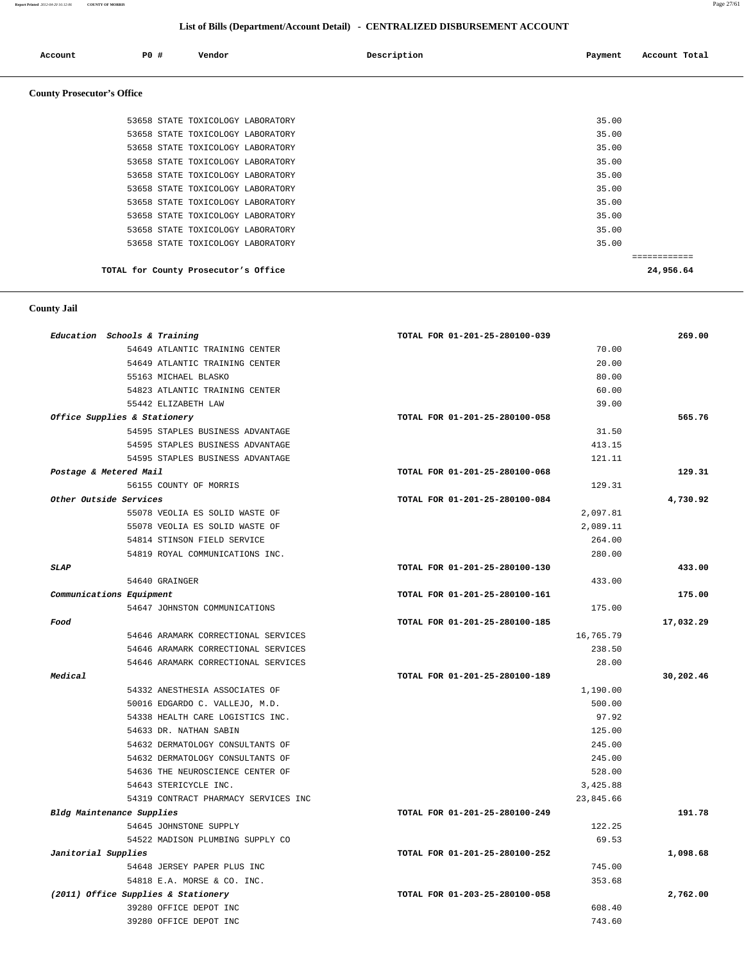**Report Printed** *2012-04-20 16:12:06* **COUNTY OF MORRIS** Page 27/61

#### **List of Bills (Department/Account Detail) - CENTRALIZED DISBURSEMENT ACCOUNT**

| Account                           | P0 # | Vendor                               | Description | Payment | Account Total |
|-----------------------------------|------|--------------------------------------|-------------|---------|---------------|
| <b>County Prosecutor's Office</b> |      |                                      |             |         |               |
|                                   |      | 53658 STATE TOXICOLOGY LABORATORY    |             | 35.00   |               |
|                                   |      | 53658 STATE TOXICOLOGY LABORATORY    |             | 35.00   |               |
|                                   |      | 53658 STATE TOXICOLOGY LABORATORY    |             | 35.00   |               |
|                                   |      | 53658 STATE TOXICOLOGY LABORATORY    |             | 35.00   |               |
|                                   |      | 53658 STATE TOXICOLOGY LABORATORY    |             | 35.00   |               |
|                                   |      | 53658 STATE TOXICOLOGY LABORATORY    |             | 35.00   |               |
|                                   |      | 53658 STATE TOXICOLOGY LABORATORY    |             | 35.00   |               |
|                                   |      | 53658 STATE TOXICOLOGY LABORATORY    |             | 35.00   |               |
|                                   |      | 53658 STATE TOXICOLOGY LABORATORY    |             | 35.00   |               |
|                                   |      | 53658 STATE TOXICOLOGY LABORATORY    |             | 35.00   |               |
|                                   |      |                                      |             |         | ------------  |
|                                   |      | TOTAL for County Prosecutor's Office |             |         | 24,956.64     |

#### **County Jail**

| Education Schools & Training |                                      | TOTAL FOR 01-201-25-280100-039 | 269.00    |
|------------------------------|--------------------------------------|--------------------------------|-----------|
|                              | 54649 ATLANTIC TRAINING CENTER       | 70.00                          |           |
|                              | 54649 ATLANTIC TRAINING CENTER       | 20.00                          |           |
|                              | 55163 MICHAEL BLASKO                 | 80.00                          |           |
|                              | 54823 ATLANTIC TRAINING CENTER       | 60.00                          |           |
|                              | 55442 ELIZABETH LAW                  | 39.00                          |           |
| Office Supplies & Stationery |                                      | TOTAL FOR 01-201-25-280100-058 | 565.76    |
|                              | 54595 STAPLES BUSINESS ADVANTAGE     | 31.50                          |           |
|                              | 54595 STAPLES BUSINESS ADVANTAGE     | 413.15                         |           |
|                              | 54595 STAPLES BUSINESS ADVANTAGE     | 121.11                         |           |
| Postage & Metered Mail       |                                      | TOTAL FOR 01-201-25-280100-068 | 129.31    |
|                              | 56155 COUNTY OF MORRIS               | 129.31                         |           |
| Other Outside Services       |                                      | TOTAL FOR 01-201-25-280100-084 | 4,730.92  |
|                              | 55078 VEOLIA ES SOLID WASTE OF       | 2,097.81                       |           |
|                              | 55078 VEOLIA ES SOLID WASTE OF       | 2,089.11                       |           |
|                              | 54814 STINSON FIELD SERVICE          | 264.00                         |           |
|                              | 54819 ROYAL COMMUNICATIONS INC.      | 280.00                         |           |
| SLAP                         |                                      | TOTAL FOR 01-201-25-280100-130 | 433.00    |
|                              | 54640 GRAINGER                       | 433.00                         |           |
| Communications Equipment     |                                      | TOTAL FOR 01-201-25-280100-161 | 175.00    |
|                              | 54647 JOHNSTON COMMUNICATIONS        | 175.00                         |           |
| Food                         |                                      | TOTAL FOR 01-201-25-280100-185 | 17,032.29 |
|                              | 54646 ARAMARK CORRECTIONAL SERVICES  | 16,765.79                      |           |
|                              | 54646 ARAMARK CORRECTIONAL SERVICES  | 238.50                         |           |
|                              | 54646 ARAMARK CORRECTIONAL SERVICES  | 28.00                          |           |
| Medical                      |                                      | TOTAL FOR 01-201-25-280100-189 | 30,202.46 |
|                              | 54332 ANESTHESIA ASSOCIATES OF       | 1,190.00                       |           |
|                              | 50016 EDGARDO C. VALLEJO, M.D.       | 500.00                         |           |
|                              | 54338 HEALTH CARE LOGISTICS INC.     | 97.92                          |           |
|                              | 54633 DR. NATHAN SABIN               | 125.00                         |           |
|                              | 54632 DERMATOLOGY CONSULTANTS OF     | 245.00                         |           |
|                              | 54632 DERMATOLOGY CONSULTANTS OF     | 245.00                         |           |
|                              | 54636 THE NEUROSCIENCE CENTER OF     | 528.00                         |           |
|                              | 54643 STERICYCLE INC.                | 3,425.88                       |           |
|                              | 54319 CONTRACT PHARMACY SERVICES INC | 23,845.66                      |           |
| Bldg Maintenance Supplies    |                                      | TOTAL FOR 01-201-25-280100-249 | 191.78    |
|                              | 54645 JOHNSTONE SUPPLY               | 122.25                         |           |
|                              | 54522 MADISON PLUMBING SUPPLY CO     | 69.53                          |           |
| Janitorial Supplies          |                                      | TOTAL FOR 01-201-25-280100-252 | 1,098.68  |
|                              | 54648 JERSEY PAPER PLUS INC          | 745.00                         |           |
|                              | 54818 E.A. MORSE & CO. INC.          | 353.68                         |           |
|                              | (2011) Office Supplies & Stationery  | TOTAL FOR 01-203-25-280100-058 | 2,762.00  |
|                              | 39280 OFFICE DEPOT INC               | 608.40                         |           |
|                              | 39280 OFFICE DEPOT INC               | 743.60                         |           |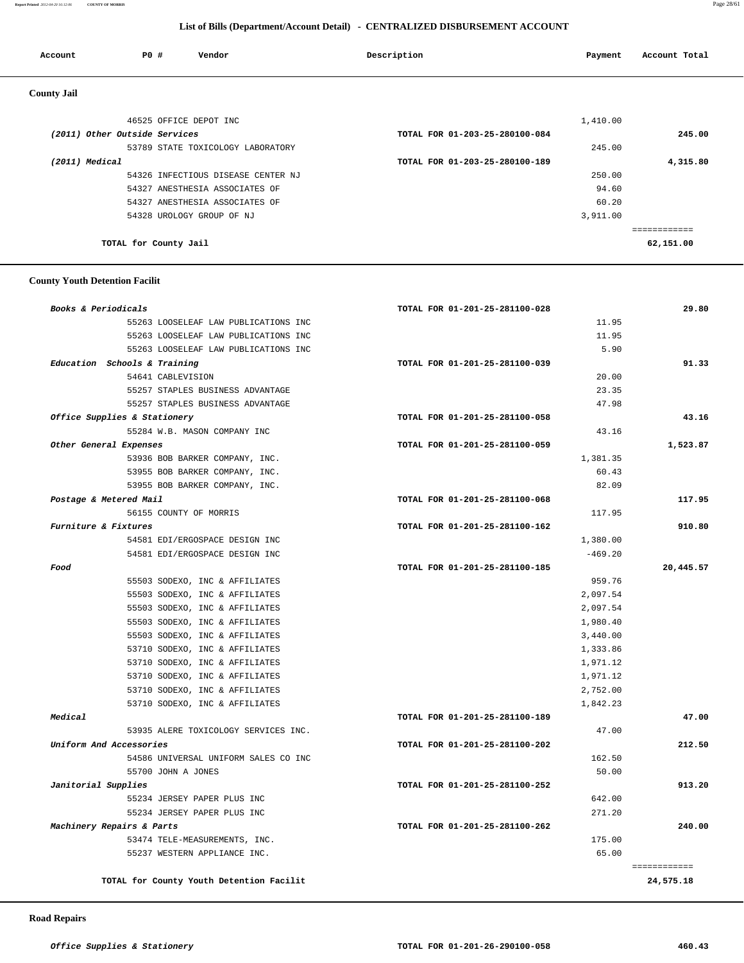#### **Report Printed** *2012-04-20 16:12:06* **COUNTY OF MORRIS** Page 28/61

#### **List of Bills (Department/Account Detail) - CENTRALIZED DISBURSEMENT ACCOUNT**

| Account            | P0 #                          |                        | Vendor                             | Description                    | Payment  | Account Total |
|--------------------|-------------------------------|------------------------|------------------------------------|--------------------------------|----------|---------------|
| <b>County Jail</b> |                               |                        |                                    |                                |          |               |
|                    |                               | 46525 OFFICE DEPOT INC |                                    |                                | 1,410.00 |               |
|                    | (2011) Other Outside Services |                        |                                    | TOTAL FOR 01-203-25-280100-084 |          | 245.00        |
|                    |                               |                        | 53789 STATE TOXICOLOGY LABORATORY  |                                | 245.00   |               |
|                    | (2011) Medical                |                        |                                    | TOTAL FOR 01-203-25-280100-189 |          | 4,315.80      |
|                    |                               |                        | 54326 INFECTIOUS DISEASE CENTER NJ |                                | 250.00   |               |
|                    |                               |                        | 54327 ANESTHESIA ASSOCIATES OF     |                                | 94.60    |               |
|                    |                               |                        | 54327 ANESTHESIA ASSOCIATES OF     |                                | 60.20    |               |
|                    |                               |                        | 54328 UROLOGY GROUP OF NJ          |                                | 3,911.00 |               |
|                    |                               |                        |                                    |                                |          | ============  |
|                    | TOTAL for County Jail         |                        |                                    |                                |          | 62,151.00     |

#### **County Youth Detention Facilit**

| TOTAL FOR 01-201-25-281100-028 | 29.80                                                                                                                                                                                                                                                                                                                |
|--------------------------------|----------------------------------------------------------------------------------------------------------------------------------------------------------------------------------------------------------------------------------------------------------------------------------------------------------------------|
|                                |                                                                                                                                                                                                                                                                                                                      |
|                                |                                                                                                                                                                                                                                                                                                                      |
|                                |                                                                                                                                                                                                                                                                                                                      |
| TOTAL FOR 01-201-25-281100-039 | 91.33                                                                                                                                                                                                                                                                                                                |
|                                |                                                                                                                                                                                                                                                                                                                      |
|                                |                                                                                                                                                                                                                                                                                                                      |
|                                |                                                                                                                                                                                                                                                                                                                      |
| TOTAL FOR 01-201-25-281100-058 | 43.16                                                                                                                                                                                                                                                                                                                |
|                                |                                                                                                                                                                                                                                                                                                                      |
| TOTAL FOR 01-201-25-281100-059 | 1,523.87                                                                                                                                                                                                                                                                                                             |
|                                |                                                                                                                                                                                                                                                                                                                      |
|                                |                                                                                                                                                                                                                                                                                                                      |
|                                |                                                                                                                                                                                                                                                                                                                      |
| TOTAL FOR 01-201-25-281100-068 | 117.95                                                                                                                                                                                                                                                                                                               |
|                                |                                                                                                                                                                                                                                                                                                                      |
| TOTAL FOR 01-201-25-281100-162 | 910.80                                                                                                                                                                                                                                                                                                               |
|                                |                                                                                                                                                                                                                                                                                                                      |
|                                |                                                                                                                                                                                                                                                                                                                      |
| TOTAL FOR 01-201-25-281100-185 | 20,445.57                                                                                                                                                                                                                                                                                                            |
|                                |                                                                                                                                                                                                                                                                                                                      |
|                                |                                                                                                                                                                                                                                                                                                                      |
|                                |                                                                                                                                                                                                                                                                                                                      |
|                                |                                                                                                                                                                                                                                                                                                                      |
|                                |                                                                                                                                                                                                                                                                                                                      |
|                                |                                                                                                                                                                                                                                                                                                                      |
|                                |                                                                                                                                                                                                                                                                                                                      |
|                                |                                                                                                                                                                                                                                                                                                                      |
|                                |                                                                                                                                                                                                                                                                                                                      |
|                                |                                                                                                                                                                                                                                                                                                                      |
| TOTAL FOR 01-201-25-281100-189 | 47.00                                                                                                                                                                                                                                                                                                                |
|                                |                                                                                                                                                                                                                                                                                                                      |
| TOTAL FOR 01-201-25-281100-202 | 212.50                                                                                                                                                                                                                                                                                                               |
|                                |                                                                                                                                                                                                                                                                                                                      |
|                                |                                                                                                                                                                                                                                                                                                                      |
| TOTAL FOR 01-201-25-281100-252 | 913.20                                                                                                                                                                                                                                                                                                               |
|                                |                                                                                                                                                                                                                                                                                                                      |
|                                |                                                                                                                                                                                                                                                                                                                      |
| TOTAL FOR 01-201-25-281100-262 | 240.00                                                                                                                                                                                                                                                                                                               |
|                                |                                                                                                                                                                                                                                                                                                                      |
|                                |                                                                                                                                                                                                                                                                                                                      |
|                                | ============                                                                                                                                                                                                                                                                                                         |
|                                | 24,575.18                                                                                                                                                                                                                                                                                                            |
|                                | 11.95<br>11.95<br>5.90<br>20.00<br>23.35<br>47.98<br>43.16<br>1,381.35<br>60.43<br>82.09<br>117.95<br>1,380.00<br>$-469.20$<br>959.76<br>2,097.54<br>2,097.54<br>1,980.40<br>3,440.00<br>1,333.86<br>1,971.12<br>1,971.12<br>2,752.00<br>1,842.23<br>47.00<br>162.50<br>50.00<br>642.00<br>271.20<br>175.00<br>65.00 |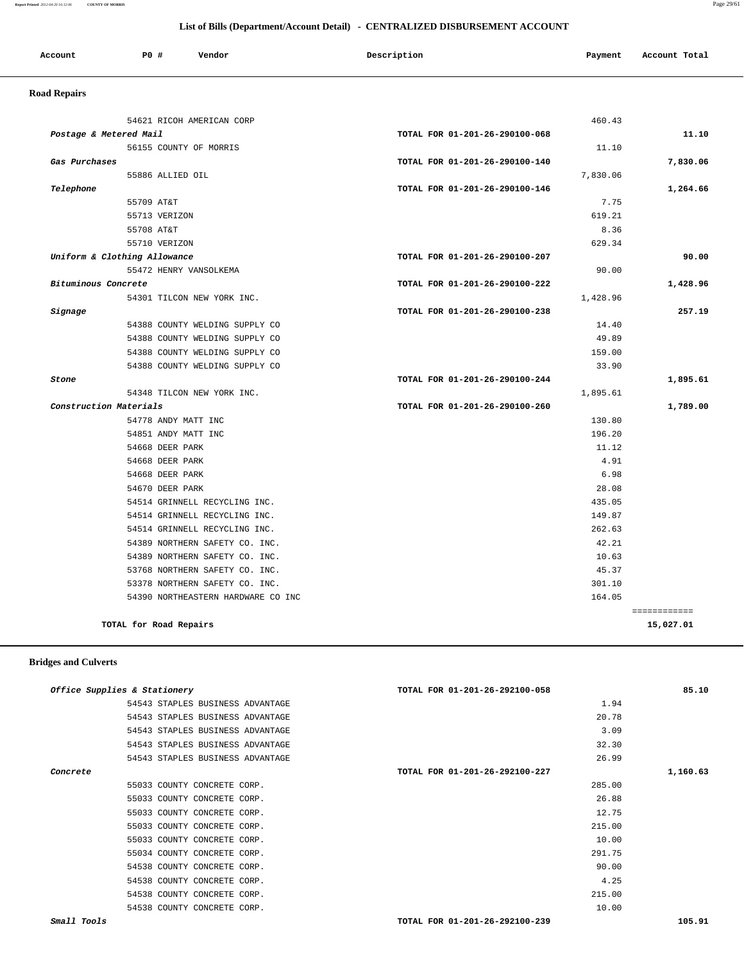#### **List of Bills (Department/Account Detail) - CENTRALIZED DISBURSEMENT ACCOUNT**

| Account<br>. | <b>PO #</b> | Vendor | Description | Payment | Account Total |
|--------------|-------------|--------|-------------|---------|---------------|
|              |             |        |             |         |               |

## **Road Repairs**

| 54621 RICOH AMERICAN CORP          |                                | 460.43   |              |  |
|------------------------------------|--------------------------------|----------|--------------|--|
| Postage & Metered Mail             | TOTAL FOR 01-201-26-290100-068 |          | 11.10        |  |
| 56155 COUNTY OF MORRIS             | 11.10                          |          |              |  |
| Gas Purchases                      | TOTAL FOR 01-201-26-290100-140 |          | 7,830.06     |  |
| 55886 ALLIED OIL                   |                                | 7,830.06 |              |  |
| Telephone                          | TOTAL FOR 01-201-26-290100-146 |          | 1,264.66     |  |
| 55709 AT&T                         |                                | 7.75     |              |  |
| 55713 VERIZON                      |                                | 619.21   |              |  |
| 55708 AT&T                         |                                | 8.36     |              |  |
| 55710 VERIZON                      |                                | 629.34   |              |  |
| Uniform & Clothing Allowance       | TOTAL FOR 01-201-26-290100-207 |          | 90.00        |  |
| 55472 HENRY VANSOLKEMA             |                                | 90.00    |              |  |
| Bituminous Concrete                | TOTAL FOR 01-201-26-290100-222 |          | 1,428.96     |  |
| 54301 TILCON NEW YORK INC.         |                                | 1,428.96 |              |  |
| Signage                            | TOTAL FOR 01-201-26-290100-238 |          | 257.19       |  |
| 54388 COUNTY WELDING SUPPLY CO     |                                | 14.40    |              |  |
| 54388 COUNTY WELDING SUPPLY CO     |                                | 49.89    |              |  |
| 54388 COUNTY WELDING SUPPLY CO     |                                | 159.00   |              |  |
| 54388 COUNTY WELDING SUPPLY CO     |                                | 33.90    |              |  |
| Stone                              | TOTAL FOR 01-201-26-290100-244 |          | 1,895.61     |  |
| 54348 TILCON NEW YORK INC.         |                                | 1,895.61 |              |  |
| Construction Materials             | TOTAL FOR 01-201-26-290100-260 |          | 1,789.00     |  |
| 54778 ANDY MATT INC                |                                | 130.80   |              |  |
| 54851 ANDY MATT INC                |                                | 196.20   |              |  |
| 54668 DEER PARK                    |                                | 11.12    |              |  |
| 54668 DEER PARK                    |                                | 4.91     |              |  |
| 54668 DEER PARK                    |                                | 6.98     |              |  |
| 54670 DEER PARK                    |                                | 28.08    |              |  |
| 54514 GRINNELL RECYCLING INC.      |                                | 435.05   |              |  |
| 54514 GRINNELL RECYCLING INC.      |                                | 149.87   |              |  |
| 54514 GRINNELL RECYCLING INC.      |                                | 262.63   |              |  |
| 54389 NORTHERN SAFETY CO. INC.     |                                | 42.21    |              |  |
| 54389 NORTHERN SAFETY CO. INC.     |                                | 10.63    |              |  |
| 53768 NORTHERN SAFETY CO. INC.     |                                | 45.37    |              |  |
| 53378 NORTHERN SAFETY CO. INC.     |                                | 301.10   |              |  |
|                                    |                                |          |              |  |
| 54390 NORTHEASTERN HARDWARE CO INC |                                | 164.05   |              |  |
|                                    |                                |          | ============ |  |

#### **Bridges and Culverts**

| 85.10    | TOTAL FOR 01-201-26-292100-058 | Office Supplies & Stationery     |
|----------|--------------------------------|----------------------------------|
|          | 1.94                           | 54543 STAPLES BUSINESS ADVANTAGE |
|          | 20.78                          | 54543 STAPLES BUSINESS ADVANTAGE |
|          | 3.09                           | 54543 STAPLES BUSINESS ADVANTAGE |
|          | 32.30                          | 54543 STAPLES BUSINESS ADVANTAGE |
|          | 26.99                          | 54543 STAPLES BUSINESS ADVANTAGE |
| 1,160.63 | TOTAL FOR 01-201-26-292100-227 | Concrete                         |
|          | 285.00                         | 55033 COUNTY CONCRETE CORP.      |
|          | 26.88                          | 55033 COUNTY CONCRETE CORP.      |
|          | 12.75                          | 55033 COUNTY CONCRETE CORP.      |
|          | 215.00                         | 55033 COUNTY CONCRETE CORP.      |
|          | 10.00                          | 55033 COUNTY CONCRETE CORP.      |
|          | 291.75                         | 55034 COUNTY CONCRETE CORP.      |
|          | 90.00                          | 54538 COUNTY CONCRETE CORP.      |
|          | 4.25                           | 54538 COUNTY CONCRETE CORP.      |
|          | 215.00                         | 54538 COUNTY CONCRETE CORP.      |
|          | 10.00                          | 54538 COUNTY CONCRETE CORP.      |
| 105.91   | TOTAL FOR 01-201-26-292100-239 | Small Tools                      |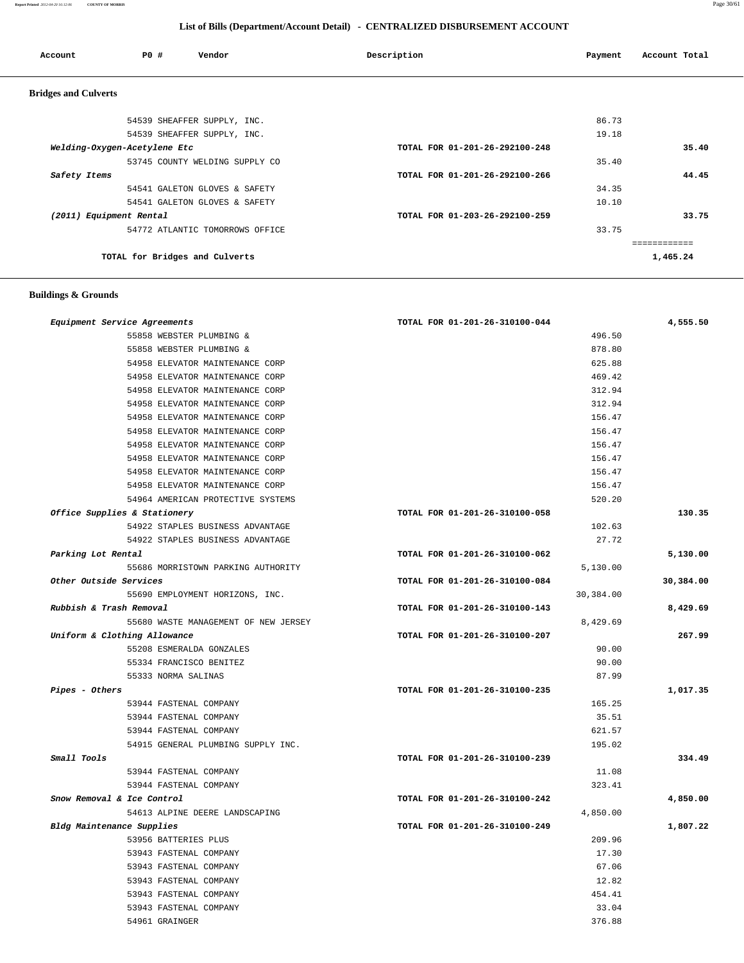#### **Report Printed** *2012-04-20 16:12:06* **COUNTY OF MORRIS** Page 30/61

 **List of Bills (Department/Account Detail) - CENTRALIZED DISBURSEMENT ACCOUNT**

| Account                     | PO#                            | Vendor                          | Description                    | Payment | Account Total |
|-----------------------------|--------------------------------|---------------------------------|--------------------------------|---------|---------------|
| <b>Bridges and Culverts</b> |                                |                                 |                                |         |               |
|                             |                                | 54539 SHEAFFER SUPPLY, INC.     |                                | 86.73   |               |
|                             |                                | 54539 SHEAFFER SUPPLY, INC.     |                                | 19.18   |               |
|                             | Welding-Oxygen-Acetylene Etc   |                                 | TOTAL FOR 01-201-26-292100-248 |         | 35.40         |
|                             |                                | 53745 COUNTY WELDING SUPPLY CO  |                                | 35.40   |               |
| Safety Items                |                                |                                 | TOTAL FOR 01-201-26-292100-266 |         | 44.45         |
|                             |                                | 54541 GALETON GLOVES & SAFETY   |                                | 34.35   |               |
|                             |                                | 54541 GALETON GLOVES & SAFETY   |                                | 10.10   |               |
| (2011) Equipment Rental     |                                |                                 | TOTAL FOR 01-203-26-292100-259 |         | 33.75         |
|                             |                                | 54772 ATLANTIC TOMORROWS OFFICE |                                | 33.75   |               |
|                             |                                |                                 |                                |         | ============  |
|                             | TOTAL for Bridges and Culverts |                                 |                                |         | 1,465.24      |

#### **Buildings & Grounds**

| Equipment Service Agreements         | TOTAL FOR 01-201-26-310100-044 | 4,555.50  |
|--------------------------------------|--------------------------------|-----------|
| 55858 WEBSTER PLUMBING &             | 496.50                         |           |
| 55858 WEBSTER PLUMBING &             | 878.80                         |           |
| 54958 ELEVATOR MAINTENANCE CORP      | 625.88                         |           |
| 54958 ELEVATOR MAINTENANCE CORP      | 469.42                         |           |
| 54958 ELEVATOR MAINTENANCE CORP      | 312.94                         |           |
| 54958 ELEVATOR MAINTENANCE CORP      | 312.94                         |           |
| 54958 ELEVATOR MAINTENANCE CORP      | 156.47                         |           |
| 54958 ELEVATOR MAINTENANCE CORP      | 156.47                         |           |
| 54958 ELEVATOR MAINTENANCE CORP      | 156.47                         |           |
| 54958 ELEVATOR MAINTENANCE CORP      | 156.47                         |           |
| 54958 ELEVATOR MAINTENANCE CORP      | 156.47                         |           |
| 54958 ELEVATOR MAINTENANCE CORP      | 156.47                         |           |
| 54964 AMERICAN PROTECTIVE SYSTEMS    | 520.20                         |           |
| Office Supplies & Stationery         | TOTAL FOR 01-201-26-310100-058 | 130.35    |
| 54922 STAPLES BUSINESS ADVANTAGE     | 102.63                         |           |
| 54922 STAPLES BUSINESS ADVANTAGE     | 27.72                          |           |
| Parking Lot Rental                   | TOTAL FOR 01-201-26-310100-062 | 5,130.00  |
| 55686 MORRISTOWN PARKING AUTHORITY   | 5,130.00                       |           |
| Other Outside Services               | TOTAL FOR 01-201-26-310100-084 | 30,384.00 |
| 55690 EMPLOYMENT HORIZONS, INC.      | 30,384.00                      |           |
| Rubbish & Trash Removal              | TOTAL FOR 01-201-26-310100-143 | 8,429.69  |
| 55680 WASTE MANAGEMENT OF NEW JERSEY | 8,429.69                       |           |
| Uniform & Clothing Allowance         | TOTAL FOR 01-201-26-310100-207 | 267.99    |
| 55208 ESMERALDA GONZALES             | 90.00                          |           |
| 55334 FRANCISCO BENITEZ              | 90.00                          |           |
| 55333 NORMA SALINAS                  | 87.99                          |           |
| Pipes - Others                       | TOTAL FOR 01-201-26-310100-235 | 1,017.35  |
| 53944 FASTENAL COMPANY               | 165.25                         |           |
| 53944 FASTENAL COMPANY               | 35.51                          |           |
| 53944 FASTENAL COMPANY               | 621.57                         |           |
| 54915 GENERAL PLUMBING SUPPLY INC.   | 195.02                         |           |
| Small Tools                          | TOTAL FOR 01-201-26-310100-239 | 334.49    |
| 53944 FASTENAL COMPANY               | 11.08                          |           |
| 53944 FASTENAL COMPANY               | 323.41                         |           |
| Snow Removal & Ice Control           | TOTAL FOR 01-201-26-310100-242 | 4,850.00  |
| 54613 ALPINE DEERE LANDSCAPING       | 4,850.00                       |           |
| Bldg Maintenance Supplies            | TOTAL FOR 01-201-26-310100-249 | 1,807.22  |
| 53956 BATTERIES PLUS                 | 209.96                         |           |
| 53943 FASTENAL COMPANY               | 17.30                          |           |
| 53943 FASTENAL COMPANY               | 67.06                          |           |
| 53943 FASTENAL COMPANY               | 12.82                          |           |
| 53943 FASTENAL COMPANY               | 454.41                         |           |
| 53943 FASTENAL COMPANY               | 33.04                          |           |
| 54961 GRAINGER                       | 376.88                         |           |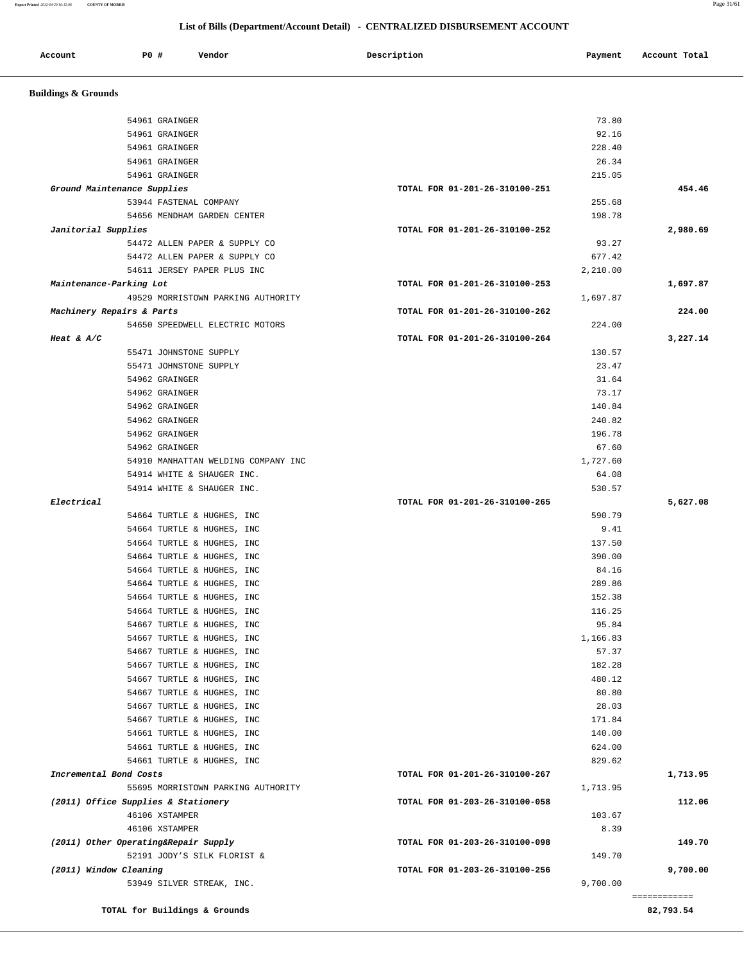**Report Printed** *2012-04-20 16:12:06* **COUNTY OF MORRIS** Page 31/61

# **List of Bills (Department/Account Detail) - CENTRALIZED DISBURSEMENT ACCOUNT**

| <b>Buildings &amp; Grounds</b> |                                                              |                                |                 |                                          |
|--------------------------------|--------------------------------------------------------------|--------------------------------|-----------------|------------------------------------------|
|                                | 54961 GRAINGER                                               |                                | 73.80           |                                          |
|                                | 54961 GRAINGER                                               |                                | 92.16           |                                          |
|                                | 54961 GRAINGER                                               |                                | 228.40          |                                          |
|                                | 54961 GRAINGER                                               |                                | 26.34           |                                          |
|                                | 54961 GRAINGER                                               |                                | 215.05          |                                          |
|                                | Ground Maintenance Supplies                                  | TOTAL FOR 01-201-26-310100-251 |                 | 454.46                                   |
|                                | 53944 FASTENAL COMPANY                                       |                                | 255.68          |                                          |
|                                | 54656 MENDHAM GARDEN CENTER                                  |                                | 198.78          |                                          |
| Janitorial Supplies            |                                                              | TOTAL FOR 01-201-26-310100-252 |                 | 2,980.69                                 |
|                                | 54472 ALLEN PAPER & SUPPLY CO                                |                                | 93.27<br>677.42 |                                          |
|                                | 54472 ALLEN PAPER & SUPPLY CO<br>54611 JERSEY PAPER PLUS INC |                                | 2,210.00        |                                          |
| Maintenance-Parking Lot        |                                                              | TOTAL FOR 01-201-26-310100-253 |                 | 1,697.87                                 |
|                                | 49529 MORRISTOWN PARKING AUTHORITY                           |                                | 1,697.87        |                                          |
|                                | Machinery Repairs & Parts                                    | TOTAL FOR 01-201-26-310100-262 |                 | 224.00                                   |
|                                | 54650 SPEEDWELL ELECTRIC MOTORS                              |                                | 224.00          |                                          |
| Heat & $A/C$                   |                                                              | TOTAL FOR 01-201-26-310100-264 |                 | 3,227.14                                 |
|                                | 55471 JOHNSTONE SUPPLY                                       |                                | 130.57          |                                          |
|                                | 55471 JOHNSTONE SUPPLY                                       |                                | 23.47           |                                          |
|                                | 54962 GRAINGER                                               |                                | 31.64           |                                          |
|                                | 54962 GRAINGER                                               |                                | 73.17           |                                          |
|                                | 54962 GRAINGER                                               |                                | 140.84          |                                          |
|                                | 54962 GRAINGER                                               |                                | 240.82          |                                          |
|                                | 54962 GRAINGER                                               |                                | 196.78          |                                          |
|                                | 54962 GRAINGER                                               |                                | 67.60           |                                          |
|                                | 54910 MANHATTAN WELDING COMPANY INC                          |                                | 1,727.60        |                                          |
|                                | 54914 WHITE & SHAUGER INC.                                   |                                | 64.08           |                                          |
|                                | 54914 WHITE & SHAUGER INC.                                   |                                | 530.57          |                                          |
| Electrical                     |                                                              | TOTAL FOR 01-201-26-310100-265 |                 | 5,627.08                                 |
|                                | 54664 TURTLE & HUGHES, INC                                   |                                | 590.79          |                                          |
|                                | 54664 TURTLE & HUGHES, INC                                   |                                | 9.41            |                                          |
|                                | 54664 TURTLE & HUGHES, INC                                   |                                | 137.50          |                                          |
|                                | 54664 TURTLE & HUGHES, INC                                   |                                | 390.00          |                                          |
|                                | 54664 TURTLE & HUGHES, INC<br>54664 TURTLE & HUGHES, INC     |                                | 84.16<br>289.86 |                                          |
|                                | 54664 TURTLE & HUGHES, INC                                   |                                | 152.38          |                                          |
|                                | 54664 TURTLE & HUGHES, INC                                   |                                | 116.25          |                                          |
|                                | 54667 TURTLE & HUGHES, INC                                   |                                | 95.84           |                                          |
|                                | 54667 TURTLE & HUGHES, INC                                   |                                | 1,166.83        |                                          |
|                                | 54667 TURTLE & HUGHES, INC                                   |                                | 57.37           |                                          |
|                                | 54667 TURTLE & HUGHES, INC                                   |                                | 182.28          |                                          |
|                                | 54667 TURTLE & HUGHES, INC                                   |                                | 480.12          |                                          |
|                                |                                                              |                                |                 |                                          |
|                                | 54667 TURTLE & HUGHES, INC                                   |                                | 80.80           |                                          |
|                                | 54667 TURTLE & HUGHES, INC                                   |                                | 28.03           |                                          |
|                                | 54667 TURTLE & HUGHES, INC                                   |                                | 171.84          |                                          |
|                                | 54661 TURTLE & HUGHES, INC                                   |                                | 140.00          |                                          |
|                                | 54661 TURTLE & HUGHES, INC                                   |                                | 624.00          |                                          |
|                                | 54661 TURTLE & HUGHES, INC                                   |                                | 829.62          |                                          |
| Incremental Bond Costs         |                                                              | TOTAL FOR 01-201-26-310100-267 |                 |                                          |
|                                | 55695 MORRISTOWN PARKING AUTHORITY                           |                                | 1,713.95        |                                          |
|                                | (2011) Office Supplies & Stationery                          | TOTAL FOR 01-203-26-310100-058 |                 |                                          |
|                                | 46106 XSTAMPER                                               |                                | 103.67          |                                          |
|                                | 46106 XSTAMPER                                               |                                | 8.39            |                                          |
|                                | (2011) Other Operating&Repair Supply                         | TOTAL FOR 01-203-26-310100-098 |                 |                                          |
|                                | 52191 JODY'S SILK FLORIST &                                  |                                | 149.70          |                                          |
| (2011) Window Cleaning         | 53949 SILVER STREAK, INC.                                    | TOTAL FOR 01-203-26-310100-256 | 9,700.00        | 1,713.95<br>112.06<br>149.70<br>9,700.00 |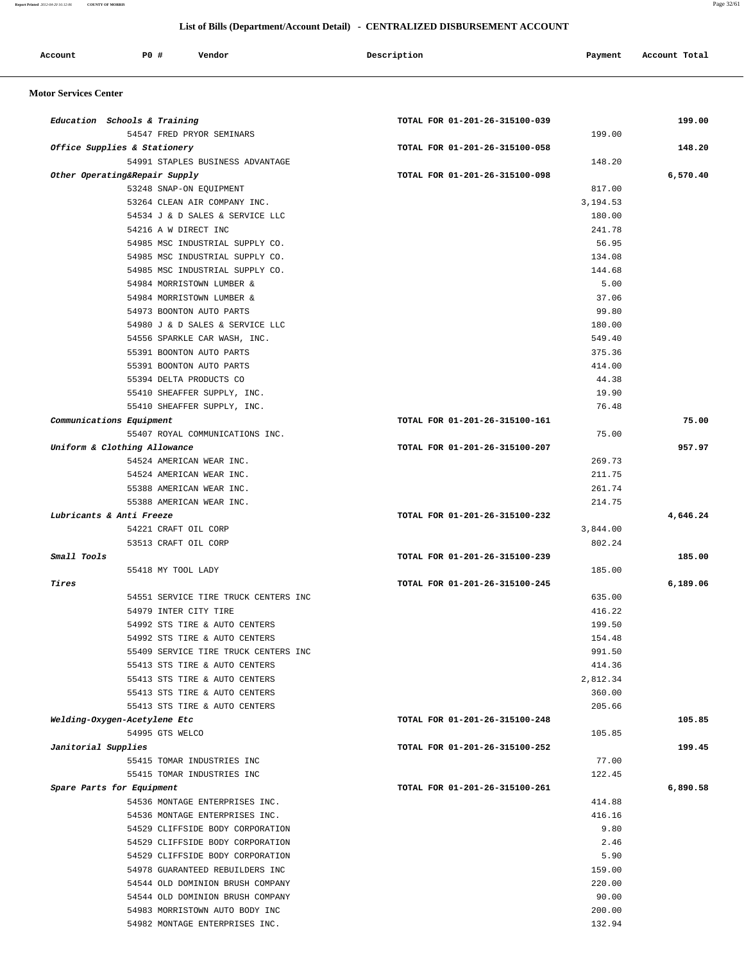**Report Printed** *2012-04-20 16:12:06* **COUNTY OF MORRIS** Page 32/61

#### **List of Bills (Department/Account Detail) - CENTRALIZED DISBURSEMENT ACCOUNT**

| Account | P0 # | Vendor | Description | Payment | Account Total |
|---------|------|--------|-------------|---------|---------------|
|         |      |        |             |         |               |

#### **Motor Services Center**

| Education Schools & Training  |                                                     | TOTAL FOR 01-201-26-315100-039 |          | 199.00   |
|-------------------------------|-----------------------------------------------------|--------------------------------|----------|----------|
|                               | 54547 FRED PRYOR SEMINARS                           |                                | 199.00   |          |
| Office Supplies & Stationery  |                                                     | TOTAL FOR 01-201-26-315100-058 |          | 148.20   |
|                               | 54991 STAPLES BUSINESS ADVANTAGE                    |                                | 148.20   |          |
| Other Operating&Repair Supply |                                                     | TOTAL FOR 01-201-26-315100-098 |          | 6,570.40 |
|                               | 53248 SNAP-ON EQUIPMENT                             |                                | 817.00   |          |
|                               | 53264 CLEAN AIR COMPANY INC.                        |                                | 3,194.53 |          |
|                               | 54534 J & D SALES & SERVICE LLC                     |                                | 180.00   |          |
|                               | 54216 A W DIRECT INC                                |                                | 241.78   |          |
|                               | 54985 MSC INDUSTRIAL SUPPLY CO.                     |                                | 56.95    |          |
|                               | 54985 MSC INDUSTRIAL SUPPLY CO.                     |                                | 134.08   |          |
|                               | 54985 MSC INDUSTRIAL SUPPLY CO.                     |                                | 144.68   |          |
|                               | 54984 MORRISTOWN LUMBER &                           |                                | 5.00     |          |
|                               | 54984 MORRISTOWN LUMBER &                           |                                | 37.06    |          |
|                               | 54973 BOONTON AUTO PARTS                            |                                | 99.80    |          |
|                               | 54980 J & D SALES & SERVICE LLC                     |                                | 180.00   |          |
|                               | 54556 SPARKLE CAR WASH, INC.                        |                                | 549.40   |          |
|                               | 55391 BOONTON AUTO PARTS                            |                                | 375.36   |          |
|                               |                                                     |                                | 414.00   |          |
|                               | 55391 BOONTON AUTO PARTS<br>55394 DELTA PRODUCTS CO |                                | 44.38    |          |
|                               |                                                     |                                |          |          |
|                               | 55410 SHEAFFER SUPPLY, INC.                         |                                | 19.90    |          |
|                               | 55410 SHEAFFER SUPPLY, INC.                         |                                | 76.48    |          |
| Communications Equipment      |                                                     | TOTAL FOR 01-201-26-315100-161 |          | 75.00    |
|                               | 55407 ROYAL COMMUNICATIONS INC.                     |                                | 75.00    |          |
| Uniform & Clothing Allowance  |                                                     | TOTAL FOR 01-201-26-315100-207 |          | 957.97   |
|                               | 54524 AMERICAN WEAR INC.                            |                                | 269.73   |          |
|                               | 54524 AMERICAN WEAR INC.                            |                                | 211.75   |          |
|                               | 55388 AMERICAN WEAR INC.                            |                                | 261.74   |          |
|                               | 55388 AMERICAN WEAR INC.                            |                                | 214.75   |          |
| Lubricants & Anti Freeze      |                                                     | TOTAL FOR 01-201-26-315100-232 |          | 4,646.24 |
|                               | 54221 CRAFT OIL CORP                                |                                | 3,844.00 |          |
|                               | 53513 CRAFT OIL CORP                                |                                | 802.24   |          |
| Small Tools                   |                                                     | TOTAL FOR 01-201-26-315100-239 |          | 185.00   |
|                               | 55418 MY TOOL LADY                                  |                                | 185.00   |          |
| Tires                         |                                                     | TOTAL FOR 01-201-26-315100-245 |          | 6,189.06 |
|                               | 54551 SERVICE TIRE TRUCK CENTERS INC                |                                | 635.00   |          |
|                               | 54979 INTER CITY TIRE                               |                                | 416.22   |          |
|                               | 54992 STS TIRE & AUTO CENTERS                       |                                | 199.50   |          |
|                               | 54992 STS TIRE & AUTO CENTERS                       |                                | 154.48   |          |
|                               | 55409 SERVICE TIRE TRUCK CENTERS INC                |                                | 991.50   |          |
|                               | 55413 STS TIRE & AUTO CENTERS                       |                                | 414.36   |          |
|                               | 55413 STS TIRE & AUTO CENTERS                       |                                | 2,812.34 |          |
|                               | 55413 STS TIRE & AUTO CENTERS                       |                                | 360.00   |          |
|                               | 55413 STS TIRE & AUTO CENTERS                       |                                | 205.66   |          |
| Welding-Oxygen-Acetylene Etc  |                                                     | TOTAL FOR 01-201-26-315100-248 |          | 105.85   |
|                               | 54995 GTS WELCO                                     |                                | 105.85   |          |
| Janitorial Supplies           |                                                     | TOTAL FOR 01-201-26-315100-252 |          | 199.45   |
|                               | 55415 TOMAR INDUSTRIES INC                          |                                | 77.00    |          |
|                               | 55415 TOMAR INDUSTRIES INC                          |                                | 122.45   |          |
| Spare Parts for Equipment     |                                                     | TOTAL FOR 01-201-26-315100-261 |          | 6,890.58 |
|                               | 54536 MONTAGE ENTERPRISES INC.                      |                                | 414.88   |          |
|                               | 54536 MONTAGE ENTERPRISES INC.                      |                                | 416.16   |          |
|                               | 54529 CLIFFSIDE BODY CORPORATION                    |                                | 9.80     |          |
|                               | 54529 CLIFFSIDE BODY CORPORATION                    |                                | 2.46     |          |
|                               | 54529 CLIFFSIDE BODY CORPORATION                    |                                | 5.90     |          |
|                               | 54978 GUARANTEED REBUILDERS INC                     |                                | 159.00   |          |
|                               | 54544 OLD DOMINION BRUSH COMPANY                    |                                | 220.00   |          |
|                               | 54544 OLD DOMINION BRUSH COMPANY                    |                                | 90.00    |          |
|                               | 54983 MORRISTOWN AUTO BODY INC                      |                                | 200.00   |          |
|                               | 54982 MONTAGE ENTERPRISES INC.                      |                                | 132.94   |          |
|                               |                                                     |                                |          |          |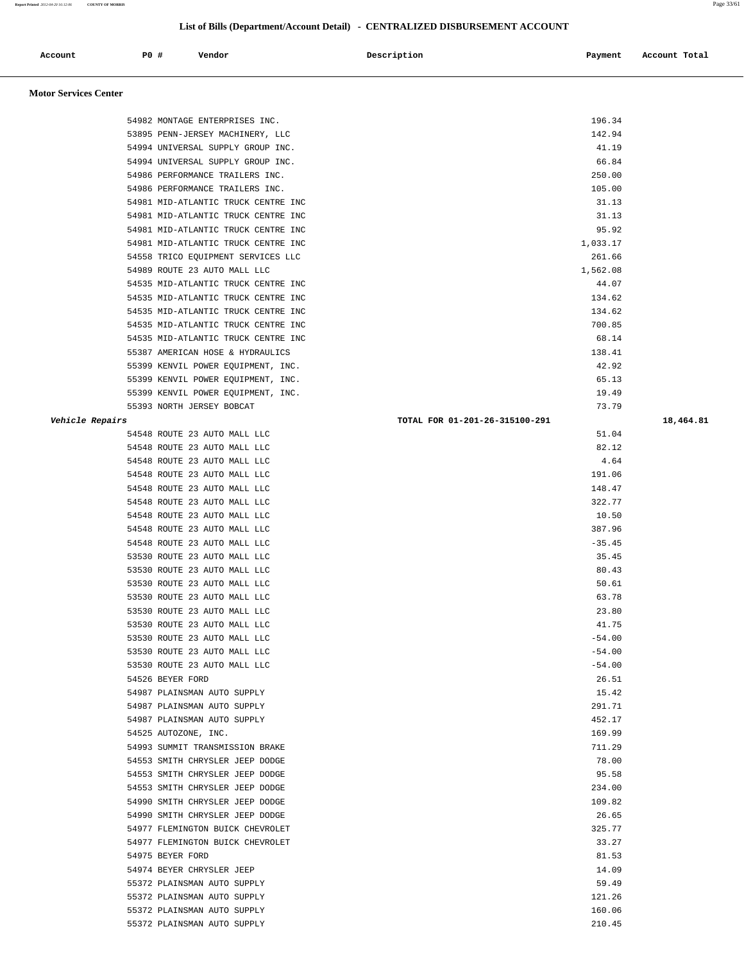**Report Printed** *2012-04-20 16:12:06* **COUNTY OF MORRIS** Page 33/61

#### **List of Bills (Department/Account Detail) - CENTRALIZED DISBURSEMENT ACCOUNT**

| <b>ccount</b> | P <sub>0</sub> | Vendor<br>. | Description<br>. | Payment<br>$\sim$ $\sim$ | Account Total |
|---------------|----------------|-------------|------------------|--------------------------|---------------|
|               |                |             |                  |                          |               |

#### **Motor Services Center**

| 54982 MONTAGE ENTERPRISES INC.      | 196.34                         |           |
|-------------------------------------|--------------------------------|-----------|
| 53895 PENN-JERSEY MACHINERY, LLC    | 142.94                         |           |
| 54994 UNIVERSAL SUPPLY GROUP INC.   | 41.19                          |           |
| 54994 UNIVERSAL SUPPLY GROUP INC.   | 66.84                          |           |
| 54986 PERFORMANCE TRAILERS INC.     | 250.00                         |           |
| 54986 PERFORMANCE TRAILERS INC.     | 105.00                         |           |
| 54981 MID-ATLANTIC TRUCK CENTRE INC | 31.13                          |           |
| 54981 MID-ATLANTIC TRUCK CENTRE INC | 31.13                          |           |
| 54981 MID-ATLANTIC TRUCK CENTRE INC | 95.92                          |           |
| 54981 MID-ATLANTIC TRUCK CENTRE INC | 1,033.17                       |           |
| 54558 TRICO EQUIPMENT SERVICES LLC  | 261.66                         |           |
| 54989 ROUTE 23 AUTO MALL LLC        | 1,562.08                       |           |
| 54535 MID-ATLANTIC TRUCK CENTRE INC | 44.07                          |           |
| 54535 MID-ATLANTIC TRUCK CENTRE INC | 134.62                         |           |
| 54535 MID-ATLANTIC TRUCK CENTRE INC | 134.62                         |           |
| 54535 MID-ATLANTIC TRUCK CENTRE INC | 700.85                         |           |
| 54535 MID-ATLANTIC TRUCK CENTRE INC | 68.14                          |           |
| 55387 AMERICAN HOSE & HYDRAULICS    | 138.41                         |           |
| 55399 KENVIL POWER EQUIPMENT, INC.  | 42.92                          |           |
| 55399 KENVIL POWER EQUIPMENT, INC.  | 65.13                          |           |
| 55399 KENVIL POWER EQUIPMENT, INC.  | 19.49                          |           |
| 55393 NORTH JERSEY BOBCAT           | 73.79                          |           |
| Vehicle Repairs                     | TOTAL FOR 01-201-26-315100-291 | 18,464.81 |
| 54548 ROUTE 23 AUTO MALL LLC        | 51.04                          |           |
| 54548 ROUTE 23 AUTO MALL LLC        | 82.12                          |           |
| 54548 ROUTE 23 AUTO MALL LLC        | 4.64                           |           |
| 54548 ROUTE 23 AUTO MALL LLC        | 191.06                         |           |
| 54548 ROUTE 23 AUTO MALL LLC        | 148.47                         |           |
| 54548 ROUTE 23 AUTO MALL LLC        | 322.77                         |           |
| 54548 ROUTE 23 AUTO MALL LLC        | 10.50                          |           |
| 54548 ROUTE 23 AUTO MALL LLC        | 387.96                         |           |
| 54548 ROUTE 23 AUTO MALL LLC        | $-35.45$                       |           |
| 53530 ROUTE 23 AUTO MALL LLC        | 35.45                          |           |
| 53530 ROUTE 23 AUTO MALL LLC        | 80.43                          |           |
| 53530 ROUTE 23 AUTO MALL LLC        | 50.61                          |           |
| 53530 ROUTE 23 AUTO MALL LLC        | 63.78                          |           |
| 53530 ROUTE 23 AUTO MALL LLC        | 23.80                          |           |
| 53530 ROUTE 23 AUTO MALL LLC        | 41.75                          |           |
| 53530 ROUTE 23 AUTO MALL LLC        | $-54.00$                       |           |
| 53530 ROUTE 23 AUTO MALL LLC        | $-54.00$                       |           |
| 53530 ROUTE 23 AUTO MALL LLC        | $-54.00$                       |           |
| 54526 BEYER FORD                    | 26.51                          |           |
| 54987 PLAINSMAN AUTO SUPPLY         | 15.42                          |           |
| 54987 PLAINSMAN AUTO SUPPLY         | 291.71                         |           |
| 54987 PLAINSMAN AUTO SUPPLY         | 452.17                         |           |
| 54525 AUTOZONE, INC.                | 169.99                         |           |
| 54993 SUMMIT TRANSMISSION BRAKE     | 711.29                         |           |
| 54553 SMITH CHRYSLER JEEP DODGE     | 78.00                          |           |
| 54553 SMITH CHRYSLER JEEP DODGE     | 95.58                          |           |
| 54553 SMITH CHRYSLER JEEP DODGE     | 234.00                         |           |
| 54990 SMITH CHRYSLER JEEP DODGE     | 109.82                         |           |
| 54990 SMITH CHRYSLER JEEP DODGE     | 26.65                          |           |
| 54977 FLEMINGTON BUICK CHEVROLET    | 325.77                         |           |
| 54977 FLEMINGTON BUICK CHEVROLET    | 33.27                          |           |
| 54975 BEYER FORD                    | 81.53                          |           |
| 54974 BEYER CHRYSLER JEEP           | 14.09                          |           |
| 55372 PLAINSMAN AUTO SUPPLY         | 59.49                          |           |
| 55372 PLAINSMAN AUTO SUPPLY         | 121.26                         |           |
| 55372 PLAINSMAN AUTO SUPPLY         | 160.06                         |           |
| 55372 PLAINSMAN AUTO SUPPLY         | 210.45                         |           |
|                                     |                                |           |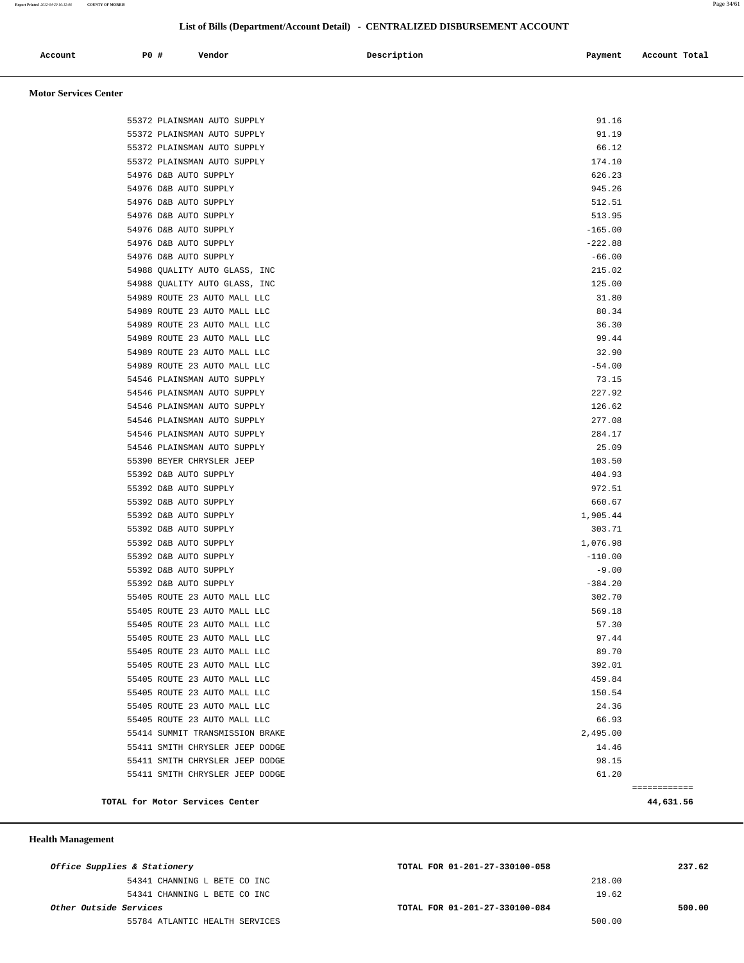#### **List of Bills (Department/Account Detail) - CENTRALIZED DISBURSEMENT ACCOUNT**

| Account<br>. | P <sub>0</sub> | Vendor | Description<br>$\sim$ $\sim$ | Payment | Account Total<br>.<br>. |
|--------------|----------------|--------|------------------------------|---------|-------------------------|
|              |                |        |                              |         |                         |

 **Motor Services Center** 

| TOTAL for Motor Services Center                              | 44,631.56        |
|--------------------------------------------------------------|------------------|
|                                                              | ============     |
| 55411 SMITH CHRYSLER JEEP DODGE                              | 61.20            |
| 55411 SMITH CHRYSLER JEEP DODGE                              | 98.15            |
| 55411 SMITH CHRYSLER JEEP DODGE                              | 14.46            |
| 55414 SUMMIT TRANSMISSION BRAKE                              | 2,495.00         |
| 55405 ROUTE 23 AUTO MALL LLC                                 | 66.93            |
| 55405 ROUTE 23 AUTO MALL LLC                                 | 24.36            |
| 55405 ROUTE 23 AUTO MALL LLC<br>55405 ROUTE 23 AUTO MALL LLC | 459.84<br>150.54 |
| 55405 ROUTE 23 AUTO MALL LLC                                 | 392.01           |
| 55405 ROUTE 23 AUTO MALL LLC                                 | 89.70            |
| 55405 ROUTE 23 AUTO MALL LLC                                 | 97.44            |
| 55405 ROUTE 23 AUTO MALL LLC                                 | 57.30            |
| 55405 ROUTE 23 AUTO MALL LLC                                 | 569.18           |
| 55405 ROUTE 23 AUTO MALL LLC                                 | 302.70           |
| 55392 D&B AUTO SUPPLY                                        | $-384.20$        |
| 55392 D&B AUTO SUPPLY                                        | $-9.00$          |
| 55392 D&B AUTO SUPPLY                                        | $-110.00$        |
| 55392 D&B AUTO SUPPLY                                        | 1,076.98         |
| 55392 D&B AUTO SUPPLY                                        | 303.71           |
| 55392 D&B AUTO SUPPLY                                        | 1,905.44         |
| 55392 D&B AUTO SUPPLY                                        | 660.67           |
| 55392 D&B AUTO SUPPLY                                        | 972.51           |
| 55392 D&B AUTO SUPPLY                                        | 404.93           |
| 55390 BEYER CHRYSLER JEEP                                    | 103.50           |
| 54546 PLAINSMAN AUTO SUPPLY                                  | 25.09            |
| 54546 PLAINSMAN AUTO SUPPLY                                  | 284.17           |
| 54546 PLAINSMAN AUTO SUPPLY                                  | 277.08           |
| 54546 PLAINSMAN AUTO SUPPLY                                  | 126.62           |
| 54546 PLAINSMAN AUTO SUPPLY                                  | 227.92           |
| 54546 PLAINSMAN AUTO SUPPLY                                  | 73.15            |
| 54989 ROUTE 23 AUTO MALL LLC                                 | $-54.00$         |
| 54989 ROUTE 23 AUTO MALL LLC                                 | 32.90            |
| 54989 ROUTE 23 AUTO MALL LLC                                 | 99.44            |
| 54989 ROUTE 23 AUTO MALL LLC                                 | 36.30            |
| 54989 ROUTE 23 AUTO MALL LLC                                 | 80.34            |
| 54989 ROUTE 23 AUTO MALL LLC                                 | 31.80            |
| 54988 QUALITY AUTO GLASS, INC                                | 125.00           |
| 54988 QUALITY AUTO GLASS, INC                                | 215.02           |
| 54976 D&B AUTO SUPPLY                                        | $-66.00$         |
| 54976 D&B AUTO SUPPLY                                        | $-222.88$        |
| 54976 D&B AUTO SUPPLY                                        | $-165.00$        |
| 54976 D&B AUTO SUPPLY                                        | 513.95           |
| 54976 D&B AUTO SUPPLY                                        | 512.51           |
| 54976 D&B AUTO SUPPLY                                        | 945.26           |
| 54976 D&B AUTO SUPPLY                                        | 626.23           |
| 55372 PLAINSMAN AUTO SUPPLY                                  | 174.10           |
| 55372 PLAINSMAN AUTO SUPPLY                                  | 66.12            |
| 55372 PLAINSMAN AUTO SUPPLY                                  | 91.19            |
| 55372 PLAINSMAN AUTO SUPPLY                                  | 91.16            |
|                                                              |                  |

 **Health Management** 

| Office Supplies & Stationery   | TOTAL FOR 01-201-27-330100-058 | 237.62 |
|--------------------------------|--------------------------------|--------|
| 54341 CHANNING L BETE CO INC   | 218.00                         |        |
| 54341 CHANNING L BETE CO INC   | 19.62                          |        |
| Other Outside Services         | TOTAL FOR 01-201-27-330100-084 | 500.00 |
| 55784 ATLANTIC HEALTH SERVICES | 500.00                         |        |
|                                |                                |        |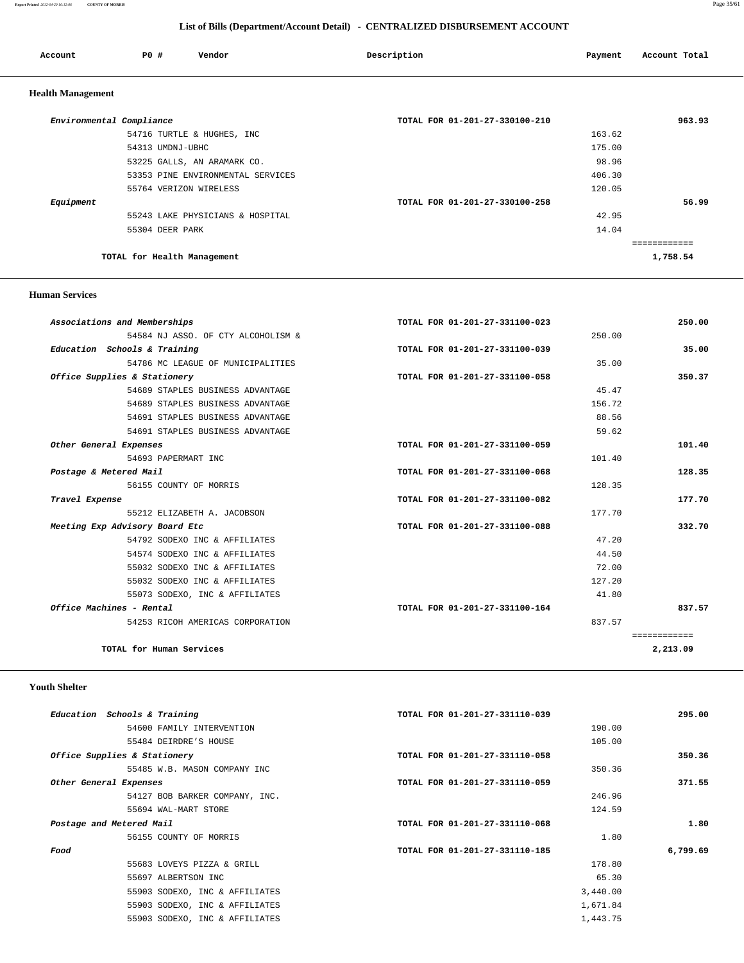#### **Report Printed** *2012-04-20 16:12:06* **COUNTY OF MORRIS** Page 35/61

 **List of Bills (Department/Account Detail) - CENTRALIZED DISBURSEMENT ACCOUNT**

| Account                  | PO#                         | Vendor                            | Description                    | Payment | Account Total |
|--------------------------|-----------------------------|-----------------------------------|--------------------------------|---------|---------------|
| <b>Health Management</b> |                             |                                   |                                |         |               |
|                          | Environmental Compliance    |                                   | TOTAL FOR 01-201-27-330100-210 |         | 963.93        |
|                          |                             | 54716 TURTLE & HUGHES, INC        |                                | 163.62  |               |
|                          | 54313 UMDNJ-UBHC            |                                   |                                | 175.00  |               |
|                          |                             | 53225 GALLS, AN ARAMARK CO.       |                                | 98.96   |               |
|                          |                             | 53353 PINE ENVIRONMENTAL SERVICES |                                | 406.30  |               |
|                          |                             | 55764 VERIZON WIRELESS            |                                | 120.05  |               |
| Equipment                |                             |                                   | TOTAL FOR 01-201-27-330100-258 |         | 56.99         |
|                          |                             | 55243 LAKE PHYSICIANS & HOSPITAL  |                                | 42.95   |               |
|                          | 55304 DEER PARK             |                                   |                                | 14.04   |               |
|                          |                             |                                   |                                |         | ============  |
|                          | TOTAL for Health Management |                                   |                                |         | 1,758.54      |

#### **Human Services**

| Associations and Memberships       | TOTAL FOR 01-201-27-331100-023 | 250.00       |
|------------------------------------|--------------------------------|--------------|
| 54584 NJ ASSO. OF CTY ALCOHOLISM & | 250.00                         |              |
| Education Schools & Training       | TOTAL FOR 01-201-27-331100-039 | 35.00        |
| 54786 MC LEAGUE OF MUNICIPALITIES  | 35.00                          |              |
| Office Supplies & Stationery       | TOTAL FOR 01-201-27-331100-058 | 350.37       |
| 54689 STAPLES BUSINESS ADVANTAGE   | 45.47                          |              |
| 54689 STAPLES BUSINESS ADVANTAGE   | 156.72                         |              |
| 54691 STAPLES BUSINESS ADVANTAGE   | 88.56                          |              |
| 54691 STAPLES BUSINESS ADVANTAGE   | 59.62                          |              |
| Other General Expenses             | TOTAL FOR 01-201-27-331100-059 | 101.40       |
| 54693 PAPERMART INC                | 101.40                         |              |
| Postage & Metered Mail             | TOTAL FOR 01-201-27-331100-068 | 128.35       |
| 56155 COUNTY OF MORRIS             | 128.35                         |              |
| Travel Expense                     | TOTAL FOR 01-201-27-331100-082 | 177.70       |
| 55212 ELIZABETH A. JACOBSON        | 177.70                         |              |
| Meeting Exp Advisory Board Etc     | TOTAL FOR 01-201-27-331100-088 | 332.70       |
| 54792 SODEXO INC & AFFILIATES      | 47.20                          |              |
| 54574 SODEXO INC & AFFILIATES      | 44.50                          |              |
| 55032 SODEXO INC & AFFILIATES      | 72.00                          |              |
| 55032 SODEXO INC & AFFILIATES      | 127.20                         |              |
| 55073 SODEXO, INC & AFFILIATES     | 41.80                          |              |
| Office Machines - Rental           | TOTAL FOR 01-201-27-331100-164 | 837.57       |
| 54253 RICOH AMERICAS CORPORATION   | 837.57                         |              |
|                                    |                                | ============ |
| TOTAL for Human Services           |                                | 2,213.09     |

#### **Youth Shelter**

| Education Schools & Training   | TOTAL FOR 01-201-27-331110-039 |          | 295.00   |
|--------------------------------|--------------------------------|----------|----------|
| 54600 FAMILY INTERVENTION      |                                | 190.00   |          |
| 55484 DEIRDRE'S HOUSE          |                                | 105.00   |          |
| Office Supplies & Stationery   | TOTAL FOR 01-201-27-331110-058 |          | 350.36   |
| 55485 W.B. MASON COMPANY INC   |                                | 350.36   |          |
| Other General Expenses         | TOTAL FOR 01-201-27-331110-059 |          | 371.55   |
| 54127 BOB BARKER COMPANY, INC. |                                | 246.96   |          |
| 55694 WAL-MART STORE           |                                | 124.59   |          |
| Postage and Metered Mail       | TOTAL FOR 01-201-27-331110-068 |          | 1.80     |
| 56155 COUNTY OF MORRIS         |                                | 1.80     |          |
| Food                           | TOTAL FOR 01-201-27-331110-185 |          | 6,799.69 |
| 55683 LOVEYS PIZZA & GRILL     |                                | 178.80   |          |
| 55697 ALBERTSON INC            |                                | 65.30    |          |
| 55903 SODEXO, INC & AFFILIATES |                                | 3,440.00 |          |
| 55903 SODEXO, INC & AFFILIATES |                                | 1,671.84 |          |
| 55903 SODEXO, INC & AFFILIATES |                                | 1,443.75 |          |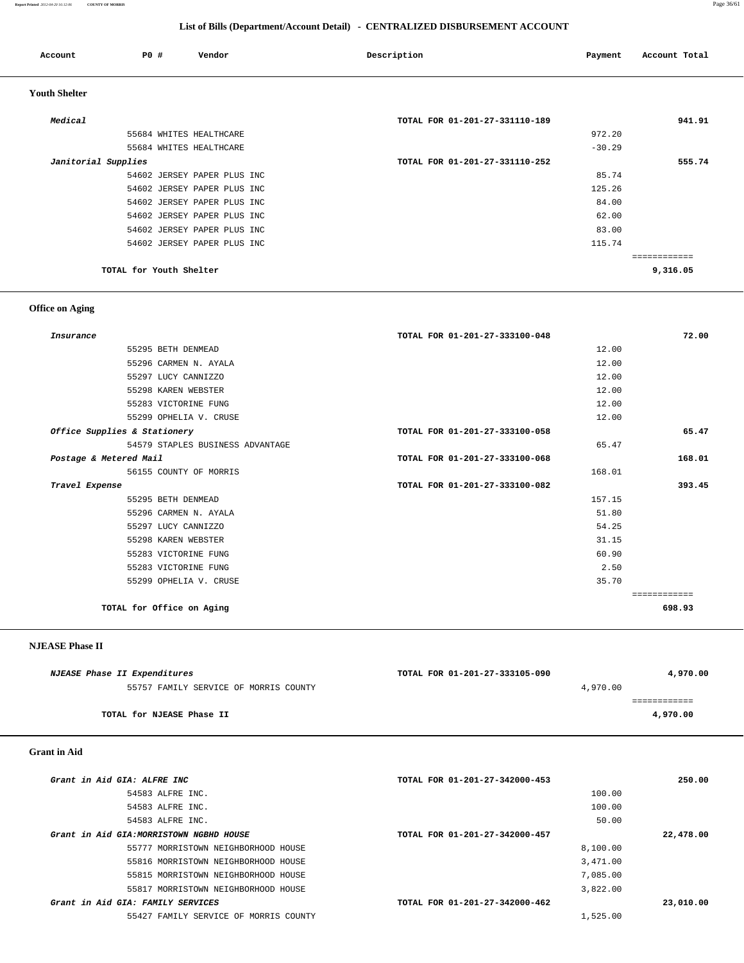#### **Report Printed** *2012-04-20 16:12:06* **COUNTY OF MORRIS** Page 36/61

| List of Bills (Department/Account Detail) - CENTRALIZED DISBURSEMENT ACCOUNT |  |  |  |
|------------------------------------------------------------------------------|--|--|--|
|------------------------------------------------------------------------------|--|--|--|

| Account              | <b>PO #</b>             | Vendor                      | Description                    | Payment  | Account Total |
|----------------------|-------------------------|-----------------------------|--------------------------------|----------|---------------|
| <b>Youth Shelter</b> |                         |                             |                                |          |               |
| Medical              |                         |                             | TOTAL FOR 01-201-27-331110-189 |          | 941.91        |
|                      |                         | 55684 WHITES HEALTHCARE     |                                | 972.20   |               |
|                      |                         | 55684 WHITES HEALTHCARE     |                                | $-30.29$ |               |
| Janitorial Supplies  |                         |                             | TOTAL FOR 01-201-27-331110-252 |          | 555.74        |
|                      |                         | 54602 JERSEY PAPER PLUS INC |                                | 85.74    |               |
|                      |                         | 54602 JERSEY PAPER PLUS INC |                                | 125.26   |               |
|                      |                         | 54602 JERSEY PAPER PLUS INC |                                | 84.00    |               |
|                      |                         | 54602 JERSEY PAPER PLUS INC |                                | 62.00    |               |
|                      |                         | 54602 JERSEY PAPER PLUS INC |                                | 83.00    |               |
|                      |                         | 54602 JERSEY PAPER PLUS INC |                                | 115.74   |               |
|                      |                         |                             |                                |          | ============  |
|                      | TOTAL for Youth Shelter |                             |                                |          | 9,316.05      |

## **Office on Aging**

| Insurance                        | TOTAL FOR 01-201-27-333100-048 | 72.00       |
|----------------------------------|--------------------------------|-------------|
| 55295 BETH DENMEAD               | 12.00                          |             |
| 55296 CARMEN N. AYALA            | 12.00                          |             |
| 55297 LUCY CANNIZZO              | 12.00                          |             |
| 55298 KAREN WEBSTER              | 12.00                          |             |
| 55283 VICTORINE FUNG             | 12.00                          |             |
| 55299 OPHELIA V. CRUSE           | 12.00                          |             |
| Office Supplies & Stationery     | TOTAL FOR 01-201-27-333100-058 | 65.47       |
| 54579 STAPLES BUSINESS ADVANTAGE | 65.47                          |             |
| Postage & Metered Mail           | TOTAL FOR 01-201-27-333100-068 | 168.01      |
| 56155 COUNTY OF MORRIS           | 168.01                         |             |
| Travel Expense                   | TOTAL FOR 01-201-27-333100-082 | 393.45      |
| 55295 BETH DENMEAD               | 157.15                         |             |
| 55296 CARMEN N. AYALA            | 51.80                          |             |
| 55297 LUCY CANNIZZO              | 54.25                          |             |
| 55298 KAREN WEBSTER              | 31.15                          |             |
| 55283 VICTORINE FUNG             | 60.90                          |             |
| 55283 VICTORINE FUNG             | 2.50                           |             |
| 55299 OPHELIA V. CRUSE           | 35.70                          |             |
|                                  |                                | =========== |
| TOTAL for Office on Aging        |                                | 698.93      |

 **NJEASE Phase II** 

| <i>NJEASE Phase II Expenditures</i>   | TOTAL FOR 01-201-27-333105-090 | 4,970.00 |
|---------------------------------------|--------------------------------|----------|
| 55757 FAMILY SERVICE OF MORRIS COUNTY | 4,970.00                       |          |
|                                       |                                |          |
| TOTAL for NJEASE Phase II             |                                | 4,970.00 |

## **Grant in Aid**

| Grant in Aid GIA: ALFRE INC              | TOTAL FOR 01-201-27-342000-453 | 250.00    |
|------------------------------------------|--------------------------------|-----------|
| 54583 ALFRE INC.                         | 100.00                         |           |
| 54583 ALFRE INC.                         | 100.00                         |           |
| 54583 ALFRE INC.                         | 50.00                          |           |
| Grant in Aid GIA: MORRISTOWN NGBHD HOUSE | TOTAL FOR 01-201-27-342000-457 | 22,478.00 |
| 55777 MORRISTOWN NEIGHBORHOOD HOUSE      | 8,100.00                       |           |
| 55816 MORRISTOWN NEIGHBORHOOD HOUSE      | 3,471.00                       |           |
| 55815 MORRISTOWN NEIGHBORHOOD HOUSE      | 7,085.00                       |           |
| 55817 MORRISTOWN NEIGHBORHOOD HOUSE      | 3,822.00                       |           |
| Grant in Aid GIA: FAMILY SERVICES        | TOTAL FOR 01-201-27-342000-462 | 23,010.00 |
| 55427 FAMILY SERVICE OF MORRIS COUNTY    | 1,525.00                       |           |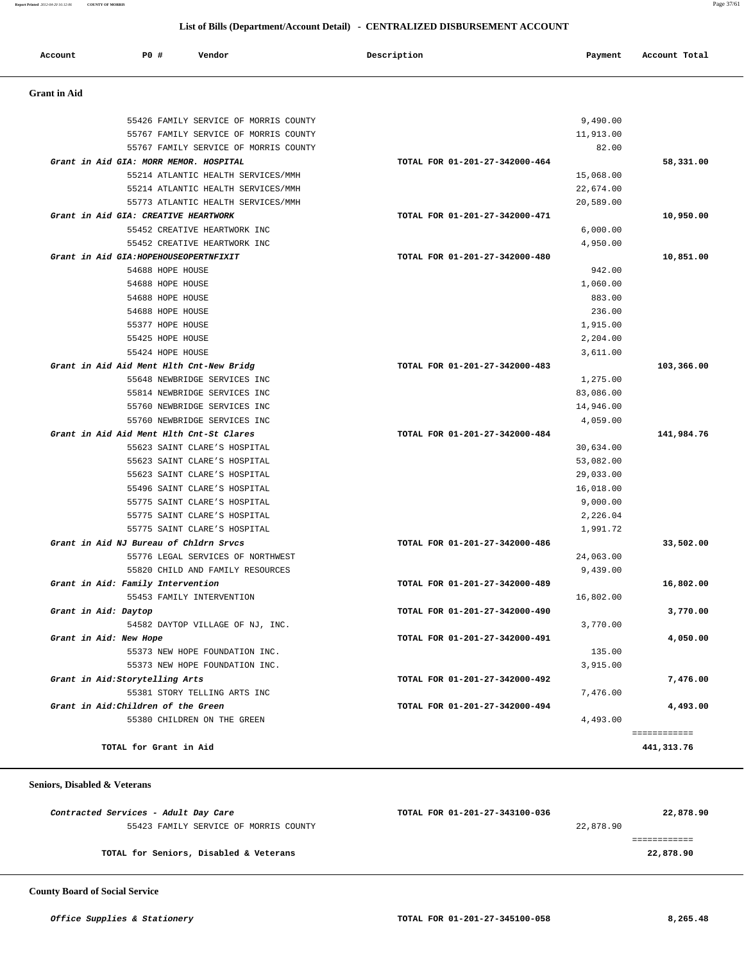**Report Printed** *2012-04-20 16:12:06* **COUNTY OF MORRIS** Page 37/61

#### **List of Bills (Department/Account Detail) - CENTRALIZED DISBURSEMENT ACCOUNT**

| P0 #<br>Account<br>Vendor                | Description                    | Payment   | Account Total |
|------------------------------------------|--------------------------------|-----------|---------------|
| <b>Grant</b> in Aid                      |                                |           |               |
| 55426 FAMILY SERVICE OF MORRIS COUNTY    |                                | 9,490.00  |               |
| 55767 FAMILY SERVICE OF MORRIS COUNTY    |                                | 11,913.00 |               |
| 55767 FAMILY SERVICE OF MORRIS COUNTY    |                                | 82.00     |               |
| Grant in Aid GIA: MORR MEMOR. HOSPITAL   | TOTAL FOR 01-201-27-342000-464 |           | 58,331.00     |
| 55214 ATLANTIC HEALTH SERVICES/MMH       |                                | 15,068.00 |               |
| 55214 ATLANTIC HEALTH SERVICES/MMH       |                                | 22,674.00 |               |
| 55773 ATLANTIC HEALTH SERVICES/MMH       |                                | 20,589.00 |               |
| Grant in Aid GIA: CREATIVE HEARTWORK     | TOTAL FOR 01-201-27-342000-471 |           | 10,950.00     |
| 55452 CREATIVE HEARTWORK INC             |                                | 6,000.00  |               |
| 55452 CREATIVE HEARTWORK INC             |                                | 4,950.00  |               |
| Grant in Aid GIA: HOPEHOUSEOPERTNFIXIT   | TOTAL FOR 01-201-27-342000-480 |           | 10,851.00     |
| 54688 HOPE HOUSE                         |                                | 942.00    |               |
| 54688 HOPE HOUSE                         |                                | 1,060.00  |               |
| 54688 HOPE HOUSE                         |                                | 883.00    |               |
| 54688 HOPE HOUSE                         |                                | 236.00    |               |
|                                          |                                |           |               |
| 55377 HOPE HOUSE                         |                                | 1,915.00  |               |
| 55425 HOPE HOUSE                         |                                | 2,204.00  |               |
| 55424 HOPE HOUSE                         |                                | 3,611.00  |               |
| Grant in Aid Aid Ment Hlth Cnt-New Bridg | TOTAL FOR 01-201-27-342000-483 |           | 103,366.00    |
| 55648 NEWBRIDGE SERVICES INC             |                                | 1,275.00  |               |
| 55814 NEWBRIDGE SERVICES INC             |                                | 83,086.00 |               |
| 55760 NEWBRIDGE SERVICES INC             |                                | 14,946.00 |               |
| 55760 NEWBRIDGE SERVICES INC             |                                | 4,059.00  |               |
| Grant in Aid Aid Ment Hlth Cnt-St Clares | TOTAL FOR 01-201-27-342000-484 |           | 141,984.76    |
| 55623 SAINT CLARE'S HOSPITAL             |                                | 30,634.00 |               |
| 55623 SAINT CLARE'S HOSPITAL             |                                | 53,082.00 |               |
| 55623 SAINT CLARE'S HOSPITAL             |                                | 29,033.00 |               |
| 55496 SAINT CLARE'S HOSPITAL             |                                | 16,018.00 |               |
| 55775 SAINT CLARE'S HOSPITAL             |                                | 9,000.00  |               |
| 55775 SAINT CLARE'S HOSPITAL             |                                | 2,226.04  |               |
| 55775 SAINT CLARE'S HOSPITAL             |                                | 1,991.72  |               |
| Grant in Aid NJ Bureau of Chldrn Srvcs   | TOTAL FOR 01-201-27-342000-486 |           | 33,502.00     |
| 55776 LEGAL SERVICES OF NORTHWEST        |                                | 24,063.00 |               |
| 55820 CHILD AND FAMILY RESOURCES         |                                | 9,439.00  |               |
| Grant in Aid: Family Intervention        | TOTAL FOR 01-201-27-342000-489 |           | 16,802.00     |
| 55453 FAMILY INTERVENTION                |                                | 16,802.00 |               |
| Grant in Aid: Daytop                     | TOTAL FOR 01-201-27-342000-490 |           | 3,770.00      |
| 54582 DAYTOP VILLAGE OF NJ, INC.         |                                | 3,770.00  |               |
| Grant in Aid: New Hope                   | TOTAL FOR 01-201-27-342000-491 |           | 4,050.00      |
| 55373 NEW HOPE FOUNDATION INC.           |                                | 135.00    |               |
| 55373 NEW HOPE FOUNDATION INC.           |                                | 3,915.00  |               |
| Grant in Aid:Storytelling Arts           | TOTAL FOR 01-201-27-342000-492 |           | 7,476.00      |
| 55381 STORY TELLING ARTS INC             |                                | 7,476.00  |               |
| Grant in Aid: Children of the Green      | TOTAL FOR 01-201-27-342000-494 |           | 4,493.00      |
| 55380 CHILDREN ON THE GREEN              |                                | 4,493.00  |               |
|                                          |                                |           | ============  |

#### **Seniors, Disabled & Veterans**

| Contracted Services - Adult Day Care   | TOTAL FOR 01-201-27-343100-036 | 22,878.90 |
|----------------------------------------|--------------------------------|-----------|
| 55423 FAMILY SERVICE OF MORRIS COUNTY  |                                | 22,878.90 |
|                                        |                                |           |
| TOTAL for Seniors, Disabled & Veterans |                                | 22,878.90 |

 **County Board of Social Service**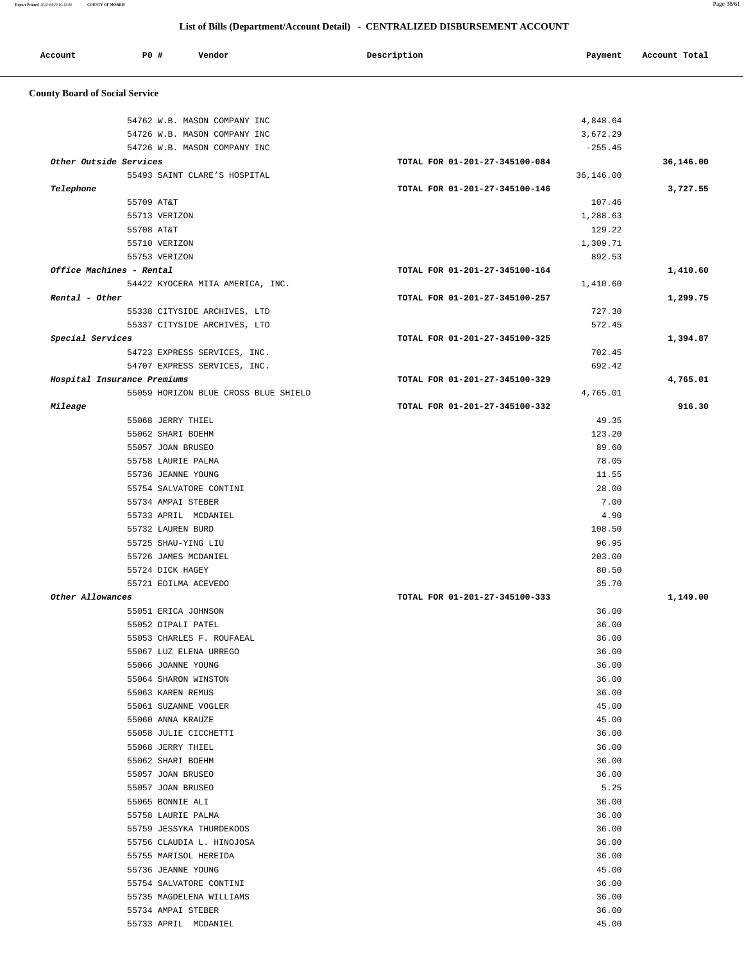**Report Printed** *2012-04-20 16:12:06* **COUNTY OF MORRIS** Page 38/61

#### **List of Bills (Department/Account Detail) - CENTRALIZED DISBURSEMENT ACCOUNT**

| Account<br>. | P0 # | Vendor<br>. | Description | Payment | Account Total |
|--------------|------|-------------|-------------|---------|---------------|
|              |      |             |             |         |               |

## **County Board of Social Service**

|                             | 54762 W.B. MASON COMPANY INC               |                                | 4,848.64       |           |
|-----------------------------|--------------------------------------------|--------------------------------|----------------|-----------|
|                             | 54726 W.B. MASON COMPANY INC               |                                | 3,672.29       |           |
|                             | 54726 W.B. MASON COMPANY INC               |                                | $-255.45$      |           |
| Other Outside Services      |                                            | TOTAL FOR 01-201-27-345100-084 |                | 36,146.00 |
|                             | 55493 SAINT CLARE'S HOSPITAL               |                                | 36,146.00      |           |
| Telephone                   |                                            | TOTAL FOR 01-201-27-345100-146 |                | 3,727.55  |
| 55709 AT&T                  |                                            |                                | 107.46         |           |
|                             | 55713 VERIZON                              |                                | 1,288.63       |           |
| 55708 AT&T                  |                                            |                                | 129.22         |           |
|                             | 55710 VERIZON                              |                                | 1,309.71       |           |
|                             | 55753 VERIZON                              |                                | 892.53         |           |
| Office Machines - Rental    |                                            | TOTAL FOR 01-201-27-345100-164 |                | 1,410.60  |
|                             | 54422 KYOCERA MITA AMERICA, INC.           |                                | 1,410.60       |           |
| Rental - Other              |                                            | TOTAL FOR 01-201-27-345100-257 |                | 1,299.75  |
|                             | 55338 CITYSIDE ARCHIVES, LTD               |                                | 727.30         |           |
|                             | 55337 CITYSIDE ARCHIVES, LTD               |                                | 572.45         |           |
| Special Services            |                                            | TOTAL FOR 01-201-27-345100-325 |                | 1,394.87  |
|                             | 54723 EXPRESS SERVICES, INC.               |                                | 702.45         |           |
|                             | 54707 EXPRESS SERVICES, INC.               |                                | 692.42         |           |
| Hospital Insurance Premiums |                                            | TOTAL FOR 01-201-27-345100-329 |                | 4,765.01  |
|                             | 55059 HORIZON BLUE CROSS BLUE SHIELD       |                                | 4,765.01       |           |
| Mileage                     |                                            | TOTAL FOR 01-201-27-345100-332 |                | 916.30    |
|                             | 55068 JERRY THIEL                          |                                | 49.35          |           |
|                             | 55062 SHARI BOEHM                          |                                | 123.20         |           |
|                             | 55057 JOAN BRUSEO                          |                                | 89.60          |           |
|                             | 55758 LAURIE PALMA                         |                                | 78.05          |           |
|                             | 55736 JEANNE YOUNG                         |                                | 11.55          |           |
|                             | 55754 SALVATORE CONTINI                    |                                | 28.00          |           |
|                             | 55734 AMPAI STEBER                         |                                | 7.00           |           |
|                             | 55733 APRIL MCDANIEL                       |                                | 4.90           |           |
|                             | 55732 LAUREN BURD                          |                                | 108.50         |           |
|                             | 55725 SHAU-YING LIU                        |                                | 96.95          |           |
|                             | 55726 JAMES MCDANIEL                       |                                | 203.00         |           |
|                             | 55724 DICK HAGEY                           |                                | 80.50          |           |
|                             | 55721 EDILMA ACEVEDO                       |                                | 35.70          |           |
| Other Allowances            |                                            | TOTAL FOR 01-201-27-345100-333 |                | 1,149.00  |
|                             | 55051 ERICA JOHNSON                        |                                | 36.00          |           |
|                             | 55052 DIPALI PATEL                         |                                | 36.00          |           |
|                             | 55053 CHARLES F. ROUFAEAL                  |                                | 36.00          |           |
|                             | 55067 LUZ ELENA URREGO                     |                                | 36.00          |           |
|                             | 55066 JOANNE YOUNG                         |                                | 36.00          |           |
|                             | 55064 SHARON WINSTON                       |                                | 36.00          |           |
|                             | 55063 KAREN REMUS                          |                                | 36.00          |           |
|                             | 55061 SUZANNE VOGLER                       |                                | 45.00          |           |
|                             | 55060 ANNA KRAUZE                          |                                | 45.00          |           |
|                             | 55058 JULIE CICCHETTI                      |                                | 36.00          |           |
|                             | 55068 JERRY THIEL                          |                                | 36.00          |           |
|                             | 55062 SHARI BOEHM                          |                                | 36.00          |           |
|                             | 55057 JOAN BRUSEO                          |                                | 36.00          |           |
|                             | 55057 JOAN BRUSEO                          |                                | 5.25           |           |
|                             | 55065 BONNIE ALI                           |                                | 36.00          |           |
|                             | 55758 LAURIE PALMA                         |                                | 36.00          |           |
|                             | 55759 JESSYKA THURDEKOOS                   |                                | 36.00          |           |
|                             | 55756 CLAUDIA L. HINOJOSA                  |                                | 36.00          |           |
|                             | 55755 MARISOL HEREIDA                      |                                | 36.00          |           |
|                             | 55736 JEANNE YOUNG                         |                                | 45.00          |           |
|                             | 55754 SALVATORE CONTINI                    |                                | 36.00          |           |
|                             | 55735 MAGDELENA WILLIAMS                   |                                | 36.00          |           |
|                             |                                            |                                |                |           |
|                             | 55734 AMPAI STEBER<br>55733 APRIL MCDANIEL |                                | 36.00<br>45.00 |           |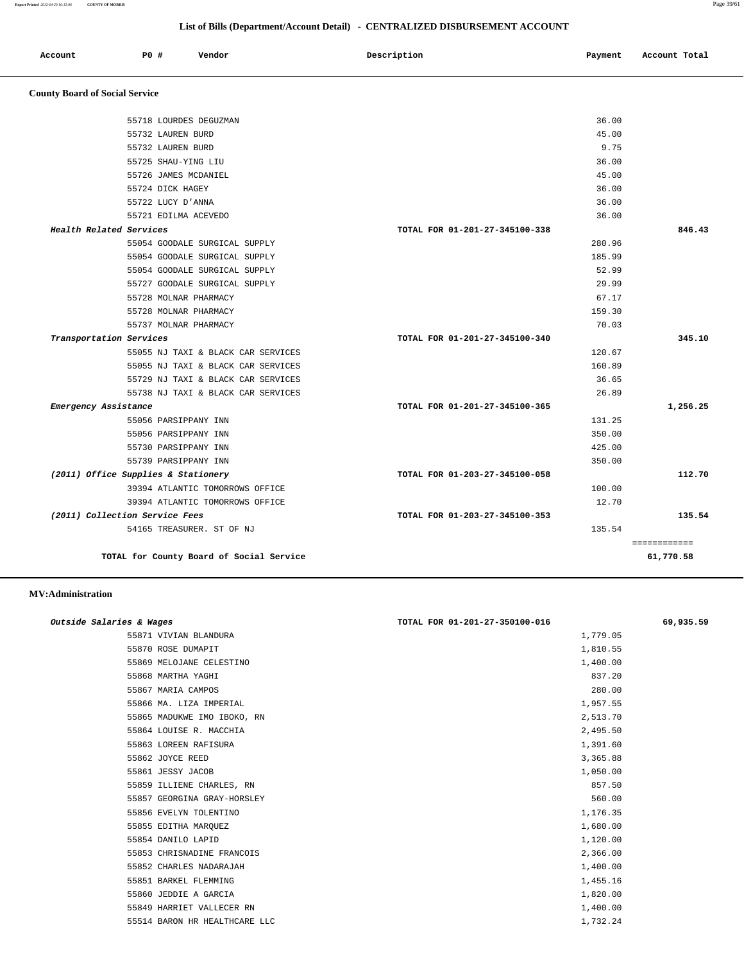============

| Report Printed 2012-04-20 16:12:06    | <b>COUNTY OF MORRIS</b>             |                                    |                                                                              |         | Page 39/61    |
|---------------------------------------|-------------------------------------|------------------------------------|------------------------------------------------------------------------------|---------|---------------|
|                                       |                                     |                                    | List of Bills (Department/Account Detail) - CENTRALIZED DISBURSEMENT ACCOUNT |         |               |
| Account                               | PO#                                 | Vendor                             | Description                                                                  | Payment | Account Total |
| <b>County Board of Social Service</b> |                                     |                                    |                                                                              |         |               |
|                                       |                                     | 55718 LOURDES DEGUZMAN             |                                                                              | 36.00   |               |
|                                       | 55732 LAUREN BURD                   |                                    |                                                                              | 45.00   |               |
|                                       | 55732 LAUREN BURD                   |                                    |                                                                              | 9.75    |               |
|                                       | 55725 SHAU-YING LIU                 |                                    |                                                                              | 36.00   |               |
|                                       | 55726 JAMES MCDANIEL                |                                    |                                                                              | 45.00   |               |
|                                       | 55724 DICK HAGEY                    |                                    |                                                                              | 36.00   |               |
|                                       | 55722 LUCY D'ANNA                   |                                    |                                                                              | 36.00   |               |
|                                       | 55721 EDILMA ACEVEDO                |                                    |                                                                              | 36.00   |               |
|                                       | Health Related Services             |                                    | TOTAL FOR 01-201-27-345100-338                                               |         | 846.43        |
|                                       |                                     | 55054 GOODALE SURGICAL SUPPLY      |                                                                              | 280.96  |               |
|                                       |                                     | 55054 GOODALE SURGICAL SUPPLY      |                                                                              | 185.99  |               |
|                                       |                                     | 55054 GOODALE SURGICAL SUPPLY      |                                                                              | 52.99   |               |
|                                       |                                     | 55727 GOODALE SURGICAL SUPPLY      |                                                                              | 29.99   |               |
|                                       | 55728 MOLNAR PHARMACY               |                                    |                                                                              | 67.17   |               |
|                                       | 55728 MOLNAR PHARMACY               |                                    |                                                                              | 159.30  |               |
|                                       | 55737 MOLNAR PHARMACY               |                                    |                                                                              | 70.03   |               |
|                                       | Transportation Services             |                                    | TOTAL FOR 01-201-27-345100-340                                               |         | 345.10        |
|                                       |                                     | 55055 NJ TAXI & BLACK CAR SERVICES |                                                                              | 120.67  |               |
|                                       |                                     | 55055 NJ TAXI & BLACK CAR SERVICES |                                                                              | 160.89  |               |
|                                       |                                     | 55729 NJ TAXI & BLACK CAR SERVICES |                                                                              | 36.65   |               |
|                                       |                                     | 55738 NJ TAXI & BLACK CAR SERVICES |                                                                              | 26.89   |               |
|                                       | Emergency Assistance                |                                    | TOTAL FOR 01-201-27-345100-365                                               |         | 1,256.25      |
|                                       | 55056 PARSIPPANY INN                |                                    |                                                                              | 131.25  |               |
|                                       | 55056 PARSIPPANY INN                |                                    |                                                                              | 350.00  |               |
|                                       | 55730 PARSIPPANY INN                |                                    |                                                                              | 425.00  |               |
|                                       | 55739 PARSIPPANY INN                |                                    |                                                                              | 350.00  |               |
|                                       | (2011) Office Supplies & Stationery |                                    | TOTAL FOR 01-203-27-345100-058                                               |         | 112.70        |
|                                       |                                     | 39394 ATLANTIC TOMORROWS OFFICE    |                                                                              | 100.00  |               |
|                                       |                                     | 39394 ATLANTIC TOMORROWS OFFICE    |                                                                              | 12.70   |               |
|                                       | (2011) Collection Service Fees      |                                    | TOTAL FOR 01-203-27-345100-353                                               |         | 135.54        |
|                                       |                                     | 54165 TREASURER. ST OF NJ          |                                                                              | 135.54  |               |

**TOTAL for County Board of Social Service 61,770.58**

#### **MV:Administration**

| Outside Salaries & Wages      | TOTAL FOR 01-201-27-350100-016 | 69,935.59 |
|-------------------------------|--------------------------------|-----------|
| 55871 VIVIAN BLANDURA         | 1,779.05                       |           |
| 55870 ROSE DUMAPIT            | 1,810.55                       |           |
| 55869 MELOJANE CELESTINO      | 1,400.00                       |           |
| 55868 MARTHA YAGHI            | 837.20                         |           |
| 55867 MARIA CAMPOS            | 280.00                         |           |
| 55866 MA. LIZA IMPERIAL       | 1,957.55                       |           |
| 55865 MADUKWE IMO IBOKO, RN   | 2,513.70                       |           |
| 55864 LOUISE R. MACCHIA       | 2,495.50                       |           |
| 55863 LOREEN RAFISURA         | 1,391.60                       |           |
| 55862 JOYCE REED              | 3,365.88                       |           |
| 55861 JESSY JACOB             | 1,050.00                       |           |
| 55859 ILLIENE CHARLES, RN     | 857.50                         |           |
| 55857 GEORGINA GRAY-HORSLEY   | 560.00                         |           |
| 55856 EVELYN TOLENTINO        | 1,176.35                       |           |
| 55855 EDITHA MARQUEZ          | 1,680.00                       |           |
| 55854 DANILO LAPID            | 1,120.00                       |           |
| 55853 CHRISNADINE FRANCOIS    | 2,366.00                       |           |
| 55852 CHARLES NADARAJAH       | 1,400.00                       |           |
| 55851 BARKEL FLEMMING         | 1,455.16                       |           |
| 55860 JEDDIE A GARCIA         | 1,820.00                       |           |
| 55849 HARRIET VALLECER RN     | 1,400.00                       |           |
| 55514 BARON HR HEALTHCARE LLC | 1,732.24                       |           |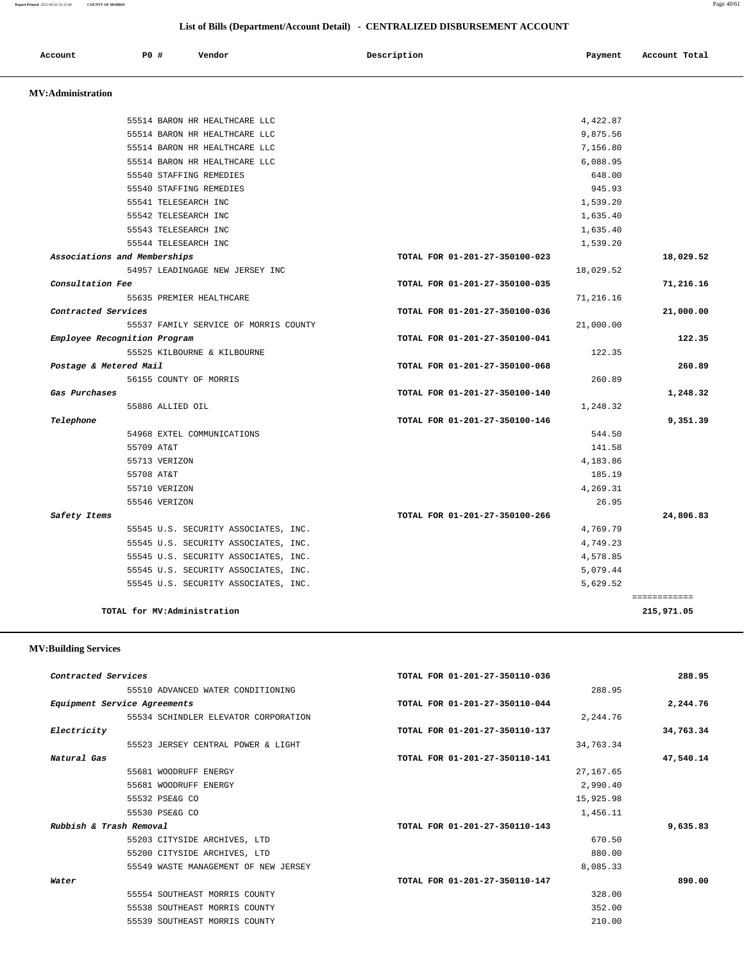**Report Printed** *2012-04-20 16:12:06* **COUNTY OF MORRIS** Page 40/61

|                          |                              |                                       | List of Bills (Department/Account Detail) - CENTRALIZED DISBURSEMENT ACCOUNT |           |               |
|--------------------------|------------------------------|---------------------------------------|------------------------------------------------------------------------------|-----------|---------------|
| Account                  | P0 #                         | Vendor                                | Description                                                                  | Payment   | Account Total |
| <b>MV:Administration</b> |                              |                                       |                                                                              |           |               |
|                          |                              | 55514 BARON HR HEALTHCARE LLC         |                                                                              | 4,422.87  |               |
|                          |                              | 55514 BARON HR HEALTHCARE LLC         |                                                                              | 9,875.56  |               |
|                          |                              | 55514 BARON HR HEALTHCARE LLC         |                                                                              | 7,156.80  |               |
|                          |                              | 55514 BARON HR HEALTHCARE LLC         |                                                                              | 6,088.95  |               |
|                          |                              | 55540 STAFFING REMEDIES               |                                                                              | 648.00    |               |
|                          |                              | 55540 STAFFING REMEDIES               |                                                                              | 945.93    |               |
|                          |                              | 55541 TELESEARCH INC                  |                                                                              | 1,539.20  |               |
|                          |                              | 55542 TELESEARCH INC                  |                                                                              | 1,635.40  |               |
|                          |                              | 55543 TELESEARCH INC                  |                                                                              | 1,635.40  |               |
|                          |                              | 55544 TELESEARCH INC                  |                                                                              | 1,539.20  |               |
|                          | Associations and Memberships |                                       | TOTAL FOR 01-201-27-350100-023                                               |           | 18,029.52     |
|                          |                              | 54957 LEADINGAGE NEW JERSEY INC       |                                                                              | 18,029.52 |               |
| Consultation Fee         |                              |                                       | TOTAL FOR 01-201-27-350100-035                                               |           | 71,216.16     |
|                          |                              | 55635 PREMIER HEALTHCARE              |                                                                              | 71,216.16 |               |
| Contracted Services      |                              |                                       | TOTAL FOR 01-201-27-350100-036                                               |           | 21,000.00     |
|                          |                              | 55537 FAMILY SERVICE OF MORRIS COUNTY |                                                                              | 21,000.00 |               |
|                          | Employee Recognition Program |                                       | TOTAL FOR 01-201-27-350100-041                                               |           | 122.35        |
|                          |                              | 55525 KILBOURNE & KILBOURNE           |                                                                              | 122.35    |               |
|                          | Postage & Metered Mail       |                                       | TOTAL FOR 01-201-27-350100-068                                               |           | 260.89        |
|                          |                              | 56155 COUNTY OF MORRIS                |                                                                              | 260.89    |               |
| Gas Purchases            |                              |                                       | TOTAL FOR 01-201-27-350100-140                                               |           | 1,248.32      |
|                          |                              | 55886 ALLIED OIL                      |                                                                              | 1,248.32  |               |
| Telephone                |                              |                                       | TOTAL FOR 01-201-27-350100-146                                               |           | 9,351.39      |
|                          |                              | 54968 EXTEL COMMUNICATIONS            |                                                                              | 544.50    |               |
|                          | 55709 AT&T                   |                                       |                                                                              | 141.58    |               |
|                          | 55713 VERIZON                |                                       |                                                                              | 4,183.86  |               |
|                          | 55708 AT&T                   |                                       |                                                                              | 185.19    |               |
|                          | 55710 VERIZON                |                                       |                                                                              | 4,269.31  |               |
|                          | 55546 VERIZON                |                                       |                                                                              | 26.95     |               |
| Safety Items             |                              |                                       | TOTAL FOR 01-201-27-350100-266                                               |           | 24,806.83     |
|                          |                              | 55545 U.S. SECURITY ASSOCIATES, INC.  |                                                                              | 4,769.79  |               |
|                          |                              | 55545 U.S. SECURITY ASSOCIATES, INC.  |                                                                              | 4,749.23  |               |
|                          |                              | 55545 U.S. SECURITY ASSOCIATES, INC.  |                                                                              | 4,578.85  |               |
|                          |                              | 55545 U.S. SECURITY ASSOCIATES, INC.  |                                                                              | 5,079.44  |               |
|                          |                              | 55545 U.S. SECURITY ASSOCIATES, INC.  |                                                                              | 5,629.52  |               |
|                          |                              |                                       |                                                                              |           | ============  |
|                          |                              | TOTAL for MV:Administration           |                                                                              |           | 215,971.05    |

#### **MV:Building Services**

| 288.95    | TOTAL FOR 01-201-27-350110-036 | Contracted Services                  |
|-----------|--------------------------------|--------------------------------------|
|           | 288.95                         | 55510 ADVANCED WATER CONDITIONING    |
| 2,244.76  | TOTAL FOR 01-201-27-350110-044 | Equipment Service Agreements         |
|           | 2,244.76                       | 55534 SCHINDLER ELEVATOR CORPORATION |
| 34,763.34 | TOTAL FOR 01-201-27-350110-137 | Electricity                          |
|           | 34,763.34                      | 55523 JERSEY CENTRAL POWER & LIGHT   |
| 47,540.14 | TOTAL FOR 01-201-27-350110-141 | Natural Gas                          |
|           | 27, 167.65                     | 55681 WOODRUFF ENERGY                |
|           | 2,990.40                       | 55681 WOODRUFF ENERGY                |
|           | 15,925.98                      | 55532 PSE&G CO                       |
|           | 1,456.11                       | 55530 PSE&G CO                       |
| 9,635.83  | TOTAL FOR 01-201-27-350110-143 | Rubbish & Trash Removal              |
|           | 670.50                         | 55203 CITYSIDE ARCHIVES, LTD         |
|           | 880.00                         | 55200 CITYSIDE ARCHIVES, LTD         |
|           | 8,085.33                       | 55549 WASTE MANAGEMENT OF NEW JERSEY |
| 890.00    | TOTAL FOR 01-201-27-350110-147 | Water                                |
|           | 328.00                         | 55554 SOUTHEAST MORRIS COUNTY        |
|           | 352.00                         | 55538 SOUTHEAST MORRIS COUNTY        |
|           | 210.00                         | 55539 SOUTHEAST MORRIS COUNTY        |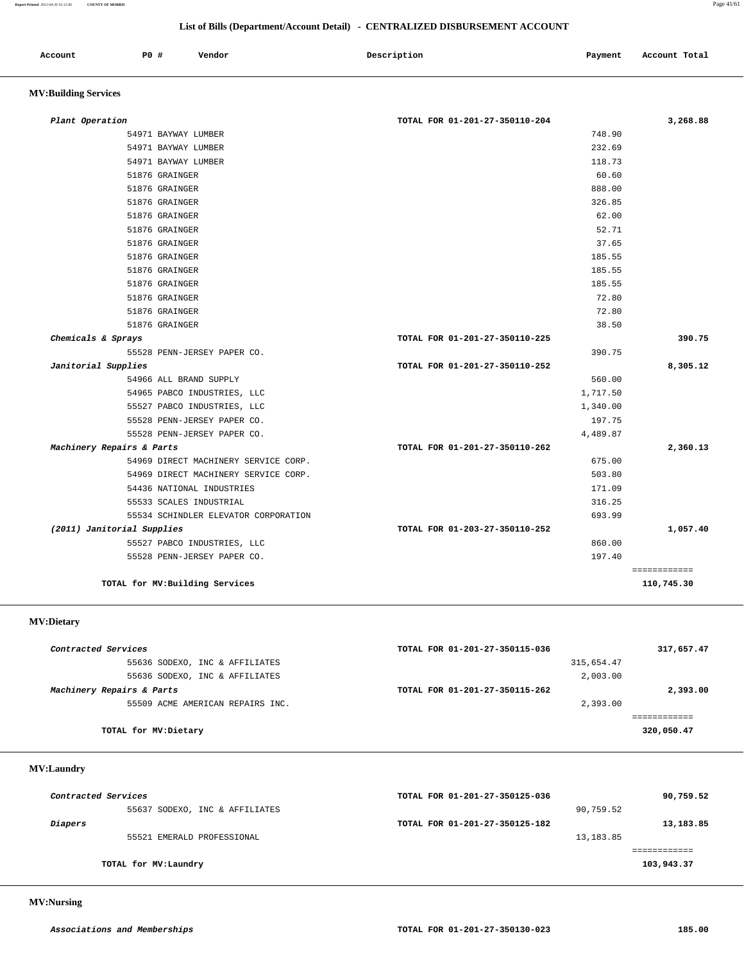#### **List of Bills (Department/Account Detail) - CENTRALIZED DISBURSEMENT ACCOUNT**

| Account | P <sub>0</sub> | Vendor<br>. | Description<br>$\sim$ $\sim$ $\sim$ | Payment<br>$\sim$ $\sim$ | Account Total |
|---------|----------------|-------------|-------------------------------------|--------------------------|---------------|
|         |                |             |                                     |                          |               |

## **MV:Building Services**

| Plant Operation                      | TOTAL FOR 01-201-27-350110-204 | 3,268.88     |
|--------------------------------------|--------------------------------|--------------|
| 54971 BAYWAY LUMBER                  | 748.90                         |              |
| 54971 BAYWAY LUMBER                  | 232.69                         |              |
| 54971 BAYWAY LUMBER                  | 118.73                         |              |
| 51876 GRAINGER                       | 60.60                          |              |
| 51876 GRAINGER                       | 888.00                         |              |
| 51876 GRAINGER                       | 326.85                         |              |
| 51876 GRAINGER                       | 62.00                          |              |
| 51876 GRAINGER                       | 52.71                          |              |
| 51876 GRAINGER                       | 37.65                          |              |
| 51876 GRAINGER                       | 185.55                         |              |
| 51876 GRAINGER                       | 185.55                         |              |
| 51876 GRAINGER                       | 185.55                         |              |
| 51876 GRAINGER                       | 72.80                          |              |
| 51876 GRAINGER                       | 72.80                          |              |
| 51876 GRAINGER                       | 38.50                          |              |
| Chemicals & Sprays                   | TOTAL FOR 01-201-27-350110-225 | 390.75       |
| 55528 PENN-JERSEY PAPER CO.          | 390.75                         |              |
| Janitorial Supplies                  | TOTAL FOR 01-201-27-350110-252 | 8,305.12     |
| 54966 ALL BRAND SUPPLY               | 560.00                         |              |
| 54965 PABCO INDUSTRIES, LLC          | 1,717.50                       |              |
| 55527 PABCO INDUSTRIES, LLC          | 1,340.00                       |              |
| 55528 PENN-JERSEY PAPER CO.          | 197.75                         |              |
| 55528 PENN-JERSEY PAPER CO.          | 4,489.87                       |              |
| Machinery Repairs & Parts            | TOTAL FOR 01-201-27-350110-262 | 2,360.13     |
| 54969 DIRECT MACHINERY SERVICE CORP. | 675.00                         |              |
| 54969 DIRECT MACHINERY SERVICE CORP. | 503.80                         |              |
| 54436 NATIONAL INDUSTRIES            | 171.09                         |              |
| 55533 SCALES INDUSTRIAL              | 316.25                         |              |
| 55534 SCHINDLER ELEVATOR CORPORATION | 693.99                         |              |
| (2011) Janitorial Supplies           | TOTAL FOR 01-203-27-350110-252 | 1,057.40     |
| 55527 PABCO INDUSTRIES, LLC          | 860.00                         |              |
| 55528 PENN-JERSEY PAPER CO.          | 197.40                         |              |
|                                      |                                | ============ |
| TOTAL for MV: Building Services      |                                | 110,745.30   |

## **MV:Dietary**

| Contracted Services              | TOTAL FOR 01-201-27-350115-036 | 317,657.47 |
|----------------------------------|--------------------------------|------------|
| 55636 SODEXO, INC & AFFILIATES   | 315,654.47                     |            |
| 55636 SODEXO, INC & AFFILIATES   | 2,003.00                       |            |
| Machinery Repairs & Parts        | TOTAL FOR 01-201-27-350115-262 | 2,393.00   |
| 55509 ACME AMERICAN REPAIRS INC. | 2,393.00                       |            |
|                                  |                                |            |
| TOTAL for MV: Dietary            |                                | 320,050.47 |

#### **MV:Laundry**

| Contracted Services |                                | TOTAL FOR 01-201-27-350125-036 |            | 90,759.52  |
|---------------------|--------------------------------|--------------------------------|------------|------------|
|                     | 55637 SODEXO, INC & AFFILIATES |                                | 90,759.52  |            |
| Diapers             |                                | TOTAL FOR 01-201-27-350125-182 |            | 13,183.85  |
|                     | 55521 EMERALD PROFESSIONAL     |                                | 13, 183.85 |            |
|                     |                                |                                |            |            |
|                     | TOTAL for MV:Laundry           |                                |            | 103,943.37 |
|                     |                                |                                |            |            |

 **MV:Nursing**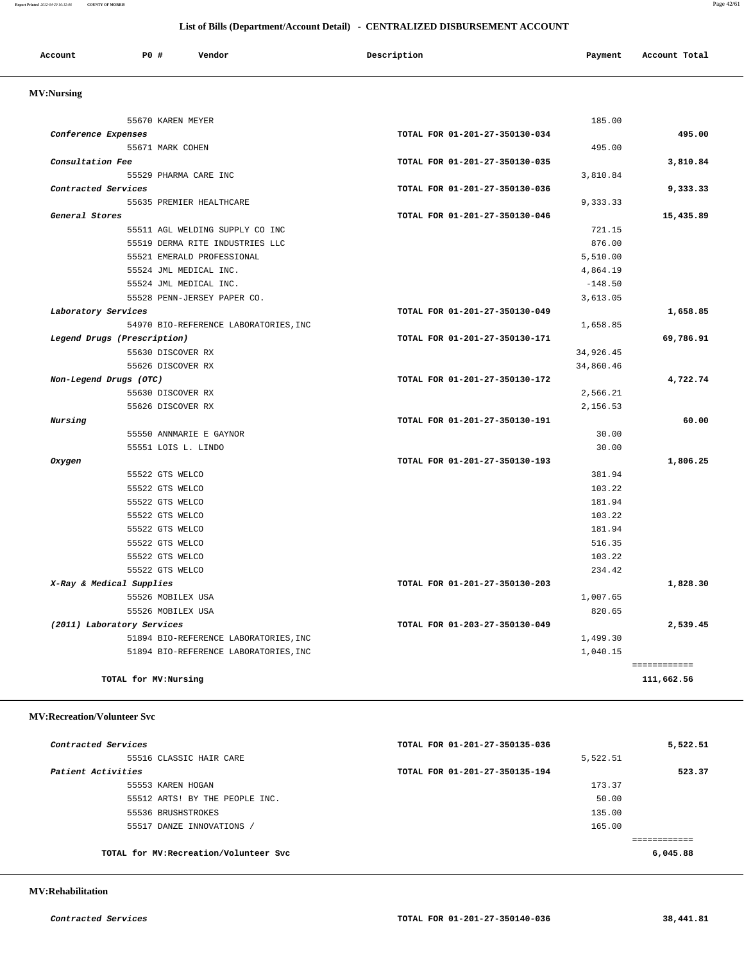**Report Printed** *2012-04-20 16:12:06* **COUNTY OF MORRIS** Page 42/61

#### **List of Bills (Department/Account Detail) - CENTRALIZED DISBURSEMENT ACCOUNT**

| Account<br>. | P0 # | Vendor | Description | Payment | Account Total |
|--------------|------|--------|-------------|---------|---------------|
|              |      |        |             |         |               |

## **MV:Nursing**

|                             | 55670 KAREN MEYER                     |                                | 185.00    |                            |
|-----------------------------|---------------------------------------|--------------------------------|-----------|----------------------------|
| Conference Expenses         |                                       | TOTAL FOR 01-201-27-350130-034 |           | 495.00                     |
|                             | 55671 MARK COHEN                      |                                | 495.00    |                            |
| Consultation Fee            |                                       | TOTAL FOR 01-201-27-350130-035 |           | 3,810.84                   |
|                             | 55529 PHARMA CARE INC                 |                                | 3,810.84  |                            |
| Contracted Services         |                                       | TOTAL FOR 01-201-27-350130-036 |           | 9,333.33                   |
|                             | 55635 PREMIER HEALTHCARE              |                                | 9,333.33  |                            |
| General Stores              |                                       | TOTAL FOR 01-201-27-350130-046 |           | 15,435.89                  |
|                             | 55511 AGL WELDING SUPPLY CO INC       |                                | 721.15    |                            |
|                             | 55519 DERMA RITE INDUSTRIES LLC       |                                | 876.00    |                            |
|                             | 55521 EMERALD PROFESSIONAL            |                                | 5,510.00  |                            |
|                             | 55524 JML MEDICAL INC.                |                                | 4,864.19  |                            |
|                             | 55524 JML MEDICAL INC.                |                                | $-148.50$ |                            |
|                             | 55528 PENN-JERSEY PAPER CO.           |                                | 3,613.05  |                            |
| Laboratory Services         |                                       | TOTAL FOR 01-201-27-350130-049 |           | 1,658.85                   |
|                             | 54970 BIO-REFERENCE LABORATORIES, INC |                                | 1,658.85  |                            |
| Legend Drugs (Prescription) |                                       | TOTAL FOR 01-201-27-350130-171 |           | 69,786.91                  |
|                             | 55630 DISCOVER RX                     |                                | 34,926.45 |                            |
|                             | 55626 DISCOVER RX                     |                                | 34,860.46 |                            |
| Non-Legend Drugs (OTC)      |                                       | TOTAL FOR 01-201-27-350130-172 |           | 4,722.74                   |
|                             | 55630 DISCOVER RX                     |                                | 2,566.21  |                            |
|                             | 55626 DISCOVER RX                     |                                | 2,156.53  |                            |
| Nursing                     |                                       | TOTAL FOR 01-201-27-350130-191 |           | 60.00                      |
|                             | 55550 ANNMARIE E GAYNOR               |                                | 30.00     |                            |
|                             | 55551 LOIS L. LINDO                   |                                | 30.00     |                            |
| Oxygen                      |                                       | TOTAL FOR 01-201-27-350130-193 |           | 1,806.25                   |
|                             | 55522 GTS WELCO                       |                                | 381.94    |                            |
|                             | 55522 GTS WELCO                       |                                | 103.22    |                            |
|                             | 55522 GTS WELCO                       |                                | 181.94    |                            |
|                             | 55522 GTS WELCO                       |                                | 103.22    |                            |
|                             | 55522 GTS WELCO                       |                                | 181.94    |                            |
|                             | 55522 GTS WELCO                       |                                | 516.35    |                            |
|                             | 55522 GTS WELCO                       |                                | 103.22    |                            |
|                             | 55522 GTS WELCO                       |                                | 234.42    |                            |
| X-Ray & Medical Supplies    |                                       | TOTAL FOR 01-201-27-350130-203 |           | 1,828.30                   |
|                             | 55526 MOBILEX USA                     |                                | 1,007.65  |                            |
|                             | 55526 MOBILEX USA                     |                                | 820.65    |                            |
| (2011) Laboratory Services  |                                       | TOTAL FOR 01-203-27-350130-049 |           | 2,539.45                   |
|                             | 51894 BIO-REFERENCE LABORATORIES, INC |                                | 1,499.30  |                            |
|                             | 51894 BIO-REFERENCE LABORATORIES, INC |                                | 1,040.15  |                            |
| TOTAL for MV:Nursing        |                                       |                                |           | ============<br>111,662.56 |
|                             |                                       |                                |           |                            |

#### **MV:Recreation/Volunteer Svc**

| Contracted Services |                                        | TOTAL FOR 01-201-27-350135-036 |          | 5,522.51 |
|---------------------|----------------------------------------|--------------------------------|----------|----------|
|                     | 55516 CLASSIC HAIR CARE                |                                | 5,522.51 |          |
| Patient Activities  |                                        | TOTAL FOR 01-201-27-350135-194 |          | 523.37   |
|                     | 55553 KAREN HOGAN                      |                                | 173.37   |          |
|                     | 55512 ARTS! BY THE PEOPLE INC.         |                                | 50.00    |          |
|                     | 55536 BRUSHSTROKES                     |                                | 135.00   |          |
|                     | 55517 DANZE INNOVATIONS /              |                                | 165.00   |          |
|                     |                                        |                                |          |          |
|                     | TOTAL for MV: Recreation/Volunteer Svc |                                |          | 6,045.88 |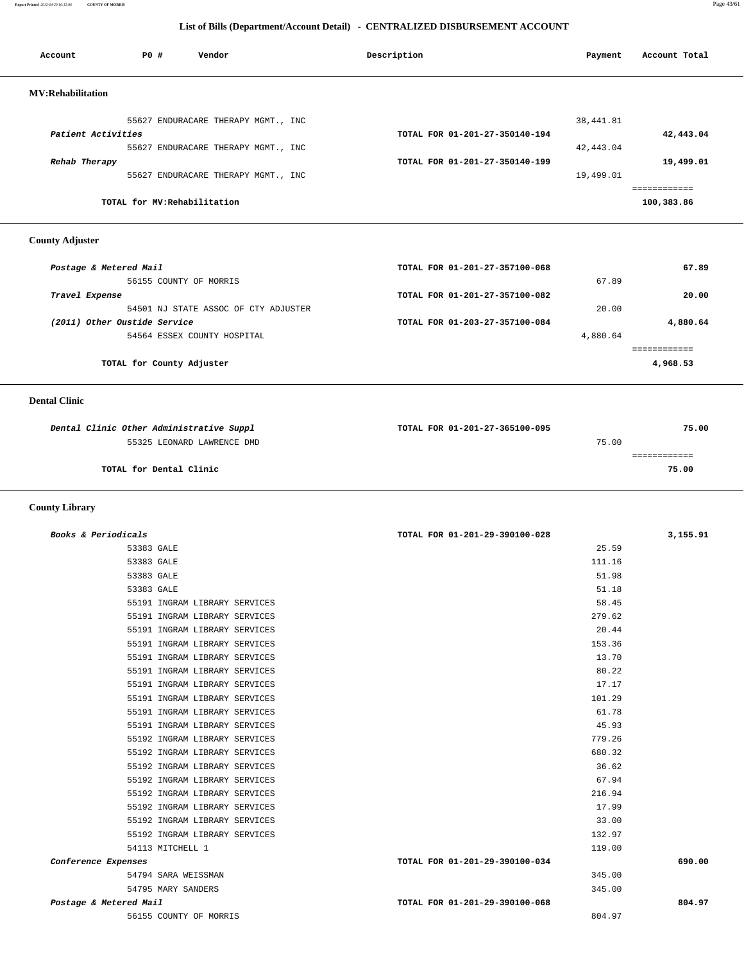**Report Printed** *2012-04-20 16:12:06* **COUNTY OF MORRIS** Page 43/61

#### **List of Bills (Department/Account Detail) - CENTRALIZED DISBURSEMENT ACCOUNT**

| Account                  | PO#                          | Vendor                              | Description                    | Payment   | Account Total |
|--------------------------|------------------------------|-------------------------------------|--------------------------------|-----------|---------------|
| <b>MV:Rehabilitation</b> |                              |                                     |                                |           |               |
|                          |                              | 55627 ENDURACARE THERAPY MGMT., INC |                                | 38,441.81 |               |
| Patient Activities       |                              |                                     | TOTAL FOR 01-201-27-350140-194 |           | 42,443.04     |
|                          |                              | 55627 ENDURACARE THERAPY MGMT., INC |                                | 42,443.04 |               |
| Rehab Therapy            |                              |                                     | TOTAL FOR 01-201-27-350140-199 |           | 19,499.01     |
|                          |                              | 55627 ENDURACARE THERAPY MGMT., INC |                                | 19,499.01 |               |
|                          |                              |                                     |                                |           | ============  |
|                          | TOTAL for MV: Rehabilitation |                                     |                                |           | 100,383.86    |

 **County Adjuster** 

| Postage & Metered Mail               | TOTAL FOR 01-201-27-357100-068 |          | 67.89    |
|--------------------------------------|--------------------------------|----------|----------|
| 56155 COUNTY OF MORRIS               |                                | 67.89    |          |
| Travel Expense                       | TOTAL FOR 01-201-27-357100-082 |          | 20.00    |
| 54501 NJ STATE ASSOC OF CTY ADJUSTER |                                | 20.00    |          |
| (2011) Other Oustide Service         | TOTAL FOR 01-203-27-357100-084 |          | 4,880.64 |
| 54564 ESSEX COUNTY HOSPITAL          |                                | 4,880.64 |          |
|                                      |                                |          |          |
| TOTAL for County Adjuster            |                                |          | 4,968.53 |
|                                      |                                |          |          |

#### **Dental Clinic**

| Dental Clinic Other Administrative Suppl | TOTAL FOR 01-201-27-365100-095 | 75.00 |
|------------------------------------------|--------------------------------|-------|
| 55325 LEONARD LAWRENCE DMD               | 75.00                          |       |
|                                          |                                |       |
| TOTAL for Dental Clinic                  | 75.00                          |       |

 **County Library** 

| Books & Periodicals    |                               | TOTAL FOR 01-201-29-390100-028 | 3,155.91 |
|------------------------|-------------------------------|--------------------------------|----------|
| 53383 GALE             |                               | 25.59                          |          |
| 53383 GALE             |                               | 111.16                         |          |
| 53383 GALE             |                               | 51.98                          |          |
| 53383 GALE             |                               | 51.18                          |          |
|                        | 55191 INGRAM LIBRARY SERVICES | 58.45                          |          |
|                        | 55191 INGRAM LIBRARY SERVICES | 279.62                         |          |
|                        | 55191 INGRAM LIBRARY SERVICES | 20.44                          |          |
|                        | 55191 INGRAM LIBRARY SERVICES | 153.36                         |          |
|                        | 55191 INGRAM LIBRARY SERVICES | 13.70                          |          |
|                        | 55191 INGRAM LIBRARY SERVICES | 80.22                          |          |
|                        | 55191 INGRAM LIBRARY SERVICES | 17.17                          |          |
|                        | 55191 INGRAM LIBRARY SERVICES | 101.29                         |          |
|                        | 55191 INGRAM LIBRARY SERVICES | 61.78                          |          |
|                        | 55191 INGRAM LIBRARY SERVICES | 45.93                          |          |
|                        | 55192 INGRAM LIBRARY SERVICES | 779.26                         |          |
|                        | 55192 INGRAM LIBRARY SERVICES | 680.32                         |          |
|                        | 55192 INGRAM LIBRARY SERVICES | 36.62                          |          |
|                        | 55192 INGRAM LIBRARY SERVICES | 67.94                          |          |
|                        | 55192 INGRAM LIBRARY SERVICES | 216.94                         |          |
|                        | 55192 INGRAM LIBRARY SERVICES | 17.99                          |          |
|                        | 55192 INGRAM LIBRARY SERVICES | 33.00                          |          |
|                        | 55192 INGRAM LIBRARY SERVICES | 132.97                         |          |
|                        | 54113 MITCHELL 1              | 119.00                         |          |
| Conference Expenses    |                               | TOTAL FOR 01-201-29-390100-034 | 690.00   |
|                        | 54794 SARA WEISSMAN           | 345.00                         |          |
|                        | 54795 MARY SANDERS            | 345.00                         |          |
| Postage & Metered Mail |                               | TOTAL FOR 01-201-29-390100-068 | 804.97   |
|                        | 56155 COUNTY OF MORRIS        | 804.97                         |          |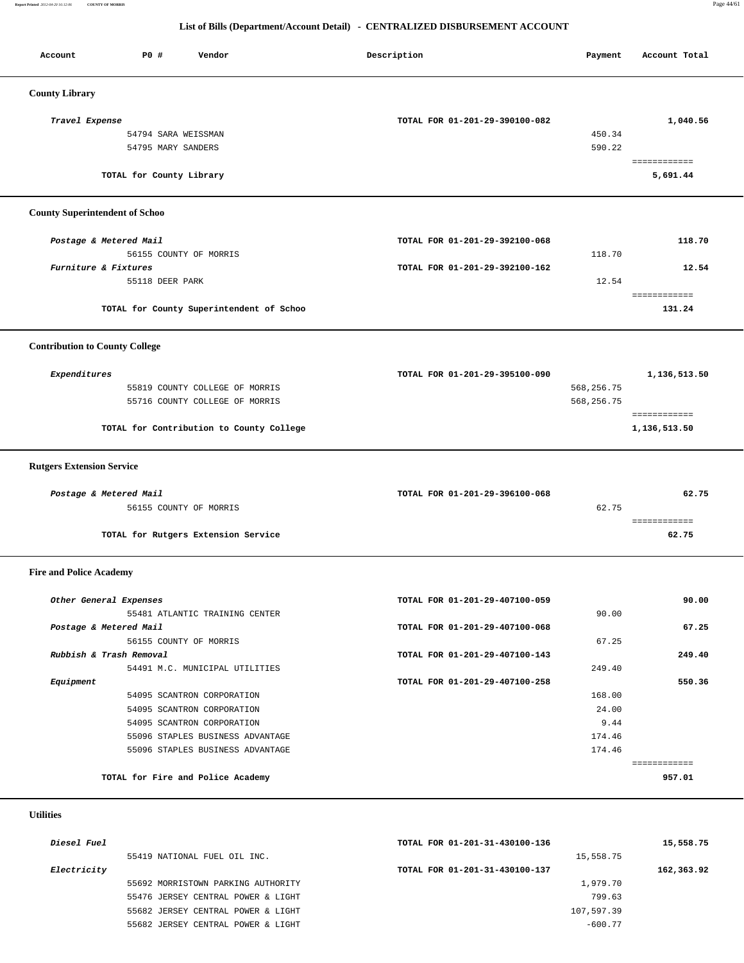**Report Printed** *2012-04-20 16:12:06* **COUNTY OF MORRIS** Page 44/61

#### **List of Bills (Department/Account Detail) - CENTRALIZED DISBURSEMENT ACCOUNT**

| Account                               | P0 #<br>Vendor                           | Description                    | Payment    | Account Total          |
|---------------------------------------|------------------------------------------|--------------------------------|------------|------------------------|
|                                       |                                          |                                |            |                        |
| <b>County Library</b>                 |                                          |                                |            |                        |
| Travel Expense                        |                                          | TOTAL FOR 01-201-29-390100-082 |            | 1,040.56               |
|                                       | 54794 SARA WEISSMAN                      |                                | 450.34     |                        |
|                                       | 54795 MARY SANDERS                       |                                | 590.22     |                        |
|                                       |                                          |                                |            | ============           |
|                                       | TOTAL for County Library                 |                                |            | 5,691.44               |
| <b>County Superintendent of Schoo</b> |                                          |                                |            |                        |
| Postage & Metered Mail                |                                          | TOTAL FOR 01-201-29-392100-068 |            | 118.70                 |
|                                       | 56155 COUNTY OF MORRIS                   |                                | 118.70     |                        |
| Furniture & Fixtures                  |                                          | TOTAL FOR 01-201-29-392100-162 |            | 12.54                  |
|                                       | 55118 DEER PARK                          |                                | 12.54      |                        |
|                                       |                                          |                                |            | <b>ESSESSSSSSSS</b>    |
|                                       | TOTAL for County Superintendent of Schoo |                                |            | 131.24                 |
| <b>Contribution to County College</b> |                                          |                                |            |                        |
|                                       |                                          |                                |            |                        |
| Expenditures                          |                                          | TOTAL FOR 01-201-29-395100-090 |            | 1,136,513.50           |
|                                       | 55819 COUNTY COLLEGE OF MORRIS           |                                | 568,256.75 |                        |
|                                       | 55716 COUNTY COLLEGE OF MORRIS           |                                | 568,256.75 |                        |
|                                       |                                          |                                |            | ============           |
|                                       | TOTAL for Contribution to County College |                                |            | 1,136,513.50           |
| <b>Rutgers Extension Service</b>      |                                          |                                |            |                        |
|                                       |                                          |                                |            |                        |
| Postage & Metered Mail                |                                          | TOTAL FOR 01-201-29-396100-068 |            | 62.75                  |
|                                       | 56155 COUNTY OF MORRIS                   |                                | 62.75      | ============           |
|                                       | TOTAL for Rutgers Extension Service      |                                |            | 62.75                  |
| <b>Fire and Police Academy</b>        |                                          |                                |            |                        |
|                                       |                                          |                                |            |                        |
| Other General Expenses                |                                          | TOTAL FOR 01-201-29-407100-059 |            | 90.00                  |
|                                       | 55481 ATLANTIC TRAINING CENTER           |                                | 90.00      |                        |
| Postage & Metered Mail                |                                          | TOTAL FOR 01-201-29-407100-068 |            | 67.25                  |
|                                       | 56155 COUNTY OF MORRIS                   |                                | 67.25      |                        |
| Rubbish & Trash Removal               |                                          | TOTAL FOR 01-201-29-407100-143 |            | 249.40                 |
|                                       | 54491 M.C. MUNICIPAL UTILITIES           |                                | 249.40     |                        |
| Equipment                             |                                          | TOTAL FOR 01-201-29-407100-258 |            | 550.36                 |
|                                       | 54095 SCANTRON CORPORATION               |                                | 168.00     |                        |
|                                       | 54095 SCANTRON CORPORATION               |                                | 24.00      |                        |
|                                       | 54095 SCANTRON CORPORATION               |                                | 9.44       |                        |
|                                       | 55096 STAPLES BUSINESS ADVANTAGE         |                                | 174.46     |                        |
|                                       | 55096 STAPLES BUSINESS ADVANTAGE         |                                | 174.46     |                        |
|                                       | TOTAL for Fire and Police Academy        |                                |            | ============<br>957.01 |
| <b>Utilities</b>                      |                                          |                                |            |                        |
|                                       |                                          |                                |            |                        |
| Diesel Fuel                           |                                          | TOTAL FOR 01-201-31-430100-136 |            | 15,558.75              |
|                                       | 55419 NATIONAL FUEL OIL INC.             |                                | 15,558.75  |                        |

| <i>Electricity</i>                 | TOIAL FOR 01-201-31-430100-137 |
|------------------------------------|--------------------------------|
| 55692 MORRISTOWN PARKING AUTHORITY | 1,979.70                       |
| 55476 JERSEY CENTRAL POWER & LIGHT | 799.63                         |
| 55682 JERSEY CENTRAL POWER & LIGHT | 107,597.39                     |
| 55682 JERSEY CENTRAL POWER & LIGHT | $-600.77$                      |

| 55419 NATIONAL FUEL OIL INC. |                                    | 15,558.75                      |            |  |
|------------------------------|------------------------------------|--------------------------------|------------|--|
| Electricity                  |                                    | TOTAL FOR 01-201-31-430100-137 | 162,363.92 |  |
|                              | 55692 MORRISTOWN PARKING AUTHORITY | 1,979.70                       |            |  |
|                              | 55476 JERSEY CENTRAL POWER & LIGHT | 799.63                         |            |  |
|                              | 55682 JERSEY CENTRAL POWER & LIGHT | 107,597.39                     |            |  |
|                              | 55682 JERSEY CENTRAL POWER & LIGHT | $-600.77$                      |            |  |
|                              |                                    |                                |            |  |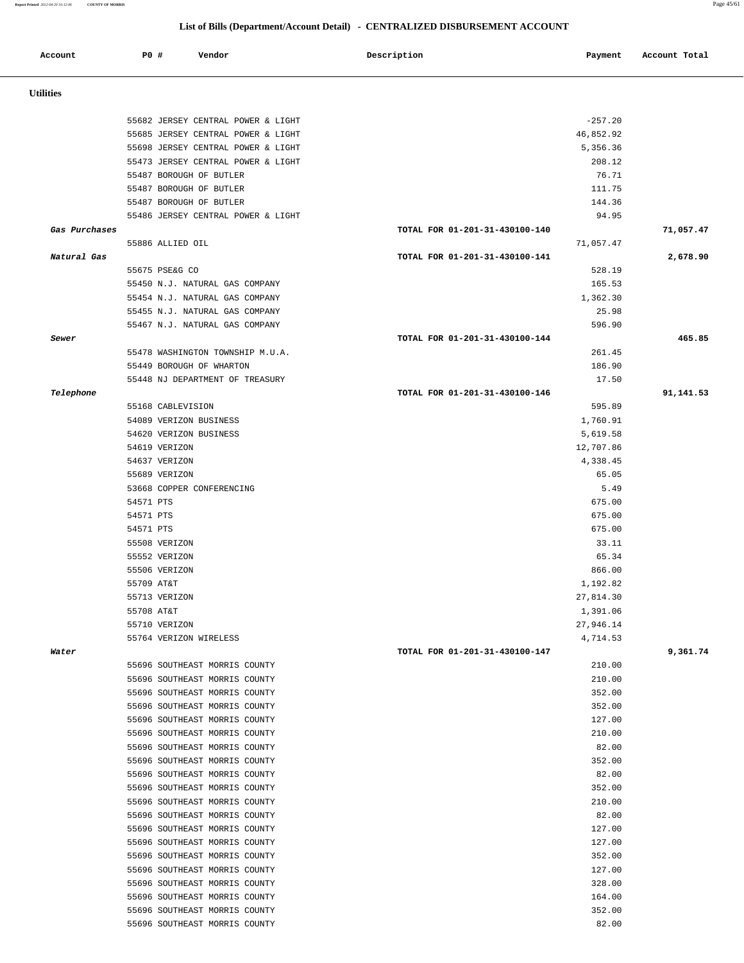**Report Printed** *2012-04-20 16:12:06* **COUNTY OF MORRIS** Page 45/61

# **List of Bills (Department/Account Detail) - CENTRALIZED DISBURSEMENT ACCOUNT**

| Account          | P0 #       | Vendor                                                         | Description                    | Payment               | Account Total |
|------------------|------------|----------------------------------------------------------------|--------------------------------|-----------------------|---------------|
| <b>Utilities</b> |            |                                                                |                                |                       |               |
|                  |            | 55682 JERSEY CENTRAL POWER & LIGHT                             |                                | $-257.20$             |               |
|                  |            | 55685 JERSEY CENTRAL POWER & LIGHT                             |                                | 46,852.92             |               |
|                  |            | 55698 JERSEY CENTRAL POWER & LIGHT                             |                                | 5,356.36              |               |
|                  |            | 55473 JERSEY CENTRAL POWER & LIGHT                             |                                | 208.12                |               |
|                  |            | 55487 BOROUGH OF BUTLER                                        |                                | 76.71                 |               |
|                  |            | 55487 BOROUGH OF BUTLER                                        |                                | 111.75                |               |
|                  |            | 55487 BOROUGH OF BUTLER                                        |                                | 144.36                |               |
|                  |            | 55486 JERSEY CENTRAL POWER & LIGHT                             |                                | 94.95                 |               |
| Gas Purchases    |            | 55886 ALLIED OIL                                               | TOTAL FOR 01-201-31-430100-140 | 71,057.47             | 71,057.47     |
| Natural Gas      |            |                                                                | TOTAL FOR 01-201-31-430100-141 |                       | 2,678.90      |
|                  |            | 55675 PSE&G CO                                                 |                                | 528.19                |               |
|                  |            | 55450 N.J. NATURAL GAS COMPANY                                 |                                | 165.53                |               |
|                  |            | 55454 N.J. NATURAL GAS COMPANY                                 |                                | 1,362.30              |               |
|                  |            | 55455 N.J. NATURAL GAS COMPANY                                 |                                | 25.98                 |               |
|                  |            | 55467 N.J. NATURAL GAS COMPANY                                 |                                | 596.90                |               |
| Sewer            |            |                                                                | TOTAL FOR 01-201-31-430100-144 |                       | 465.85        |
|                  |            | 55478 WASHINGTON TOWNSHIP M.U.A.                               |                                | 261.45                |               |
|                  |            | 55449 BOROUGH OF WHARTON                                       |                                | 186.90                |               |
|                  |            | 55448 NJ DEPARTMENT OF TREASURY                                |                                | 17.50                 |               |
| Telephone        |            |                                                                | TOTAL FOR 01-201-31-430100-146 |                       | 91,141.53     |
|                  |            | 55168 CABLEVISION                                              |                                | 595.89                |               |
|                  |            | 54089 VERIZON BUSINESS                                         |                                | 1,760.91              |               |
|                  |            | 54620 VERIZON BUSINESS<br>54619 VERIZON                        |                                | 5,619.58<br>12,707.86 |               |
|                  |            | 54637 VERIZON                                                  |                                | 4,338.45              |               |
|                  |            | 55689 VERIZON                                                  |                                | 65.05                 |               |
|                  |            | 53668 COPPER CONFERENCING                                      |                                | 5.49                  |               |
|                  | 54571 PTS  |                                                                |                                | 675.00                |               |
|                  | 54571 PTS  |                                                                |                                | 675.00                |               |
|                  | 54571 PTS  |                                                                |                                | 675.00                |               |
|                  |            | 55508 VERIZON                                                  |                                | 33.11                 |               |
|                  |            | 55552 VERIZON                                                  |                                | 65.34                 |               |
|                  |            | 55506 VERIZON                                                  |                                | 866.00                |               |
|                  | 55709 AT&T |                                                                |                                | 1,192.82              |               |
|                  |            | 55713 VERIZON                                                  |                                | 27,814.30             |               |
|                  | 55708 AT&T |                                                                |                                | 1,391.06              |               |
|                  |            | 55710 VERIZON<br>55764 VERIZON WIRELESS                        |                                | 27,946.14<br>4,714.53 |               |
| Water            |            |                                                                | TOTAL FOR 01-201-31-430100-147 |                       | 9,361.74      |
|                  |            | 55696 SOUTHEAST MORRIS COUNTY                                  |                                | 210.00                |               |
|                  |            | 55696 SOUTHEAST MORRIS COUNTY                                  |                                | 210.00                |               |
|                  |            | 55696 SOUTHEAST MORRIS COUNTY                                  |                                | 352.00                |               |
|                  |            | 55696 SOUTHEAST MORRIS COUNTY                                  |                                | 352.00                |               |
|                  |            | 55696 SOUTHEAST MORRIS COUNTY                                  |                                | 127.00                |               |
|                  |            | 55696 SOUTHEAST MORRIS COUNTY                                  |                                | 210.00                |               |
|                  |            | 55696 SOUTHEAST MORRIS COUNTY                                  |                                | 82.00                 |               |
|                  |            | 55696 SOUTHEAST MORRIS COUNTY                                  |                                | 352.00                |               |
|                  |            | 55696 SOUTHEAST MORRIS COUNTY                                  |                                | 82.00                 |               |
|                  |            | 55696 SOUTHEAST MORRIS COUNTY<br>55696 SOUTHEAST MORRIS COUNTY |                                | 352.00<br>210.00      |               |
|                  |            | 55696 SOUTHEAST MORRIS COUNTY                                  |                                | 82.00                 |               |
|                  |            | 55696 SOUTHEAST MORRIS COUNTY                                  |                                | 127.00                |               |
|                  |            | 55696 SOUTHEAST MORRIS COUNTY                                  |                                | 127.00                |               |
|                  |            | 55696 SOUTHEAST MORRIS COUNTY                                  |                                | 352.00                |               |
|                  |            | 55696 SOUTHEAST MORRIS COUNTY                                  |                                | 127.00                |               |
|                  |            | 55696 SOUTHEAST MORRIS COUNTY                                  |                                | 328.00                |               |
|                  |            | 55696 SOUTHEAST MORRIS COUNTY                                  |                                | 164.00                |               |
|                  |            | 55696 SOUTHEAST MORRIS COUNTY                                  |                                | 352.00                |               |
|                  |            | 55696 SOUTHEAST MORRIS COUNTY                                  |                                | 82.00                 |               |
|                  |            |                                                                |                                |                       |               |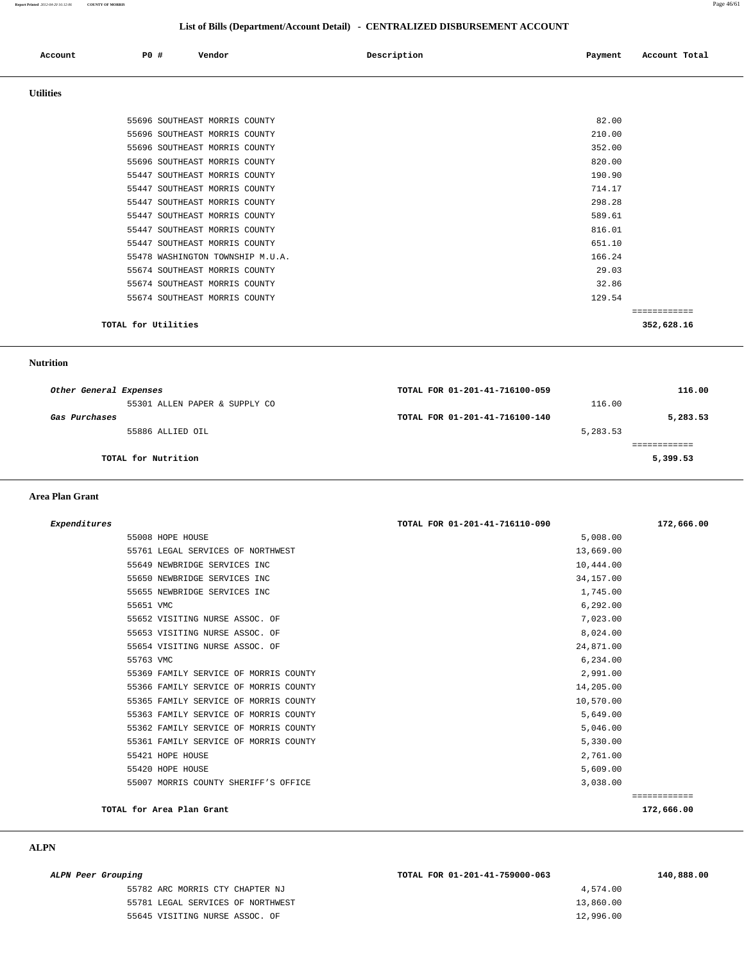**Report Printed** *2012-04-20 16:12:06* **COUNTY OF MORRIS** Page 46/61

#### **List of Bills (Department/Account Detail) - CENTRALIZED DISBURSEMENT ACCOUNT**

|                  |                     |                                  | List of Bills (Department/Account Detail) - CENTRALIZED DISBURSEMENT ACCOUNT |                          |  |
|------------------|---------------------|----------------------------------|------------------------------------------------------------------------------|--------------------------|--|
| Account          | P0 #                | Vendor                           | Description                                                                  | Account Total<br>Payment |  |
| <b>Utilities</b> |                     |                                  |                                                                              |                          |  |
|                  |                     | 55696 SOUTHEAST MORRIS COUNTY    |                                                                              | 82.00                    |  |
|                  |                     | 55696 SOUTHEAST MORRIS COUNTY    |                                                                              | 210.00                   |  |
|                  |                     | 55696 SOUTHEAST MORRIS COUNTY    |                                                                              | 352.00                   |  |
|                  |                     | 55696 SOUTHEAST MORRIS COUNTY    |                                                                              | 820.00                   |  |
|                  |                     | 55447 SOUTHEAST MORRIS COUNTY    |                                                                              | 190.90                   |  |
|                  |                     | 55447 SOUTHEAST MORRIS COUNTY    |                                                                              | 714.17                   |  |
|                  |                     | 55447 SOUTHEAST MORRIS COUNTY    |                                                                              | 298.28                   |  |
|                  |                     | 55447 SOUTHEAST MORRIS COUNTY    |                                                                              | 589.61                   |  |
|                  |                     | 55447 SOUTHEAST MORRIS COUNTY    |                                                                              | 816.01                   |  |
|                  |                     | 55447 SOUTHEAST MORRIS COUNTY    |                                                                              | 651.10                   |  |
|                  |                     | 55478 WASHINGTON TOWNSHIP M.U.A. |                                                                              | 166.24                   |  |
|                  |                     | 55674 SOUTHEAST MORRIS COUNTY    |                                                                              | 29.03                    |  |
|                  |                     | 55674 SOUTHEAST MORRIS COUNTY    |                                                                              | 32.86                    |  |
|                  |                     | 55674 SOUTHEAST MORRIS COUNTY    |                                                                              | 129.54                   |  |
|                  |                     |                                  |                                                                              | ============             |  |
|                  | TOTAL for Utilities |                                  |                                                                              | 352,628.16               |  |

 **Nutrition** 

| Other General Expenses        | TOTAL FOR 01-201-41-716100-059 | 116.00   |
|-------------------------------|--------------------------------|----------|
| 55301 ALLEN PAPER & SUPPLY CO | 116.00                         |          |
| Gas Purchases                 | TOTAL FOR 01-201-41-716100-140 | 5,283.53 |
| 55886 ALLIED OIL              | 5,283.53                       |          |
|                               |                                |          |
| TOTAL for Nutrition           |                                | 5,399.53 |
|                               |                                |          |

#### **Area Plan Grant**

| Expenditures |                                       | TOTAL FOR 01-201-41-716110-090 | 172,666.00   |
|--------------|---------------------------------------|--------------------------------|--------------|
|              | 55008 HOPE HOUSE                      | 5,008.00                       |              |
|              | 55761 LEGAL SERVICES OF NORTHWEST     | 13,669.00                      |              |
|              | 55649 NEWBRIDGE SERVICES INC          | 10,444.00                      |              |
|              | 55650 NEWBRIDGE SERVICES INC          | 34, 157.00                     |              |
|              | 55655 NEWBRIDGE SERVICES INC          | 1,745.00                       |              |
| 55651 VMC    |                                       | 6,292.00                       |              |
|              | 55652 VISITING NURSE ASSOC. OF        | 7,023.00                       |              |
|              | 55653 VISITING NURSE ASSOC. OF        | 8,024.00                       |              |
|              | 55654 VISITING NURSE ASSOC. OF        | 24,871.00                      |              |
| 55763 VMC    |                                       | 6,234.00                       |              |
|              | 55369 FAMILY SERVICE OF MORRIS COUNTY | 2,991.00                       |              |
|              | 55366 FAMILY SERVICE OF MORRIS COUNTY | 14,205.00                      |              |
|              | 55365 FAMILY SERVICE OF MORRIS COUNTY | 10,570.00                      |              |
|              | 55363 FAMILY SERVICE OF MORRIS COUNTY | 5,649.00                       |              |
|              | 55362 FAMILY SERVICE OF MORRIS COUNTY | 5,046.00                       |              |
|              | 55361 FAMILY SERVICE OF MORRIS COUNTY | 5,330.00                       |              |
|              | 55421 HOPE HOUSE                      | 2,761.00                       |              |
|              | 55420 HOPE HOUSE                      | 5,609.00                       |              |
|              | 55007 MORRIS COUNTY SHERIFF'S OFFICE  | 3,038.00                       |              |
|              |                                       |                                | ============ |
|              | TOTAL for Area Plan Grant             |                                | 172,666.00   |
|              |                                       |                                |              |

| ALPN Peer Grouping                | TOTAL FOR 01-201-41-759000-063 | 140,888.00 |
|-----------------------------------|--------------------------------|------------|
| 55782 ARC MORRIS CTY CHAPTER NJ   | 4,574.00                       |            |
| 55781 LEGAL SERVICES OF NORTHWEST | 13,860.00                      |            |
| 55645 VISITING NURSE ASSOC. OF    | 12,996.00                      |            |
|                                   |                                |            |